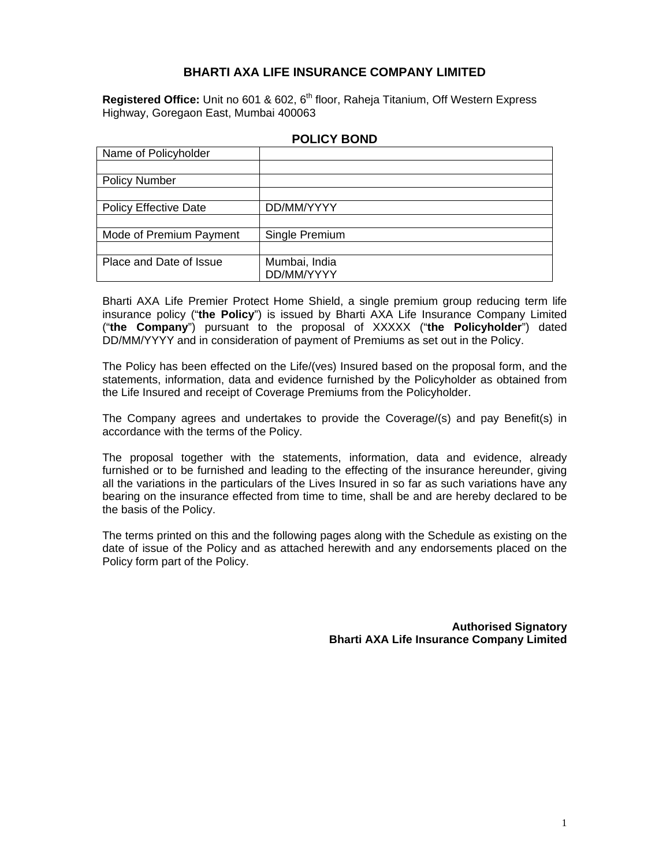# **BHARTI AXA LIFE INSURANCE COMPANY LIMITED**

**Registered Office:** Unit no 601 & 602, 6<sup>th</sup> floor, Raheja Titanium, Off Western Express Highway, Goregaon East, Mumbai 400063

| Name of Policyholder         |                |
|------------------------------|----------------|
|                              |                |
| <b>Policy Number</b>         |                |
|                              |                |
| <b>Policy Effective Date</b> | DD/MM/YYYY     |
|                              |                |
| Mode of Premium Payment      | Single Premium |
|                              |                |
| Place and Date of Issue      | Mumbai, India  |
|                              | DD/MM/YYYY     |

## **POLICY BOND**

Bharti AXA Life Premier Protect Home Shield, a single premium group reducing term life insurance policy ("**the Policy**") is issued by Bharti AXA Life Insurance Company Limited ("**the Company**") pursuant to the proposal of XXXXX ("**the Policyholder**") dated DD/MM/YYYY and in consideration of payment of Premiums as set out in the Policy.

The Policy has been effected on the Life/(ves) Insured based on the proposal form, and the statements, information, data and evidence furnished by the Policyholder as obtained from the Life Insured and receipt of Coverage Premiums from the Policyholder.

The Company agrees and undertakes to provide the Coverage/(s) and pay Benefit(s) in accordance with the terms of the Policy.

The proposal together with the statements, information, data and evidence, already furnished or to be furnished and leading to the effecting of the insurance hereunder, giving all the variations in the particulars of the Lives Insured in so far as such variations have any bearing on the insurance effected from time to time, shall be and are hereby declared to be the basis of the Policy.

The terms printed on this and the following pages along with the Schedule as existing on the date of issue of the Policy and as attached herewith and any endorsements placed on the Policy form part of the Policy.

> **Authorised Signatory Bharti AXA Life Insurance Company Limited**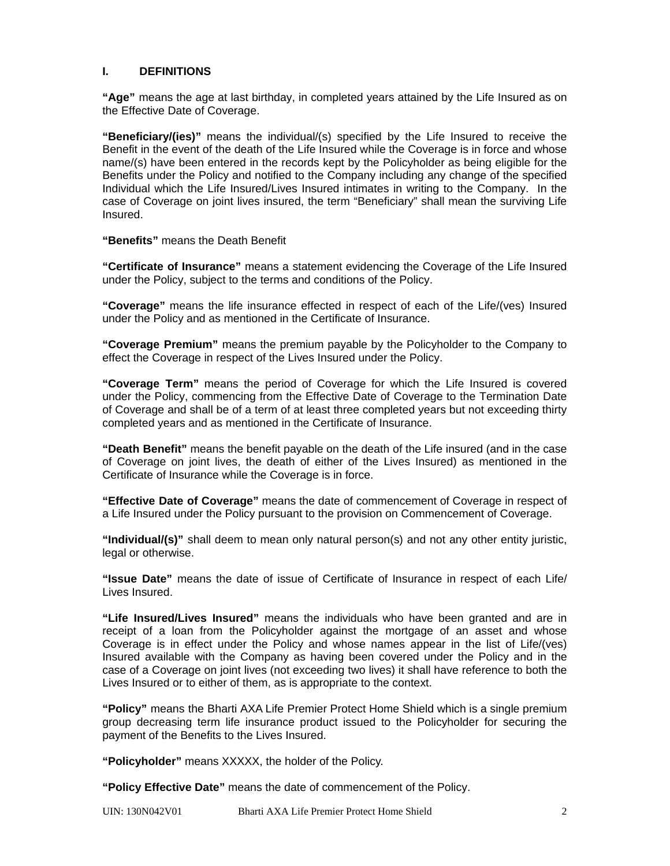## **I. DEFINITIONS**

**"Age"** means the age at last birthday, in completed years attained by the Life Insured as on the Effective Date of Coverage.

**"Beneficiary/(ies)"** means the individual/(s) specified by the Life Insured to receive the Benefit in the event of the death of the Life Insured while the Coverage is in force and whose name/(s) have been entered in the records kept by the Policyholder as being eligible for the Benefits under the Policy and notified to the Company including any change of the specified Individual which the Life Insured/Lives Insured intimates in writing to the Company. In the case of Coverage on joint lives insured, the term "Beneficiary" shall mean the surviving Life Insured.

**"Benefits"** means the Death Benefit

**"Certificate of Insurance"** means a statement evidencing the Coverage of the Life Insured under the Policy, subject to the terms and conditions of the Policy.

**"Coverage"** means the life insurance effected in respect of each of the Life/(ves) Insured under the Policy and as mentioned in the Certificate of Insurance.

**"Coverage Premium"** means the premium payable by the Policyholder to the Company to effect the Coverage in respect of the Lives Insured under the Policy.

**"Coverage Term"** means the period of Coverage for which the Life Insured is covered under the Policy, commencing from the Effective Date of Coverage to the Termination Date of Coverage and shall be of a term of at least three completed years but not exceeding thirty completed years and as mentioned in the Certificate of Insurance.

**"Death Benefit"** means the benefit payable on the death of the Life insured (and in the case of Coverage on joint lives, the death of either of the Lives Insured) as mentioned in the Certificate of Insurance while the Coverage is in force.

**"Effective Date of Coverage"** means the date of commencement of Coverage in respect of a Life Insured under the Policy pursuant to the provision on Commencement of Coverage.

**"Individual/(s)"** shall deem to mean only natural person(s) and not any other entity juristic, legal or otherwise.

**"Issue Date"** means the date of issue of Certificate of Insurance in respect of each Life/ Lives Insured.

**"Life Insured/Lives Insured"** means the individuals who have been granted and are in receipt of a loan from the Policyholder against the mortgage of an asset and whose Coverage is in effect under the Policy and whose names appear in the list of Life/(ves) Insured available with the Company as having been covered under the Policy and in the case of a Coverage on joint lives (not exceeding two lives) it shall have reference to both the Lives Insured or to either of them, as is appropriate to the context.

**"Policy"** means the Bharti AXA Life Premier Protect Home Shield which is a single premium group decreasing term life insurance product issued to the Policyholder for securing the payment of the Benefits to the Lives Insured.

**"Policyholder"** means XXXXX, the holder of the Policy.

**"Policy Effective Date"** means the date of commencement of the Policy.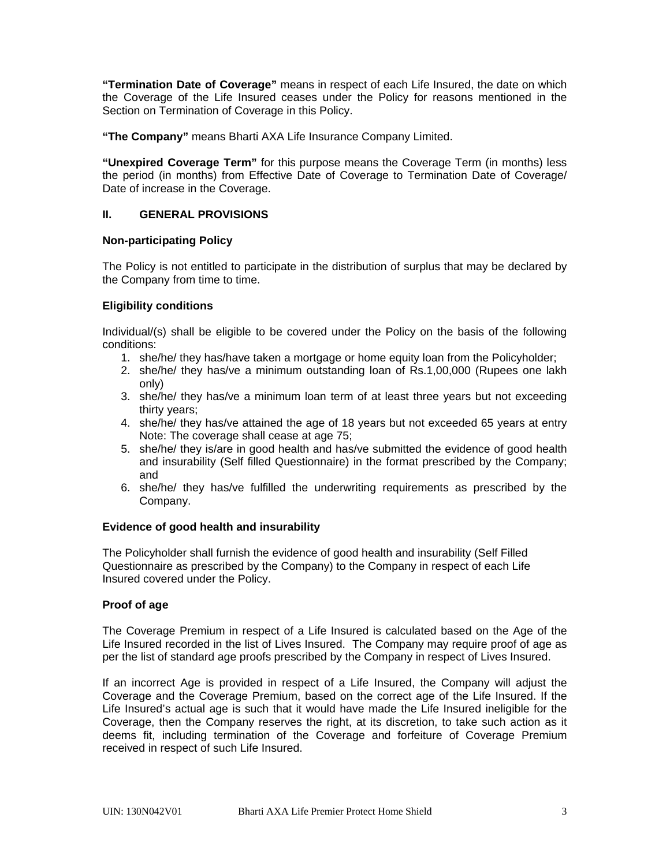**"Termination Date of Coverage"** means in respect of each Life Insured, the date on which the Coverage of the Life Insured ceases under the Policy for reasons mentioned in the Section on Termination of Coverage in this Policy.

**"The Company"** means Bharti AXA Life Insurance Company Limited.

**"Unexpired Coverage Term"** for this purpose means the Coverage Term (in months) less the period (in months) from Effective Date of Coverage to Termination Date of Coverage/ Date of increase in the Coverage.

## **II. GENERAL PROVISIONS**

## **Non-participating Policy**

The Policy is not entitled to participate in the distribution of surplus that may be declared by the Company from time to time.

## **Eligibility conditions**

Individual/(s) shall be eligible to be covered under the Policy on the basis of the following conditions:

- 1. she/he/ they has/have taken a mortgage or home equity loan from the Policyholder;
- 2. she/he/ they has/ve a minimum outstanding loan of Rs.1,00,000 (Rupees one lakh only)
- 3. she/he/ they has/ve a minimum loan term of at least three years but not exceeding thirty years;
- 4. she/he/ they has/ve attained the age of 18 years but not exceeded 65 years at entry Note: The coverage shall cease at age 75;
- 5. she/he/ they is/are in good health and has/ve submitted the evidence of good health and insurability (Self filled Questionnaire) in the format prescribed by the Company; and
- 6. she/he/ they has/ve fulfilled the underwriting requirements as prescribed by the Company.

## **Evidence of good health and insurability**

The Policyholder shall furnish the evidence of good health and insurability (Self Filled Questionnaire as prescribed by the Company) to the Company in respect of each Life Insured covered under the Policy.

#### **Proof of age**

The Coverage Premium in respect of a Life Insured is calculated based on the Age of the Life Insured recorded in the list of Lives Insured. The Company may require proof of age as per the list of standard age proofs prescribed by the Company in respect of Lives Insured.

If an incorrect Age is provided in respect of a Life Insured, the Company will adjust the Coverage and the Coverage Premium, based on the correct age of the Life Insured. If the Life Insured's actual age is such that it would have made the Life Insured ineligible for the Coverage, then the Company reserves the right, at its discretion, to take such action as it deems fit, including termination of the Coverage and forfeiture of Coverage Premium received in respect of such Life Insured.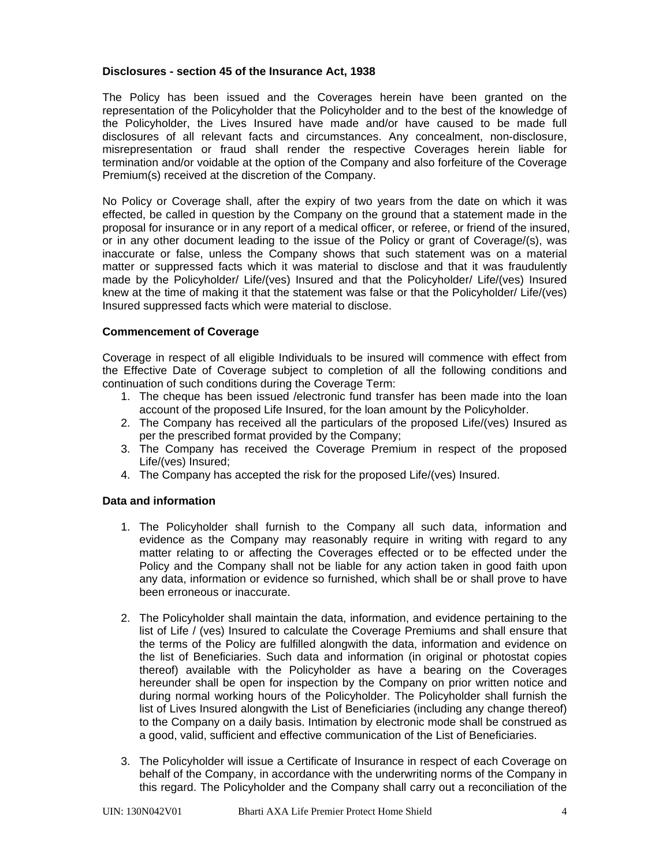## **Disclosures - section 45 of the Insurance Act, 1938**

The Policy has been issued and the Coverages herein have been granted on the representation of the Policyholder that the Policyholder and to the best of the knowledge of the Policyholder, the Lives Insured have made and/or have caused to be made full disclosures of all relevant facts and circumstances. Any concealment, non-disclosure, misrepresentation or fraud shall render the respective Coverages herein liable for termination and/or voidable at the option of the Company and also forfeiture of the Coverage Premium(s) received at the discretion of the Company.

No Policy or Coverage shall, after the expiry of two years from the date on which it was effected, be called in question by the Company on the ground that a statement made in the proposal for insurance or in any report of a medical officer, or referee, or friend of the insured, or in any other document leading to the issue of the Policy or grant of Coverage/(s), was inaccurate or false, unless the Company shows that such statement was on a material matter or suppressed facts which it was material to disclose and that it was fraudulently made by the Policyholder/ Life/(ves) Insured and that the Policyholder/ Life/(ves) Insured knew at the time of making it that the statement was false or that the Policyholder/ Life/(ves) Insured suppressed facts which were material to disclose.

## **Commencement of Coverage**

Coverage in respect of all eligible Individuals to be insured will commence with effect from the Effective Date of Coverage subject to completion of all the following conditions and continuation of such conditions during the Coverage Term:

- 1. The cheque has been issued /electronic fund transfer has been made into the loan account of the proposed Life Insured, for the loan amount by the Policyholder.
- 2. The Company has received all the particulars of the proposed Life/(ves) Insured as per the prescribed format provided by the Company;
- 3. The Company has received the Coverage Premium in respect of the proposed Life/(ves) Insured;
- 4. The Company has accepted the risk for the proposed Life/(ves) Insured.

## **Data and information**

- 1. The Policyholder shall furnish to the Company all such data, information and evidence as the Company may reasonably require in writing with regard to any matter relating to or affecting the Coverages effected or to be effected under the Policy and the Company shall not be liable for any action taken in good faith upon any data, information or evidence so furnished, which shall be or shall prove to have been erroneous or inaccurate.
- 2. The Policyholder shall maintain the data, information, and evidence pertaining to the list of Life / (ves) Insured to calculate the Coverage Premiums and shall ensure that the terms of the Policy are fulfilled alongwith the data, information and evidence on the list of Beneficiaries. Such data and information (in original or photostat copies thereof) available with the Policyholder as have a bearing on the Coverages hereunder shall be open for inspection by the Company on prior written notice and during normal working hours of the Policyholder. The Policyholder shall furnish the list of Lives Insured alongwith the List of Beneficiaries (including any change thereof) to the Company on a daily basis. Intimation by electronic mode shall be construed as a good, valid, sufficient and effective communication of the List of Beneficiaries.
- 3. The Policyholder will issue a Certificate of Insurance in respect of each Coverage on behalf of the Company, in accordance with the underwriting norms of the Company in this regard. The Policyholder and the Company shall carry out a reconciliation of the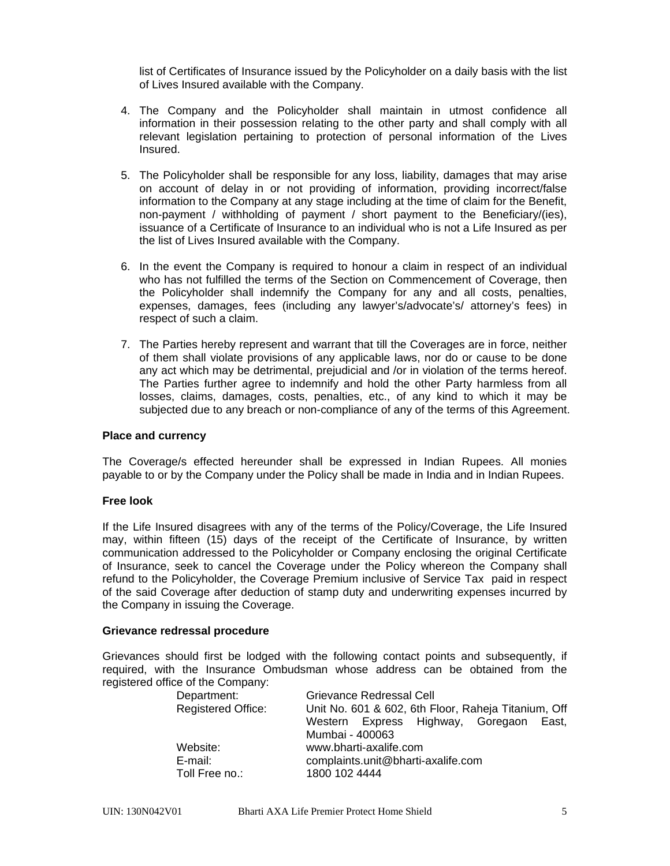list of Certificates of Insurance issued by the Policyholder on a daily basis with the list of Lives Insured available with the Company.

- 4. The Company and the Policyholder shall maintain in utmost confidence all information in their possession relating to the other party and shall comply with all relevant legislation pertaining to protection of personal information of the Lives Insured.
- 5. The Policyholder shall be responsible for any loss, liability, damages that may arise on account of delay in or not providing of information, providing incorrect/false information to the Company at any stage including at the time of claim for the Benefit, non-payment / withholding of payment / short payment to the Beneficiary/(ies), issuance of a Certificate of Insurance to an individual who is not a Life Insured as per the list of Lives Insured available with the Company.
- 6. In the event the Company is required to honour a claim in respect of an individual who has not fulfilled the terms of the Section on Commencement of Coverage, then the Policyholder shall indemnify the Company for any and all costs, penalties, expenses, damages, fees (including any lawyer's/advocate's/ attorney's fees) in respect of such a claim.
- 7. The Parties hereby represent and warrant that till the Coverages are in force, neither of them shall violate provisions of any applicable laws, nor do or cause to be done any act which may be detrimental, prejudicial and /or in violation of the terms hereof. The Parties further agree to indemnify and hold the other Party harmless from all losses, claims, damages, costs, penalties, etc., of any kind to which it may be subjected due to any breach or non-compliance of any of the terms of this Agreement.

#### **Place and currency**

The Coverage/s effected hereunder shall be expressed in Indian Rupees. All monies payable to or by the Company under the Policy shall be made in India and in Indian Rupees.

#### **Free look**

If the Life Insured disagrees with any of the terms of the Policy/Coverage, the Life Insured may, within fifteen (15) days of the receipt of the Certificate of Insurance, by written communication addressed to the Policyholder or Company enclosing the original Certificate of Insurance, seek to cancel the Coverage under the Policy whereon the Company shall refund to the Policyholder, the Coverage Premium inclusive of Service Tax paid in respect of the said Coverage after deduction of stamp duty and underwriting expenses incurred by the Company in issuing the Coverage.

#### **Grievance redressal procedure**

Grievances should first be lodged with the following contact points and subsequently, if required, with the Insurance Ombudsman whose address can be obtained from the registered office of the Company:

| Department:               | Grievance Redressal Cell                                   |
|---------------------------|------------------------------------------------------------|
| <b>Registered Office:</b> | Unit No. 601 & 602, 6th Floor, Raheja Titanium, Off        |
|                           | Western Express Highway, Goregaon East,<br>Mumbai - 400063 |
| Website:                  | www.bharti-axalife.com                                     |
| E-mail:                   | complaints.unit@bharti-axalife.com                         |
| Toll Free no.:            | 1800 102 4444                                              |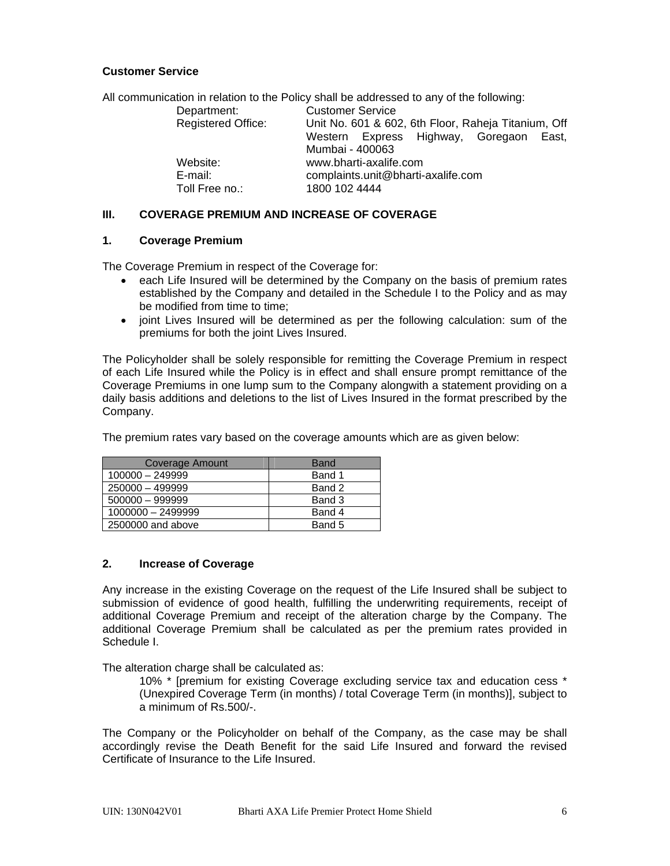## **Customer Service**

|                                       | All communication in relation to the Policy shall be addressed to any of the following:           |
|---------------------------------------|---------------------------------------------------------------------------------------------------|
| Department:                           | <b>Customer Service</b>                                                                           |
| <b>Registered Office:</b>             | Unit No. 601 & 602, 6th Floor, Raheja Titanium, Off<br>Western Express Highway, Goregaon<br>East, |
| Website:<br>E-mail:<br>Toll Free no.: | Mumbai - 400063<br>www.bharti-axalife.com<br>complaints.unit@bharti-axalife.com<br>1800 102 4444  |

#### **III. COVERAGE PREMIUM AND INCREASE OF COVERAGE**

#### **1. Coverage Premium**

The Coverage Premium in respect of the Coverage for:

- each Life Insured will be determined by the Company on the basis of premium rates established by the Company and detailed in the Schedule I to the Policy and as may be modified from time to time;
- ioint Lives Insured will be determined as per the following calculation: sum of the premiums for both the joint Lives Insured.

The Policyholder shall be solely responsible for remitting the Coverage Premium in respect of each Life Insured while the Policy is in effect and shall ensure prompt remittance of the Coverage Premiums in one lump sum to the Company alongwith a statement providing on a daily basis additions and deletions to the list of Lives Insured in the format prescribed by the Company.

The premium rates vary based on the coverage amounts which are as given below:

| <b>Coverage Amount</b> | <b>Band</b> |
|------------------------|-------------|
| 100000 - 249999        | Band 1      |
| 250000 - 499999        | Band 2      |
| $500000 - 999999$      | Band 3      |
| 1000000 - 2499999      | Band 4      |
| 2500000 and above      | Band 5      |

#### **2. Increase of Coverage**

Any increase in the existing Coverage on the request of the Life Insured shall be subject to submission of evidence of good health, fulfilling the underwriting requirements, receipt of additional Coverage Premium and receipt of the alteration charge by the Company. The additional Coverage Premium shall be calculated as per the premium rates provided in Schedule I.

The alteration charge shall be calculated as:

10% \* [premium for existing Coverage excluding service tax and education cess \* (Unexpired Coverage Term (in months) / total Coverage Term (in months)], subject to a minimum of Rs.500/-.

The Company or the Policyholder on behalf of the Company, as the case may be shall accordingly revise the Death Benefit for the said Life Insured and forward the revised Certificate of Insurance to the Life Insured.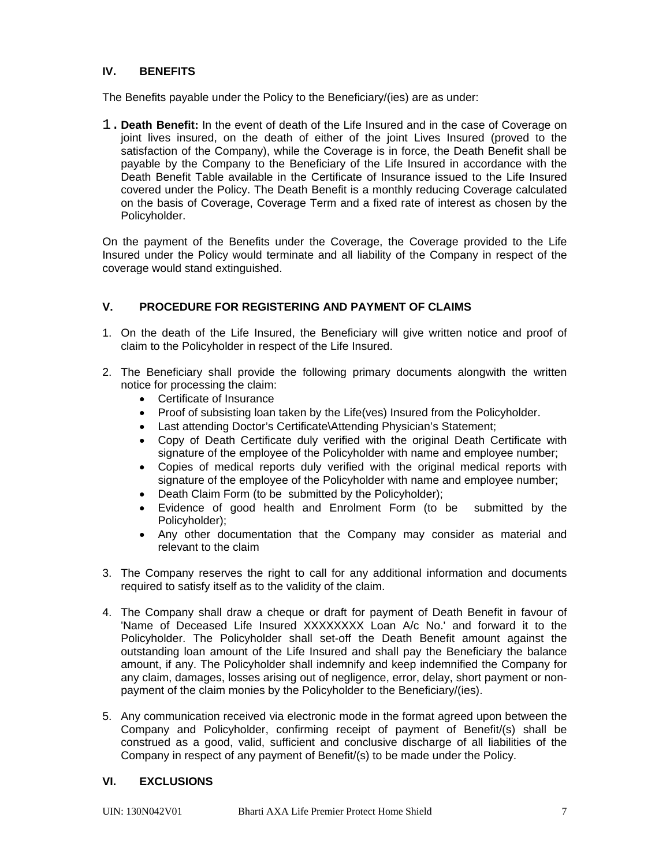## **IV. BENEFITS**

The Benefits payable under the Policy to the Beneficiary/(ies) are as under:

1.**Death Benefit:** In the event of death of the Life Insured and in the case of Coverage on joint lives insured, on the death of either of the joint Lives Insured (proved to the satisfaction of the Company), while the Coverage is in force, the Death Benefit shall be payable by the Company to the Beneficiary of the Life Insured in accordance with the Death Benefit Table available in the Certificate of Insurance issued to the Life Insured covered under the Policy. The Death Benefit is a monthly reducing Coverage calculated on the basis of Coverage, Coverage Term and a fixed rate of interest as chosen by the Policyholder.

On the payment of the Benefits under the Coverage, the Coverage provided to the Life Insured under the Policy would terminate and all liability of the Company in respect of the coverage would stand extinguished.

# **V. PROCEDURE FOR REGISTERING AND PAYMENT OF CLAIMS**

- 1. On the death of the Life Insured, the Beneficiary will give written notice and proof of claim to the Policyholder in respect of the Life Insured.
- 2. The Beneficiary shall provide the following primary documents alongwith the written notice for processing the claim:
	- Certificate of Insurance
	- Proof of subsisting loan taken by the Life(ves) Insured from the Policyholder.
	- Last attending Doctor's Certificate\Attending Physician's Statement;
	- Copy of Death Certificate duly verified with the original Death Certificate with signature of the employee of the Policyholder with name and employee number;
	- Copies of medical reports duly verified with the original medical reports with signature of the employee of the Policyholder with name and employee number;
	- Death Claim Form (to be submitted by the Policyholder);
	- Evidence of good health and Enrolment Form (to be submitted by the Policyholder);
	- Any other documentation that the Company may consider as material and relevant to the claim
- 3. The Company reserves the right to call for any additional information and documents required to satisfy itself as to the validity of the claim.
- 4. The Company shall draw a cheque or draft for payment of Death Benefit in favour of 'Name of Deceased Life Insured XXXXXXXX Loan A/c No.' and forward it to the Policyholder. The Policyholder shall set-off the Death Benefit amount against the outstanding loan amount of the Life Insured and shall pay the Beneficiary the balance amount, if any. The Policyholder shall indemnify and keep indemnified the Company for any claim, damages, losses arising out of negligence, error, delay, short payment or nonpayment of the claim monies by the Policyholder to the Beneficiary/(ies).
- 5. Any communication received via electronic mode in the format agreed upon between the Company and Policyholder, confirming receipt of payment of Benefit/(s) shall be construed as a good, valid, sufficient and conclusive discharge of all liabilities of the Company in respect of any payment of Benefit/(s) to be made under the Policy.

#### **VI. EXCLUSIONS**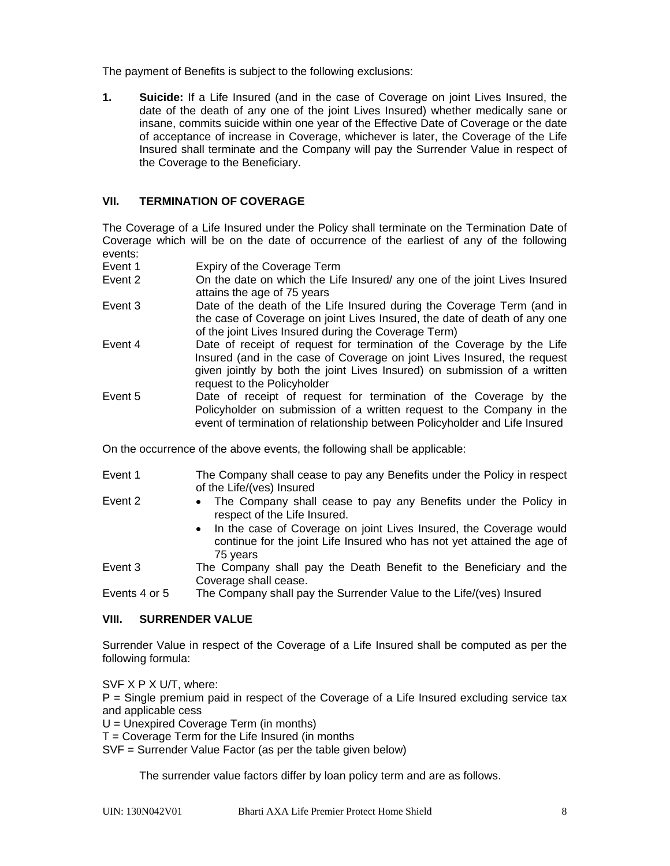The payment of Benefits is subject to the following exclusions:

**1. Suicide:** If a Life Insured (and in the case of Coverage on joint Lives Insured, the date of the death of any one of the joint Lives Insured) whether medically sane or insane, commits suicide within one year of the Effective Date of Coverage or the date of acceptance of increase in Coverage, whichever is later, the Coverage of the Life Insured shall terminate and the Company will pay the Surrender Value in respect of the Coverage to the Beneficiary.

# **VII. TERMINATION OF COVERAGE**

The Coverage of a Life Insured under the Policy shall terminate on the Termination Date of Coverage which will be on the date of occurrence of the earliest of any of the following events:

- Event 1 Expiry of the Coverage Term
- Event 2 Chiffer date on which the Life Insured/ any one of the joint Lives Insured attains the age of 75 years
- Event 3 Date of the death of the Life Insured during the Coverage Term (and in the case of Coverage on joint Lives Insured, the date of death of any one of the joint Lives Insured during the Coverage Term)
- Event 4 Date of receipt of request for termination of the Coverage by the Life Insured (and in the case of Coverage on joint Lives Insured, the request given jointly by both the joint Lives Insured) on submission of a written request to the Policyholder
- Event 5 Date of receipt of request for termination of the Coverage by the Policyholder on submission of a written request to the Company in the event of termination of relationship between Policyholder and Life Insured

On the occurrence of the above events, the following shall be applicable:

| Event 1 | The Company shall cease to pay any Benefits under the Policy in respect |
|---------|-------------------------------------------------------------------------|
|         | of the Life/(ves) Insured                                               |

- Event 2 The Company shall cease to pay any Benefits under the Policy in respect of the Life Insured.
	- In the case of Coverage on joint Lives Insured, the Coverage would continue for the joint Life Insured who has not yet attained the age of 75 years
- Event 3 The Company shall pay the Death Benefit to the Beneficiary and the Coverage shall cease.

Events 4 or 5 The Company shall pay the Surrender Value to the Life/(ves) Insured

## **VIII. SURRENDER VALUE**

Surrender Value in respect of the Coverage of a Life Insured shall be computed as per the following formula:

SVF X P X U/T, where: P = Single premium paid in respect of the Coverage of a Life Insured excluding service tax and applicable cess

U = Unexpired Coverage Term (in months)

 $T =$  Coverage Term for the Life Insured (in months

SVF = Surrender Value Factor (as per the table given below)

The surrender value factors differ by loan policy term and are as follows.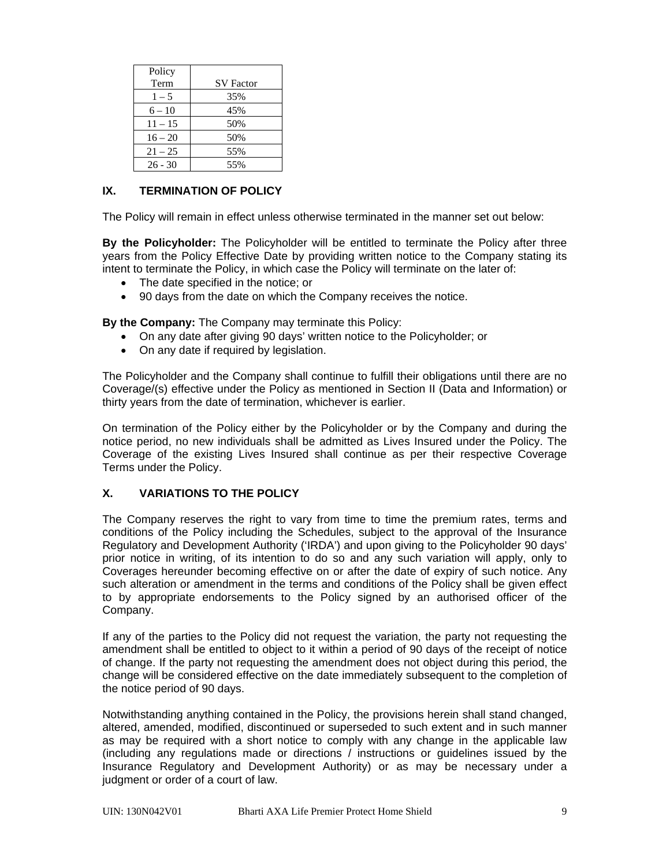| Policy    |                  |
|-----------|------------------|
| Term      | <b>SV</b> Factor |
| $1 - 5$   | 35%              |
| $6 - 10$  | 45%              |
| $11 - 15$ | 50%              |
| $16 - 20$ | 50%              |
| $21 - 25$ | 55%              |
| $26 - 30$ | 55%              |

## **IX. TERMINATION OF POLICY**

The Policy will remain in effect unless otherwise terminated in the manner set out below:

**By the Policyholder:** The Policyholder will be entitled to terminate the Policy after three years from the Policy Effective Date by providing written notice to the Company stating its intent to terminate the Policy, in which case the Policy will terminate on the later of:

- The date specified in the notice; or
- 90 days from the date on which the Company receives the notice.

**By the Company:** The Company may terminate this Policy:

- On any date after giving 90 days' written notice to the Policyholder; or
- On any date if required by legislation.

The Policyholder and the Company shall continue to fulfill their obligations until there are no Coverage/(s) effective under the Policy as mentioned in Section II (Data and Information) or thirty years from the date of termination, whichever is earlier.

On termination of the Policy either by the Policyholder or by the Company and during the notice period, no new individuals shall be admitted as Lives Insured under the Policy. The Coverage of the existing Lives Insured shall continue as per their respective Coverage Terms under the Policy.

## **X. VARIATIONS TO THE POLICY**

The Company reserves the right to vary from time to time the premium rates, terms and conditions of the Policy including the Schedules, subject to the approval of the Insurance Regulatory and Development Authority ('IRDA') and upon giving to the Policyholder 90 days' prior notice in writing, of its intention to do so and any such variation will apply, only to Coverages hereunder becoming effective on or after the date of expiry of such notice. Any such alteration or amendment in the terms and conditions of the Policy shall be given effect to by appropriate endorsements to the Policy signed by an authorised officer of the Company.

If any of the parties to the Policy did not request the variation, the party not requesting the amendment shall be entitled to object to it within a period of 90 days of the receipt of notice of change. If the party not requesting the amendment does not object during this period, the change will be considered effective on the date immediately subsequent to the completion of the notice period of 90 days.

Notwithstanding anything contained in the Policy, the provisions herein shall stand changed, altered, amended, modified, discontinued or superseded to such extent and in such manner as may be required with a short notice to comply with any change in the applicable law (including any regulations made or directions / instructions or guidelines issued by the Insurance Regulatory and Development Authority) or as may be necessary under a judgment or order of a court of law.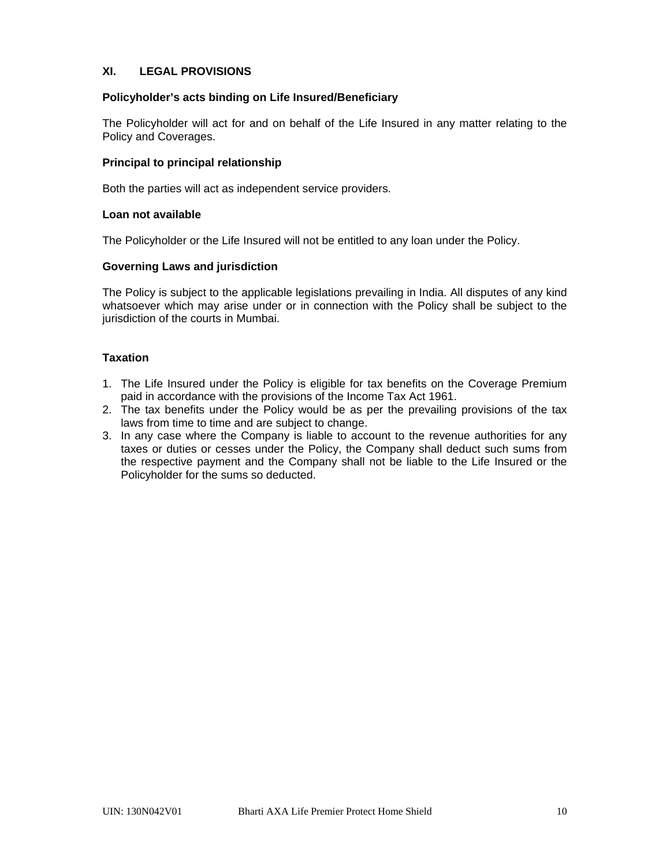## **XI. LEGAL PROVISIONS**

#### **Policyholder's acts binding on Life Insured/Beneficiary**

The Policyholder will act for and on behalf of the Life Insured in any matter relating to the Policy and Coverages.

#### **Principal to principal relationship**

Both the parties will act as independent service providers.

#### **Loan not available**

The Policyholder or the Life Insured will not be entitled to any loan under the Policy.

#### **Governing Laws and jurisdiction**

The Policy is subject to the applicable legislations prevailing in India. All disputes of any kind whatsoever which may arise under or in connection with the Policy shall be subject to the jurisdiction of the courts in Mumbai.

## **Taxation**

- 1. The Life Insured under the Policy is eligible for tax benefits on the Coverage Premium paid in accordance with the provisions of the Income Tax Act 1961.
- 2. The tax benefits under the Policy would be as per the prevailing provisions of the tax laws from time to time and are subject to change.
- 3. In any case where the Company is liable to account to the revenue authorities for any taxes or duties or cesses under the Policy, the Company shall deduct such sums from the respective payment and the Company shall not be liable to the Life Insured or the Policyholder for the sums so deducted.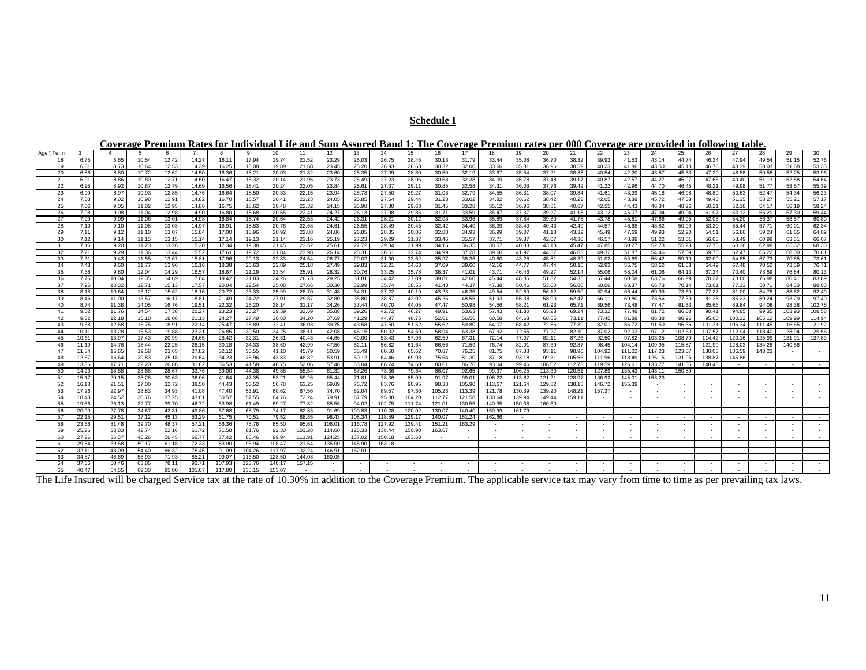#### **Schedule I**

| Coverage Premium Rates for Individual Life and Sum Assured Band 1: The Coverage Premium rates per 000 Coverage are provided in following table. |  |  |
|-------------------------------------------------------------------------------------------------------------------------------------------------|--|--|

| Age \ Term                                                                                                                                                                                |                |                |                |                |                |                |                |                | 11             |                | 13             | 14             |                |                | 17              |                | 19               | 20               | 21               | 22               | 23               | 24               | 25               | 26     |                 |        |        |        |
|-------------------------------------------------------------------------------------------------------------------------------------------------------------------------------------------|----------------|----------------|----------------|----------------|----------------|----------------|----------------|----------------|----------------|----------------|----------------|----------------|----------------|----------------|-----------------|----------------|------------------|------------------|------------------|------------------|------------------|------------------|------------------|--------|-----------------|--------|--------|--------|
|                                                                                                                                                                                           | 6.75           | 8.65           | 10.54          | 12.42          | 14.27          | 16.1           | 17.94          | 19.74          | 21.52          | 23.29          | 25.03          | 26.75          | 28.45          | 30.13          | 31.79           | 33.44          | 35.08            | 36.70            | 38.32            | 39.93            | 41.53            | 43.14            | 44.74            | 46.34  | 47.94           | 49.54  | 51.15  | 52.76  |
|                                                                                                                                                                                           | 6.81           | 8.73           | 10.64          | 12.53          | 14.39          | 16.25          | 18.08          | 19.89          | 21.68          | 23.45          | 25.20          | 26.93          | 28.63          | 30.32          | 32.00           | 33.66          | 35.31            | 36.96            | 38.59            | 40.23            | 41.86            | 43.50            | 45.13            | 46.76  | 48.39           | 50.03  | 51.68  | 53.33  |
| 20                                                                                                                                                                                        | 6.86           | 8.80           | 10.72          | 12.62          | 14.50          | 16.36          | 18.21          | 20.03          | 21.82          | 23.60          | 25.35          | 27.09          | 28.80          | 30.50          | 32.19           | 33.87          | 35.54            | 37.21            | 38.88            | 40.54            | 42.20            | 43.87            | 45.53            | 47.20  | 48.88           | 50.56  | 52.25  | 53.96  |
| 21                                                                                                                                                                                        | 6.91           | 8.86           | 10.80          | 12.71          | 14.60          | 16.47          | 18.32          | 20.14          | 21.95          | 23.73          | 25.49          | 27.23          | 28.96          | 30.68          | 32.38           | 34.09          | 35.78            | 37.48            | 39.17            | 40.87            | 42.57            | 44.27            | 45.97            | 47.68  | 49.40           | 51.13  | 52.88  | 54.64  |
| 22                                                                                                                                                                                        | 6.95           | 8.92           | 10.87          | 12.79          | 14.69          | 16.56          | 18.41          | 20.24          | 22.05          | 23.84          | 25.61          | 27.37          | 29.11          | 30.85          | 32.58           | 34.31          | 36.03            | 37.76            | 39.49            | 41.22            | 42.96            | 44.70            | 46.45            | 48.21  | 49.98           | 51.77  | 53.57  | 55.39  |
| 23                                                                                                                                                                                        | 6.99           | 8.97           | 10.93          | 12.85          | 14.76          | 16.64          | 18.50          | 20.33          | 22.15          | 23.94          | 25.73          | 27.50          | 29.27          | 31.03          | 32.79           | 34.55          | 36.31            | 38.07            | 39.84            | 41.61            | 43.39            | 45.18            | 46.98            | 48.80  | 50.63           | 52.47  | 54.34  | 56.23  |
| 24                                                                                                                                                                                        | 7.03           | 9.02           | 10.98          | 12.91          | 14.82          | 16.70          | 18.57          | 20.41          | 22.23          | 24.05          | 25.85          | 27.64          | 29.44          | 31.23          | 33.02           | 34.82          | 36.62            | 38.42            | 40.23            | 42.05            | 43.88            | 45.72            | 47.58            | 49.46  | 51.35           | 53.27  | 55.21  | 57.17  |
| 25                                                                                                                                                                                        | 7.06           | 9.05           | 11.02          | 12.95          | 14.86          | 16.75          | 18.62          | 20.48          | 22.32          | 24.15          | 25.98          | 27.80          | 29.63          | 31.45          | 33.28           | 35.12          | 36.96            | 38.81            | 40.67            | 42.55            | 44.43            | 46.34            | 48.26            | 50.21  | 52.18           | 54.17  | 56.19  | 58.24  |
| 26                                                                                                                                                                                        | 7.08           | 9.08           | 11.04          | 12.98          | 14.90          | 16.80          | 18.68          | 20.55          | 22.41          | 24.27          | 26.13          | 27.98          | 29.85          | 31.71          | 33.59           | 35.47          | 37.37            | 39.27            | 41.18            | 43.12            | 45.07            | 47.04            | 49.04            | 51.07  | 53.12           | 55.20  | 57.30  | 59.44  |
| 27                                                                                                                                                                                        | 7.09           | 9.09           | 11.06          | 13.01          | 14.93          | 16.84          | 18.74          | 20.64          | 22.53          | 24.42          | 26.31          | 28.21          | 30.12          | 32.03          | 33.96           | 35.89          | 37.84            | 39.80            | 41.78            | 43.78            | 45.81            | 47.86            | 49.95            | 52.06  | 54.20           | 56.37  | 58.57  | 60.80  |
| 28                                                                                                                                                                                        | 7.10           | 9.10           | 11.08          | 13.03          | 14.97          | 16.91          | 18.83          | 20.76          | 22.68          | 24.61          | 26.55          | 28.49          | 30.45          | 32.42          | 34.40           | 36.39          | 38.40            | 40.43            | 42.49            | 44.57            | 46.68            | 48.82            | 50.99            | 53.20  | 55.44           | 57.71  | 60.01  | 62.34  |
| 29                                                                                                                                                                                        | 7.11           | 9.12           | 11.10          | 13.07          | 15.04          | 17.00          | 18.96          | 20.92          | 22.88          | 24.86          | 26.85          | 28.85          | 30.86          | 32.88          | 34.93           | 36.99          | 39.07            | 41.18            | 43.32            | 45.49            | 47.69            | 49.93            | 52.20            | 54.51  | 56.86           | 59.24  | 61.65  | 64.09  |
| 30                                                                                                                                                                                        | 7.12           | 9.14           | 11.15          | 13.15          | 15.14          | 17.14          | 19.13          | 21.14          | 23.16          | 25.19          | 27.23          | 29.29          | 31.37          | 33.46          | 35.57           | 37.71          | 39.87            | 42.07            | 44.30            | 46.57            | 48.88            | 51.22            | 53.61            | 56.03  | 58.49           | 60.99  | 63.51  | 66.07  |
| 31                                                                                                                                                                                        | 7.15           | 9.20           | 11.23          | 13.26          | 15.30          | 17.34          | 19.38          | 21.45          | 23.52          | 25.61          | 27.72          | 29.84          | 31.99          | 34.15          | 36.35           | 38.57          | 40.83            | 43.13            | 45.47            | 47.85            | 50.27            | 52.73            | 55.23            | 57.78  | 60.36           | 62.98  | 65.62  | 68.30  |
| 32                                                                                                                                                                                        | 7.21           | 9.29           | 11.36          | 13.44          | 15.52          | 17.61          | 19.72          | 21.84          | 23.98          | 26.14          | 28.31          | 30.51          | 32.74          | 34.99          | 37.28           | 39.60          | 41.97            | 44.37            | 46.83            | 49.32            | 51.87            | 54.46            | 57.09            | 59.76  | 62.47           | 65.22  | 68.00  | 70.81  |
| 33                                                                                                                                                                                        | 7.31           | 9.43           | 11.55          | 13.67          | 15.81          | 17.96          | 20.13          | 22.33          | 24.54          | 26.77          | 29.02          | 31.30          | 33.62          | 35.97          | 38.36           | 40.80          | 43.28            | 45.81            | 48.39            | 51.02            | 53.69            | 56.42            | 59.19            | 62.00  | 64.85           | 67.73  | 70.65  | 73.61  |
| 34                                                                                                                                                                                        | 7.43           | 9.60           | 11.77          | 13.96          | 16.16          | 18.38          | 20.63          | 22.89          | 25.18          | 27.49          | 29.83          | 32.21          | 34.63          | 37.09          | 39.60           | 42.16          | 44.77            | 47.44            | 50.16            | 52.93            | 55.75            | 58.62            | 61.53            | 64.49  | 67.48           | 70.52  | 73.59  | 76.71  |
| 35                                                                                                                                                                                        | 7.58           | 9.80           | 12.04          | 14.29          | 16.57          | 18.87          | 21.19          | 23.54          | 25.91          | 28.32          | 30.76          | 33.25          | 35.78          | 38.37          | 41.01           | 43.71          | 46.46            | 49.27            | 52.14            | 55.06            | 58.04            | 61.06            | 64.13            | 67.24  | 70.40           | 73.59  | 76.84  | 80.13  |
| 36                                                                                                                                                                                        | 7.75           | 10.04          | 12.35          | 14.69          | 17.04          | 19.42          | 21.83          | 24.26          | 26.73          | 29.25          | 31.81          | 34.42          | 37.09          | 39.81          | 42.60           | 45.44          | 48.35            | 51.32            | 54.35            | 57.44            | 60.58            | 63.76            | 66.99            | 70.27  | 73.60           | 76.98  | 80.41  | 83.89  |
| 37                                                                                                                                                                                        | 7.95           | 10.32          | 12.71          | 15.13          | 17.57          | 20.04          | 22.54          | 25.08          | 27.66          | 30.30          | 32.99          | 35.74          | 38.55          | 41.43          | 44.37           | 47.38          | 50.46            | 53.60            | 56.80            | 60.06            | 63.37            | 66.73            | 70.14            | 73.61  | 77.13           | 80.71  | 84.33  | 88.00  |
| 38                                                                                                                                                                                        | 8.18           | 10.64          | 13.12          | 15.62          | 18.16          | 20.72          | 23.33          | 25.99          | 28.70          | 31.48          | 34.31          | 37.22          | 40.19          | 43.23          | 46.35           | 49.54          | 52.80            | 56.12            | 59.50            | 62.94            | 66.44            | 69.99            | 73.60            | 77.27  | 81.00           | 84.78  | 88.62  | 92.49  |
| 39                                                                                                                                                                                        | 8.46           | 11.00          | 13.57          | 16.17          | 18.81          | 21.49          | 24.22          | 27.01          | 29.87          | 32.80          | 35.80          | 38.87          | 42.02          | 45.25          | 48.55           | 51.93          | 55.38            | 58.90            | 62.47            | 66.11            | 69.80            | 73.56            | 77.39            | 81.28  | 85.23           | 89.24  | 93.29  | 97.40  |
| 40                                                                                                                                                                                        | 8.74           | 11.38          | 14.05          | 16.76          | 19.51          | 22.32          | 25.20          | 28.14          | 31.17          | 34.26          | 37.44          | 40.70          | 44.05          | 47.47          | 50.98           | 54.56          | 58.21            | 61.93            | 65.71            | 69.56            | 73.48            | 77.47            | 81.53            | 85.66  | 89.84           | 94.08  | 98.38  | 102.75 |
| 41                                                                                                                                                                                        | 9.02           | 11.76          | 14.54          | 17.38          | 20.27          | 23.23          | 26.27          | 29.39          | 32.59          | 35.88          | 39.26          | 42.72          | 46.27          | 49.91          | 53.63           | 57.43          | 61.30            | 65.23            | 69.24            | 73.32            | 77.48            | 81.72            | 86.03            | 90.41  | 94.85           | 99.35  | 103.93 | 108.58 |
| 42                                                                                                                                                                                        | 9.32           | 12.18          | 15.10          | 18.08          | 21.13          | 24.27          | 27.49          | 30.80          | 34.20          | 37.69          | 41.29          | 44.97          | 48.75          | 52.61          | 56.56           | 60.58          | 64.68            | 68.85            | 73.11            | 77.45            | 81.88            | 86.38            | 90.96            | 95.60  | 100.32          | 105.12 | 109.99 | 114.94 |
| 43                                                                                                                                                                                        | 9.68           | 12.68          | 15.75          | 18.91          | 22.14          | 25.47          | 28.89          | 32.41          | 36.03          | 39.75          | 43.58          | 47.50          | 51.52          | 55.62          | 59.80           | 64.07          | 68.42            | 72.86            | 77.39            | 82.01            | 86.72            | 91.50            | 96.36            | 101.31 | 106.34          | 111.45 | 116.65 | 121.92 |
| 44                                                                                                                                                                                        | 10.11          | 13.28          | 16.53          | 19.88          | 23.31          | 26.85          | 30.50          | 34.25          | 38.11          | 42.08          | 46.15          | 50.32          | 54.59          | 58.94          | 63.38           | 67.92          | 72.55            | 77.27            | 82.10            | 87.02            | 92.03            | 97.12            | 102.30           | 107.57 | 112.94          | 118.40 | 123.94 | 129.56 |
| 45                                                                                                                                                                                        | 10.61          | 13.97          | 17.43          | 20.99          | 24.65          | 28.42          | 32.31          | 36.31          | 40.43          | 44.66          | 49.00          | 53.43          | 57.96          | 62.59          | 67.31           | 72.14          | 77.07            | 82.11            | 87.26            | 92.50            | 97.82            | 103.25           | 108.79           | 114.42 | 120.16          | 125.99 | 131.9' | 137.89 |
| 46                                                                                                                                                                                        | 11.19          | 14.76          | 18.44          | 22.25          | 26.15          | 30.18          | 34.33          | 38.60          | 42.99          | 47.50          | 52.11          | 56.82          | 61.64          | 66.56          | 71.59           | 76.74          | 82.01            | 87.39            | 92.87            | 98.45            | 104.14           | 109.95           | 115.87           | 121.90 | 128.03          | 134.26 | 140.56 |        |
| 47                                                                                                                                                                                        | 11.84          | 15.65          | 19.58          | 23.65          | 27.82          | 32.12          | 36.55          | 41.10          | 45.79          | 50.59          | 55.49          | 60.50          | 65.62          | 70.87          | 76.25           | 81.75          | 87.38            | 93.11            | 98.96            | 104.92           | 111.02           | 117.23           | 123.57           | 130.03 | 136.59          | 143.23 | $\sim$ |        |
| 48                                                                                                                                                                                        | 12.57          | 16.64          | 20.83<br>22.20 | 25.18<br>26.86 | 29.64          | 34.23<br>36.53 | 38.96          | 43.83          | 48.82<br>52.06 | 53.91<br>57.48 | 59.12          | 64.46          | 69.93<br>74.60 | 75.54<br>80.61 | 81.30           | 87.18          | 93.18<br>99.46   | 99.31<br>106.02  | 105.56<br>112.73 | 111.96           | 118.49           | 125.15           | 131.95           | 138.87 | 145.86          |        | $\sim$ |        |
| 49<br>50                                                                                                                                                                                  | 13.36<br>14.23 | 17.71<br>18.88 | 23.68          | 28.67          | 31.62<br>33.76 | 39.00          | 41.58<br>44.38 | 46.75<br>49.88 | 55.54          | 61.32          | 63.04<br>67.26 | 68.74          | 79.64          | 86.07          | 86.76<br>92.65  | 93.04<br>99.37 | 106.25           |                  | 120.51           | 119.59<br>127.89 | 126.61<br>135.43 | 133.77           | 141.05           | 148.43 | $\sim$ 10 $\pm$ |        | $\sim$ |        |
| 51                                                                                                                                                                                        | 15.17          |                | 25.28          |                | 36.06          | 41.64          |                |                | 59.26          |                |                | 73.36          |                | 91.97          |                 | 106.22         |                  | 113.30           | 128.97           | 136.92           |                  | 143.11           | 150.89<br>$\sim$ |        | $\sim$          |        |        |        |
|                                                                                                                                                                                           | 16.18          | 20.15<br>21.51 | 27.00          | 30.63<br>32.72 | 38.50          | 44.43          | 47.35<br>50.52 | 53.21          | 63.25          | 65.44          | 71.81<br>76.72 | 78.36          | 85.09          | 98.33          | 99.01<br>105.90 | 113.67         | 113.62<br>121.64 | 121.21           |                  | 146.72           | 145.0<br>155.39  | 153.23           | $\sim$           |        | $\sim$          |        |        |        |
| 52<br>53                                                                                                                                                                                  | 17.26          | 22.97          | 28.83          | 34.93          | 41.08          | 47.40          | 53.91          | 56.78<br>60.62 | 67.56          | 69.89<br>74.70 | 82.04          | 83.76<br>89.57 | 90.95<br>97.30 | 105.23         | 113.39          | 121.78         | 130.39           | 129.82<br>139.20 | 138.1<br>148.21  | 157.37           |                  | $\sim$<br>$\sim$ |                  |        |                 |        |        |        |
| 54                                                                                                                                                                                        | 18.43          | 24.52          | 30.76          | 37.25          | 43.81          | 50.57          | 57.55          | 64.76          | 72.24          | 79.91          | 87.79          | 95.88          | 104.20         | 112.77         | 121.58          | 130.64         | 139.94           | 149.44           | 159.11           | $\sim$           |                  |                  |                  |        | $\sim$          |        |        |        |
| 55                                                                                                                                                                                        | 19.66          | 26.13          | 32.77          | 39.70          | 46.72          | 53.98          | 61.49          | 69.27          | 77.32          | 85.56          | 94.02          | 102.75         | 111.74         | 121.01         | 130.55          | 140.35         | 150.38           | 160.60           |                  |                  |                  |                  |                  |        |                 |        |        |        |
| 56                                                                                                                                                                                        | 20.90          | 27.78          | 34.87          | 42.31          | 49.86          | 57.68          | 65.79          | 74.17          | 82.83          | 91.69          | 100.83         | 110.28         | 120.02         | 130.07         | 140.40          | 150.99         | 161.79           |                  |                  |                  |                  |                  |                  |        |                 |        |        |        |
| 57                                                                                                                                                                                        | 22.15          | 29.51          | 37.12          | 45.13          | 53.29          | 61.75          | 70.51          | 79.52          | 88.85          | 98.43          | 108.34         | 118.59         | 129.17         | 140.07         | 151.24          | 162.66         |                  |                  |                  |                  |                  |                  |                  |        |                 |        |        |        |
| 58                                                                                                                                                                                        | 23.56          | 31.48          | 39.70          | 48.37          | 57.21          | 66.36          | 75.78          | 85.50          | 95.61          | 106.01         | 116.78         | 127.92         | 139.41         | 151.21         | 163.29          |                |                  |                  |                  |                  |                  |                  |                  |        |                 |        |        |        |
| 59                                                                                                                                                                                        | 25.26          | 33.83          | 42.74          | 52.16          | 61.72          | 71.58          | 81.76          | 92.30          | 103.28         | 114.60         | 126.33         | 138.44         | 150.90         | 163.67         |                 | Ŧ,             |                  | $\sim$           |                  |                  |                  |                  |                  |        | $\sim$          |        | $\sim$ |        |
| 60                                                                                                                                                                                        | 27.26          | 36.57          | 46.26          | 56.45          | 66.77          | 77.42          | 88.46          | 99.94          | 111.91         | 124.25         | 137.02         | 150.18         | 163.68         | $\sim$         |                 | $\sim$         |                  |                  |                  |                  |                  |                  | $\sim$           |        |                 |        |        |        |
| 61                                                                                                                                                                                        | 29.54          | 39.68          | 50.17          | 61.18          | 72.33          | 83.90          | 95.94          | 108.47         | 121.54         | 135.00         | 148.90         | 163.18         | $\sim$ $-$     | $\sim$         | $\sim$          | $\sim$         | $\sim$           | $\sim$           | $\sim$           | $\sim$           |                  | $\sim$           | $\sim$           |        | $\sim$          |        | $\sim$ |        |
| 62                                                                                                                                                                                        | 32.11          | 43.09          | 54.40          | 66.32          | 78.45          | 91.09          | 104.26         | 117.97         | 132.24         | 146.91         | 162.01         |                |                |                |                 |                |                  |                  |                  |                  |                  |                  |                  |        |                 |        |        |        |
| 63                                                                                                                                                                                        | 34.87          | 46.69          | 58.93          | 71.93          | 85.21          | 99.07          | 113.50         | 128.50         | 144.08         | 160.05         | $\sim$         | $\sim$         |                | $\sim$         | $\sim$          | $\sim$         |                  | $\sim$           |                  | $\sim$           |                  | $\sim$           | $\sim$           |        | $\sim$ 10 $\pm$ |        |        |        |
| 64                                                                                                                                                                                        | 37.66          | 50.46          | 63.86          | 78.11          | 92.71          | 107.93         | 123.76         | 140.1          | 157.15         |                |                | $\sim$         |                | $\sim$         |                 | $\sim$         |                  | $\sim$           |                  |                  |                  |                  |                  |        |                 |        |        |        |
|                                                                                                                                                                                           | 40.47          | 54.55          | 69.30          | 85.00          | 101.07         | 117.80         | 135.15         | 153.07         |                |                |                |                |                |                |                 |                |                  |                  |                  |                  |                  |                  |                  |        |                 |        |        |        |
| The Life Insured will be charged Service tax at the rate of 10.30% in addition to the Coverage Premium. The applicable service tax may vary from time to time as per prevailing tax laws. |                |                |                |                |                |                |                |                |                |                |                |                |                |                |                 |                |                  |                  |                  |                  |                  |                  |                  |        |                 |        |        |        |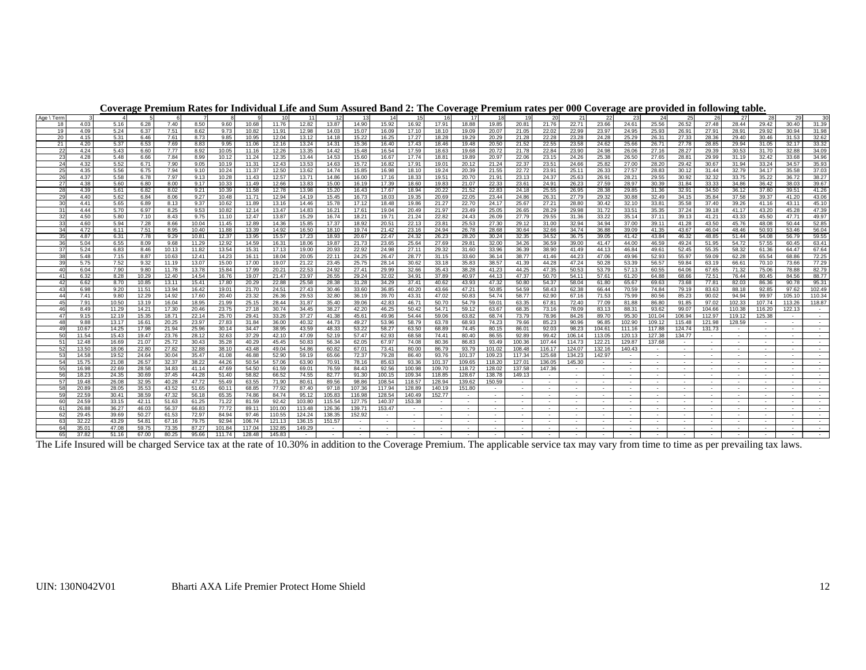|                       |       |       |       |       |       |        |        |        |        |        |        |        |        |        |        |        |                |        |        |                 | coverage i remain isano for marviaaa me and sam moan ea bana 2, The coverage i remain rano per voo coverage are proviaea in fonoming aaste |        |        |        |        |        |                          |        |
|-----------------------|-------|-------|-------|-------|-------|--------|--------|--------|--------|--------|--------|--------|--------|--------|--------|--------|----------------|--------|--------|-----------------|--------------------------------------------------------------------------------------------------------------------------------------------|--------|--------|--------|--------|--------|--------------------------|--------|
| Age \ Term            |       |       |       |       |       |        |        |        | 11     | 12     | 13     | 14     |        |        | 17     | 18     | 19             | 20     | 21     | 22              | 23                                                                                                                                         | 24     | 25     | 26     | 27     | 28     | 29                       | 30     |
| 18                    | 4.03  | 5.16  | 6.28  | 7.40  | 8.50  | 9.60   | 10.68  | 11.76  | 12.82  | 13.87  | 14.90  | 15.92  | 16.92  | 17.91  | 18.88  | 19.85  | 20.81          | 21.76  | 22.71  | 23.66           | 24.61                                                                                                                                      | 25.56  | 26.52  | 27.48  | 28.44  | 29.42  | 30.40                    | 31.39  |
| 19                    | 4.09  | 5.24  | 6.37  | 7.51  | 8.62  | 9.73   | 10.82  | 11.91  | 12.98  | 14.03  | 15.07  | 16.09  | 17.10  | 18.10  | 19.09  | 20.07  | 21.05          | 22.02  | 22.99  | 23.97           | 24.95                                                                                                                                      | 25.93  | 26.91  | 27.91  | 28.91  | 29.92  | 30.94                    | 31.98  |
| 20                    | 4.15  | 5.31  | 6.46  | 7.61  | 8.73  | 9.85   | 10.95  | 12.04  | 13.12  | 14.18  | 15.22  | 16.25  | 17.27  | 18.28  | 19.29  | 20.29  | 21.28          | 22.28  | 23.28  | 24.28           | 25.29                                                                                                                                      | 26.31  | 27.33  | 28.36  | 29.40  | 30.46  | 31.53                    | 32.62  |
| 21                    | 4.20  | 5.37  | 6.53  | 7.69  | 8.83  | 9.95   | 11.06  | 12.16  | 13.24  | 14.31  | 15.36  | 16.40  | 17.43  | 18.46  | 19.48  | 20.50  | 21.52          | 22.55  | 23.58  | 24.62           | 25.66                                                                                                                                      | 26.71  | 27.78  | 28.85  | 29.94  | 31.05  | 32.17                    | 33.32  |
| 22                    | 4.24  | 5.43  | 6.60  | 7.77  | 8.92  | 10.05  | 11.16  | 12.26  | 13.35  | 14.42  | 15.48  | 16.54  | 17.59  | 18.63  | 19.68  | 20.72  | 21.78          | 22.84  | 23.90  | 24.98           | 26.06                                                                                                                                      | 27.16  | 28.27  | 29.39  | 30.53  | 31.70  | 32.88                    | 34.09  |
| 23                    | 4.28  | 5.48  | 6.66  | 7.84  | 8.99  | 10.12  | 11.24  | 12.35  | 13.44  | 14.53  | 15.60  | 16.67  | 17.74  | 18.81  | 19.89  | 20.97  | 22.06          | 23.15  | 24.26  | 25.38           | 26.50                                                                                                                                      | 27.65  | 28.81  | 29.99  | 31.19  | 32.42  | 33.68                    | 34.96  |
| 24                    | 4.32  | 5.52  | 6.71  | 7.90  | 9.05  | 10.19  | 11.31  | 12.43  | 13.53  | 14.63  | 15.72  | 16.82  | 17.91  | 19.01  | 20.12  | 21.24  | 22.37          | 23.51  | 24.66  | 25.82           | 27.00                                                                                                                                      | 28.20  | 29.42  | 30.67  | 31.94  | 33.24  | 34.57                    | 35.93  |
| 25                    | 4.35  | 5.56  | 6.75  | 7.94  | 9.10  | 10.24  | 11.37  | 12.50  | 13.62  | 14.74  | 15.85  | 16.98  | 18.10  | 19.24  | 20.39  | 21.55  | 22.72          | 23.91  | 25.11  | 26.33           | 27.57                                                                                                                                      | 28.83  | 30.12  | 31.44  | 32.79  | 34.17  | 35.58                    | 37.03  |
| 26                    | 4.37  | 5.58  | 6.78  | 7.97  | 9.13  | 10.28  | 11.43  | 12.57  | 13.71  | 14.86  | 16.00  | 17.16  | 18.33  | 19.51  | 20.70  | 21.91  | 23.13          | 24.37  | 25.63  | 26.91           | 28.21                                                                                                                                      | 29.55  | 30.92  | 32.32  | 33.75  | 35.22  | 36.72                    | 38.27  |
| 27                    | 4.38  |       | 6.80  | 8.00  | 9.17  | 10.33  | 11.49  | 12.66  | 13.83  | 15.00  | 16.19  | 17.39  | 18.60  | 19.83  | 21.07  | 22.33  | 23.61          | 24.91  | 26.23  | 27.59           |                                                                                                                                            | 30.39  | 31.84  | 33.33  | 34.86  | 36.42  | 38.03                    | 39.67  |
|                       |       | 5.60  |       |       |       |        | 11.58  |        |        |        |        |        |        |        |        |        |                | 25.55  |        | 28.38           | 28.97                                                                                                                                      |        |        |        |        |        | 39.51                    |        |
| 28                    | 4.39  | 5.61  | 6.82  | 8.02  | 9.21  | 10.39  |        | 12.78  | 13.98  | 15.20  | 16.43  | 17.67  | 18.94  | 20.22  | 21.52  | 22.83  | 24.18          |        | 26.95  |                 | 29.85                                                                                                                                      | 31.36  | 32.91  | 34.50  | 36.12  | 37.80  |                          | 41.26  |
| 29                    | 4.40  | 5.62  | 6.84  | 8.06  | 9.27  | 10.48  | 11.71  | 12.94  | 14.19  | 15.45  | 16.73  | 18.03  | 19.35  | 20.69  | 22.05  | 23.44  | 24.86          | 26.31  | 27.79  | 29.32           | 30.88                                                                                                                                      | 32.49  | 34.15  | 35.84  | 37.58  | 39.37  | 41.20                    | 43.06  |
| 30                    | 4.41  | 5.65  | 6.89  | 8.13  | 9.37  | 10.62  | 11.89  | 13.16  | 14.46  | 15.78  | 17.12  | 18.48  | 19.86  | 21.27  | 22.70  | 24.17  | 25.67          | 27.21  | 28.80  | 30.42           | 32.10                                                                                                                                      | 33.81  | 35.58  | 37.40  | 39.26  | 41.16  | 43.11                    | 45.10  |
| -31                   | 4.44  | 5.70  | 6.97  | 8.25  | 9.53  | 10.82  | 12.14  | 13.47  | 14.83  | 16.21  | 17.61  | 19.04  | 20.49  | 21.97  | 23.49  | 25.05  | 26.65          | 28.29  | 29.98  | 31.72           | 33.51                                                                                                                                      | 35.35  | 37.24  | 39.18  | 41.17  | 43.20  | 45.28                    | 47.39  |
| 32                    | 4.50  | 5.80  | 7.10  | 8.43  | 9.75  | 11.10  | 12.47  | 13.87  | 15.29  | 16.74  | 18.21  | 19.71  | 21.24  | 22.82  | 24.43  | 26.09  | 27.79          | 29.55  | 31.36  | 33.22           | 35.14                                                                                                                                      | 37.11  | 39.13  | 41.21  | 43.33  | 45.50  | 47.71                    | 49.97  |
| 33                    | 4.60  | 5.94  | 7.28  | 8.66  | 10.04 | 11.45  | 12.89  | 14.36  | 15.85  | 17.37  | 18.92  | 20.51  | 22.13  | 23.81  | 25.53  | 27.30  | 29.12          | 31.00  | 32.94  | 34.94           | 37.00                                                                                                                                      | 39.11  | 41.28  | 43.50  | 45.76  | 48.08  | 50.44                    | 52.85  |
| 34                    | 4.72  | 6.11  | 7.51  | 8.95  | 10.40 | 11.88  | 13.39  | 14.92  | 16.50  | 18.10  | 19.74  | 21.42  | 23.16  | 24.94  | 26.78  | 28.68  | 30.64          | 32.66  | 34.74  | 36.88           | 39.09                                                                                                                                      | 41.35  | 43.67  | 46.04  | 48.46  | 50.93  | 53.46                    | 56.04  |
| 35                    | 4.87  | 6.31  | 7.78  | 9.29  | 10.81 | 12.37  | 13.95  | 15.57  | 17.23  | 18.93  | 20.67  | 22.47  | 24.32  | 26.23  | 28.20  | 30.24  | 32.35          | 34.52  | 36.75  | 39.05           | 41.42                                                                                                                                      | 43.84  | 46.32  | 48.85  | 51.44  | 54.08  | 56.79                    | 59.55  |
| 36                    | 5.04  | 6.55  | 8.09  | 9.68  | 11.29 | 12.92  | 14.59  | 16.31  | 18.06  | 19.87  | 21.73  | 23.65  | 25.64  | 27.69  | 29.81  | 32.00  | 34.26          | 36.59  | 39.00  | 41.47           | 44.00                                                                                                                                      | 46.59  | 49.24  | 51.95  | 54.72  | 57.55  | 60.45                    | 63.41  |
| 37                    | 5.24  | 6.83  | 8.46  | 10.13 | 11.82 | 13.54  | 15.31  | 17.13  | 19.00  | 20.93  | 22.92  | 24.98  | 27.11  | 29.32  | 31.60  | 33.96  | 36.39          | 38.90  | 41.49  | 44.13           | 46.84                                                                                                                                      | 49.61  | 52.45  | 55.35  | 58.32  | 61.36  | 64.47                    | 67.64  |
| 38                    | 5.48  | 7.15  | 8.87  | 10.63 | 12.41 | 14.23  | 16.11  | 18.04  | 20.05  | 22.11  | 24.25  | 26.47  | 28.77  | 31.15  | 33.60  | 36.14  | 38.77          | 41.46  | 44.23  | 47.06           | 49.96                                                                                                                                      | 52.93  | 55.97  | 59.09  | 62.28  | 65.54  | 68.86                    | 72.25  |
|                       | 5.75  | 7.52  | 9.32  | 11.19 | 13.07 | 15.00  | 17.00  | 19.07  | 21.22  | 23.45  | 25.75  | 28.14  | 30.62  | 33.18  | 35.83  | 38.57  | 41.39          | 44.28  | 47.24  | 50.28           | 53.39                                                                                                                                      | 56.57  | 59.84  | 63.19  | 66.61  | 70.10  | 73.66                    | 77.29  |
| $\Delta$              | 6.04  | 7.90  | 9.80  | 11.78 | 13.78 | 15.84  | 17.99  | 20.21  | 22.53  | 24.92  | 27.41  | 29.99  | 32.66  | 35.43  | 38.28  | 41.23  | 44.25          | 47.35  | 50.53  | 53.79           | 57.13                                                                                                                                      | 60.55  | 64.06  | 67.65  | 71.32  | 75.06  | 78.88                    | 82.79  |
| $\mathbf{A}$          | 6.32  | 8.28  | 10.29 | 12.40 | 14.54 | 16.76  | 19.07  | 21.47  | 23.97  | 26.55  | 29.24  | 32.02  | 34.91  | 37.89  | 40.97  | 44.13  | 47.37          | 50.70  | 54.11  | 57.61           | 61.20                                                                                                                                      | 64.88  | 68.66  | 72.51  | 76.44  | 80.45  | 84.56                    | 88.77  |
| $\overline{4}$        | 6.62  | 8.70  | 10.85 | 13.11 | 15.41 | 17.80  | 20.29  | 22.88  | 25.58  | 28.38  | 31.28  | 34.29  | 37.41  | 40.62  | 43.93  | 47.32  | 50.80          | 54.37  | 58.04  | 61.80           | 65.67                                                                                                                                      | 69.63  | 73.68  | 77.81  | 82.03  | 86.36  | 90.78                    | 95.31  |
| $\mathbf{A}^{\prime}$ | 6.98  | 9.20  | 11.51 | 13.94 | 16.42 | 19.01  | 21.70  | 24.51  | 27.43  | 30.46  | 33.60  | 36.85  | 40.20  | 43.66  | 47.21  | 50.85  | 54.59          | 58.43  | 62.38  | 66.44           | 70.59                                                                                                                                      | 74.84  | 79.19  | 83.63  | 88.18  | 92.85  | 97.62                    | 102.49 |
| 44                    | 7.41  | 9.80  | 12.29 | 14.92 | 17.60 | 20.40  | 23.32  | 26.36  | 29.53  | 32.80  | 36.19  | 39.70  | 43.31  | 47.02  | 50.83  | 54.74  | 58.77          | 62.90  | 67.16  | 71.53           | 75.99                                                                                                                                      | 80.56  | 85.23  | 90.02  | 94.94  | 99.9   | 105.10                   | 110.34 |
| 45                    | 7.91  | 10.50 | 13.19 | 16.04 | 18.95 | 21.99  | 25.15  | 28.44  | 31.87  | 35.40  | 39.06  | 42.83  | 46.71  | 50.70  | 54.79  | 59.01  | 63.35          | 67.81  | 72.40  | 77.09           | 81.88                                                                                                                                      | 86.80  | 91.85  | 97.02  | 102.33 | 107.74 | 113.26                   | 118.87 |
| 46                    | 8.49  | 11.29 | 14.21 | 17.30 | 20.46 | 23.75  | 27.18  | 30.74  | 34.45  | 38.27  | 42.20  | 46.25  | 50.42  | 54.71  | 59.12  | 63.67  | 68.35          | 73.16  | 78.09  | 83.13           | 88.31                                                                                                                                      | 93.62  | 99.07  | 104.66 | 110.38 | 116.20 | 122.13                   |        |
| 4 <sub>1</sub>        | 9.15  | 12.19 | 15.35 | 18.71 | 22.14 | 25.70  | 29.41  | 33.26  | 37.27  | 41.38  | 45.61  | 49.96  | 54.44  | 59.06  | 63.82  | 68.74  | 73.79          | 78.96  | 84.26  | 89.70           | 95.30                                                                                                                                      | 101.04 | 106.94 | 112.97 | 119.12 | 125.38 |                          |        |
| 48                    | 9.88  | 13.17 | 16.61 | 20.25 | 23.97 | 27.83  | 31.84  | 36.00  | 40.32  | 44.73  | 49.27  | 53.96  | 58.79  | 63.78  | 68.93  | 74.23  | 79.66          | 85.23  | 90.96  | 96.85           | 102.90                                                                                                                                     | 109.12 | 115.48 | 121.98 | 128.59 |        | $\sim$                   |        |
| 49                    | 10.67 | 14.25 | 17.98 | 21.94 | 25.96 | 30.14  | 34.47  | 38.95  | 43.59  | 48.33  | 53.22  | 58.27  | 63.50  | 68.89  | 74.45  | 80.15  | $86.0^{\circ}$ | 92.03  | 98.23  | 104.61          | 111.16                                                                                                                                     | 117.88 | 124.74 | 131.73 |        |        |                          |        |
| 50                    | 11.54 | 15.43 | 19.47 | 23.76 | 28.12 | 32.63  | 37.29  | 42.10  | 47.09  | 52.19  | 57.47  | 62.93  | 68.58  | 74.41  | 80.40  | 86.55  | 92.89          | 99.42  | 106.14 | 113.05          | 120.13                                                                                                                                     | 127.38 | 134,77 |        | $\sim$ |        | $\sim$                   |        |
| 51                    | 12.48 | 16.69 | 21.07 | 25.72 | 30.43 | 35.28  | 40.29  | 45.45  | 50.83  | 56.34  | 62.05  | 67.97  | 74.08  | 80.36  | 86.83  | 93.49  | 100.36         | 107.44 | 114.73 | $122.2^{\circ}$ | 129.87                                                                                                                                     | 137.68 |        |        | $\sim$ |        |                          |        |
| 52                    | 13.50 | 18.06 | 22.80 | 27.82 | 32.88 | 38.10  | 43.48  | 49.04  | 54.86  | 60.82  | 67.01  | 73.41  | 80.00  | 86.79  | 93.79  | 101.02 | 108.48         | 116.17 | 124.07 | 132.16          | 140.43                                                                                                                                     | $\sim$ | $\sim$ | $\sim$ | $\sim$ |        | $\sim$                   |        |
| -53                   | 14.58 | 19.52 | 24.64 | 30.04 | 35.47 | 41.08  | 46.88  | 52.90  | 59.19  | 65.66  | 72.37  | 79.28  | 86.40  | 93.76  | 101.37 | 109.23 | 117.34         | 125.68 | 134.23 | 142.97          |                                                                                                                                            |        |        |        | $\sim$ |        |                          |        |
| 54                    | 15.75 | 21.08 | 26.57 | 32.37 | 38.22 | 44.26  | 50.54  | 57.06  | 63.90  | 70.91  | 78.16  | 85.63  | 93.36  | 101.37 | 109.65 | 118.20 | 127.01         | 136.05 | 145.30 | $\sim$          | $\sim$                                                                                                                                     | $\sim$ | $\sim$ | $\sim$ | $\sim$ |        | $\sim$                   |        |
| 55                    |       |       |       |       |       |        |        |        |        |        |        |        |        |        |        |        |                |        |        |                 |                                                                                                                                            |        |        |        | $\sim$ |        |                          |        |
|                       | 16.98 | 22.69 | 28.58 | 34.83 | 41.14 | 47.69  | 54.50  | 61.59  | 69.01  | 76.59  | 84.43  | 92.56  | 100.98 | 109.70 | 118.72 | 128.02 | 137.58         | 147.36 |        |                 |                                                                                                                                            |        |        |        |        |        |                          |        |
| 56                    | 18.23 | 24.35 | 30.69 | 37.45 | 44.28 | 51.40  | 58.82  | 66.52  | 74.55  | 82.77  | 91.30  | 100.15 | 109.34 | 118.85 | 128.67 | 138.78 | 149.1          | $\sim$ | $\sim$ | $\sim$          | $\sim$                                                                                                                                     | $\sim$ | $\sim$ | $\sim$ | $\sim$ |        | $\sim$                   |        |
| 57                    | 19.48 | 26.08 | 32.95 | 40.28 | 47.72 | 55.49  | 63.55  | 71.90  | 80.61  | 89.56  | 98.86  | 108.54 | 118.57 | 128.94 | 139.62 | 150.59 |                | $\sim$ |        |                 |                                                                                                                                            |        |        |        | $\sim$ |        |                          |        |
|                       | 20.89 | 28.05 | 35.53 | 43.52 | 51.65 | 60.11  | 68.85  | 77.92  | 87.40  | 97.18  | 107.36 | 117.94 | 128.89 | 140.19 | 151.80 | $\sim$ |                |        |        |                 |                                                                                                                                            |        |        |        |        |        | $\overline{\phantom{a}}$ |        |
| 59                    | 22.59 | 30.41 | 38.59 | 47.32 | 56.18 | 65.35  | 74.86  | 84.74  | 95.12  | 105.83 | 116.98 | 128.54 | 140.49 | 152.77 |        |        |                |        |        |                 |                                                                                                                                            |        |        |        |        |        |                          |        |
| -60                   | 24.59 | 33.15 | 42.11 | 51.63 | 61.25 | 71.22  | 81.59  | 92.42  | 103.80 | 115.54 | 127.75 | 140.37 | 153.38 | $\sim$ |        | $\sim$ |                | $\sim$ |        |                 | $\sim$                                                                                                                                     |        | $\sim$ |        | $\sim$ |        | $\overline{\phantom{a}}$ |        |
| -61                   | 26.88 | 36.27 | 46.03 | 56.37 | 66.83 | 77.72  | 89.11  | 101.00 | 113.48 | 126.36 | 139.71 | 153.47 |        |        |        |        |                |        |        |                 |                                                                                                                                            |        |        |        |        |        |                          |        |
| 62                    | 29.45 | 39.69 | 50.27 | 61.53 | 72.97 | 84.94  | 97.46  | 110.55 | 124.24 | 138.35 | 152.92 | $\sim$ |        | $\sim$ |        | $\sim$ |                |        |        |                 |                                                                                                                                            |        |        |        | $\sim$ |        | $\sim$                   |        |
|                       | 32.22 | 43.29 | 54.81 | 67.16 | 79.75 | 92.94  | 106.74 | 121.13 | 136.15 | 151.57 |        |        |        |        |        |        |                |        |        |                 |                                                                                                                                            |        |        |        |        |        |                          |        |
|                       | 35.01 | 47.08 | 59.75 | 73.35 | 87.27 | 101.84 | 117.04 | 132.85 | 149.29 |        |        | $\sim$ |        | $\sim$ |        |        |                |        |        |                 |                                                                                                                                            |        |        |        |        |        |                          |        |
| 65                    | 37.82 | 51.16 | 67.00 | 80.25 | 95.66 | 111.74 | 128.48 | 145.83 |        |        |        |        |        |        |        |        |                |        |        |                 |                                                                                                                                            |        |        |        |        |        |                          |        |

#### **Coverage Premium Rates for Individual Life and Sum Assured Band 2: The Coverage Premium rates per 000 Coverage are provided in following table.**

The Life Insured will be charged Service tax at the rate of 10.30% in addition to the Coverage Premium. The applicable service tax may vary from time to time as per prevailing tax laws.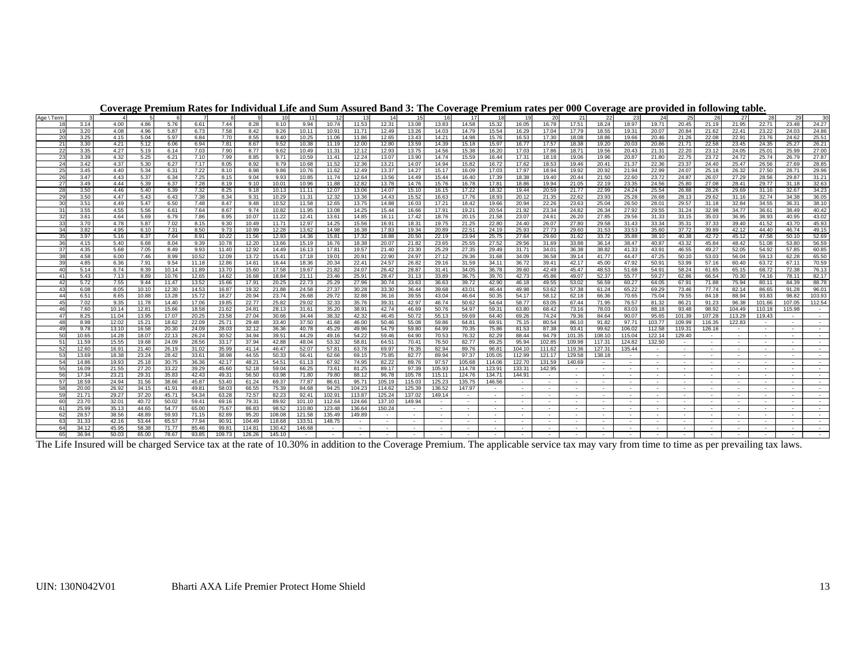|              |                |                |       |       |       |                |        |        | coverage i remium ruito for murviuum mit anu oum rissured bund of The coverage i remium ruits per voo coverage are proviued in ronowing uibre |        |        |                 |                |                 |        |                  |                 |                  |        |        |        |        |                  |        |                  |        |                          |        |
|--------------|----------------|----------------|-------|-------|-------|----------------|--------|--------|-----------------------------------------------------------------------------------------------------------------------------------------------|--------|--------|-----------------|----------------|-----------------|--------|------------------|-----------------|------------------|--------|--------|--------|--------|------------------|--------|------------------|--------|--------------------------|--------|
| Age \ Term   |                |                |       |       |       |                |        |        | 11                                                                                                                                            | 12     | 13     | 14              | 15             |                 | 17     |                  | 19 <sub>l</sub> | 20               | 21     | 22     | 23     | 24     | 25               | 26     | 27               | 28     | 29                       | 30     |
|              | 3.14           | 4.00           | 4.86  | 5.76  | 6.61  | 7.44           | 8.28   | 9.10   | 9.94                                                                                                                                          | 10.74  | 11.53  | 12.31           | 13.08          | 13.83           | 14.58  | 15.32            | 16.05           | 16.78            | 17.51  | 18.24  | 18.97  | 19.71  | 20.45            | 21.19  | 21.95            | 22.71  | 23.48                    | 24.27  |
| 19           | 3.20           | 4.08           | 4.96  | 5.87  | 6.73  | 7.58           | 8.42   | 9.26   | 10.11                                                                                                                                         | 10.91  | 11.71  | 12.49           | 13.26          | 14.03           | 14.79  | 15.54            | 16.29           | 17.04            | 17.79  | 18.55  | 19.31  | 20.07  | 20.84            | 21.62  | 22.41            | 23.22  | 24.03                    | 24.86  |
| 20           | 3.25           | 4.15           | 5.04  | 5.97  | 6.84  | 7.70           | 8.55   | 9.40   | 10.25                                                                                                                                         | 11.06  | 11.86  | 12.65           | 13.43          | 14.21           | 14.98  | 15.76            | 16.53           | 17.30            | 18.08  | 18.86  | 19.66  | 20.46  | 21.26            | 22.08  | 22.91            | 23.76  | 24.62                    | 25.51  |
| 21           | 3.30           | 4.21           | 5.12  | 6.06  | 6.94  | 7.81           | 8.67   | 9.52   | 10.38                                                                                                                                         | 11.19  | 12.00  | 12.80           | 13.59          | 14.39           | 15.18  | 15.97            | 16.77           | 17.57            | 18.38  | 19.20  | 20.03  | 20.86  | 21.71            | 22.58  | 23.45            | 24.35  | 25.27                    | 26.21  |
| 22           | 3.35           | 4.27           | 5.19  | 6.14  | 7.03  | 7.90           | 8.77   | 9.62   | 10.49                                                                                                                                         | 11.31  | 12.12  | 12.93           | 13.75          | 14.56           | 15.38  | 16.20            | 17.03           | 17.86            | 18.71  | 19.56  | 20.43  | 21.31  | 22.20            | 23.12  | 24.05            | 25.01  | 25.99                    | 27.00  |
| 23           | 3.39           | 4.32           | 5.25  | 6.21  | 7.10  | 7.99           | 8.85   | 9.71   | 10.59                                                                                                                                         | 11.41  | 12.24  | 13.07           | 13.90          | 14.74           | 15.59  | 16.44            | 17.31           | 18.18            | 19.06  | 19.96  | 20.87  | 21.80  | 22.75            | 23.72  | 24.72            | 25.74  | 26.79                    | 27.87  |
| 24           | 3.42           | 4.37           | 5.30  | 6.27  | 7.17  | 8.05           | 8.92   | 9.79   | 10.68                                                                                                                                         | 11.52  | 12.36  | 13.21           | 14.07          | 14.94           | 15.82  | 16.72            | 17.62           | 18.53            | 19.46  | 20.41  | 21.37  | 22.36  | 23.37            | 24.40  | 25.47            | 26.56  | 27.69                    | 28.85  |
| 25           | 3.45           | 4.40           | 5.34  | 6.31  | 7.22  | 8.10           | 8.98   | 9.86   | 10.76                                                                                                                                         | 11.62  | 12.49  | 13.37           | 14.27          | 15.17           | 16.09  | 17.03            | 17.97           | 18.94            | 19.92  | 20.92  | 21.94  | 22.99  | 24.07            | 25.18  | 26.32            | 27.50  | 28.71                    | 29.96  |
| 26           | 3.47           | 4.43           | 5.37  | 6.34  | 7.25  | 8.15           | 9.04   | 9.93   | 10.85                                                                                                                                         | 11.74  | 12.64  | 13.56           | 14.49          | 15.44           | 16.40  | 17.39            | 18.38           | 19.40            | 20.44  | 21.50  | 22.60  | 23.72  | 24.87            | 26.07  | 27.29            | 28.56  | 29.87                    | 31.21  |
| 27           | 3.49           | 4.44           | 5.39  | 6.37  | 7.28  | 8.19           | 9.10   | 10.01  | 10.96                                                                                                                                         | 11.88  | 12.82  | 13.78           | 14.76          | 15.76           | 16.78  | 17.81            | 18.86           | 19.94            | 21.05  | 22.19  | 23.35  | 24.56  | 25.80            | 27.08  | 28.41            | 29.77  | 31.18                    | 32.63  |
| 28           | 3.50           | 4.46           | 5.40  | 6.39  | 7.32  | 8.25           | 9.18   | 10.13  | 11.11                                                                                                                                         | 12.07  | 13.06  | 14.07           | 15.10          | 16.15           | 17.22  | 18.32            | 19.44           | 20.59            | 21.77  | 22.99  | 24.24  | 25.54  | 26.88            | 28.26  | 29.69            | 31.16  | 32.67                    | 34.23  |
| 29           | 3.50           | 4.47           | 5.43  | 6.43  | 7.38  | 8.34           | 9.31   |        | 11.31                                                                                                                                         | 12.32  | 13.36  | 14.43           | 15.52          | 16.63           | 17.76  | 18.93            | 20.12           | 21.35            | 22.62  | 23.93  | 25.28  | 26.68  | 28.13            | 29.62  | 31.16            | 32.74  | 34.38                    | 36.05  |
|              |                |                |       |       |       |                |        | 10.29  |                                                                                                                                               |        |        |                 |                |                 |        |                  |                 |                  |        |        |        |        |                  |        |                  |        |                          |        |
| 30           | 3.51           | 4.49           | 5.47  | 6.50  | 7.48  | 8.47           | 9.48   | 10.52  | 11.58                                                                                                                                         | 12.65  | 13.75  | 14.88           | 16.03          | 17.21           | 18.42  | 19.66            | 20.94           | 22.26            | 23.63  | 25.04  | 26.50  | 28.01  | 29.57            | 31.18  | 32.84            | 34.55  | 36.31                    | 38.10  |
| 31           | 3.55           | 4.55           | 5.56  | 6.61  | 7.64  | 8.67           | 9.74   | 10.82  | 11.95                                                                                                                                         | 13.08  | 14.25  | 15.44           | 16.66          | 17.91           | 19.21  | 20.54            | 21.92           | 23.34            | 24.82  | 26.34  | 27.92  | 29.55  | 31.24            | 32.98  | 34.77            | 36.61  | 38.49                    | 40.42  |
| 32           | 3.61           | 4.64           | 5.69  | 6.79  | 7.86  | 8.95           | 10.07  | 11.22  | 12.41                                                                                                                                         | 13.61  | 14.85  | 16.11           | 17.42          | 18.76           | 20.15  | 21.58            | 23.07           | 24.61            | 26.20  | 27.85  | 29.56  | 31.33  | 33.15            | 35.03  | 36.95            | 38.93  | 40.95                    | 43.02  |
| 33           | 3.70           | 4.78           | 5.87  | 7.02  | 8.15  | 9.30           | 10.49  | 11.71  | 12.97                                                                                                                                         | 14.25  | 15.56  | 16.91           | 18.31          | 19.75           | 21.25  | 22.80            | 24.40           | 26.07            | 27.80  | 29.58  | 31.43  | 33.34  | 35.31            | 37.33  | 39.40            | 41.52  | 43.70                    | 45.93  |
| 34           | 3.82           | 4.95           | 6.10  | 7.31  | 8.50  | 9.73           | 10.99  | 12.28  | 13.62                                                                                                                                         | 14.98  | 16.38  | 17.83           | 19.34          | 20.89           | 22.51  | 24.19            | 25.93           | 27.73            | 29.60  | 31.53  | 33.53  | 35.60  | 37.72            | 39.89  | 42.12            | 44.40  | 46.74                    | 49.15  |
|              | 3.97           | 5.16           | 6.37  | 7.64  | 8.91  | 10.22          | 11.56  | 12.93  | 14.36                                                                                                                                         | 15.81  | 17.32  | 18.88           | 20.50          | 22.19           | 23.94  | 25.75            | 27.64           | 29.60            | 31.62  | 33.72  | 35.88  | 38.10  | 40.38            | 42.72  | 45.12            | 47.58  | 50.10                    | 52.69  |
|              | 4.15           | 5.40           | 6.68  | 8.04  | 9.39  | 10.78          | 12.20  | 13.66  | 15.19                                                                                                                                         | 16.76  | 18.38  | 20.07           | 21.82          | 23.65           | 25.55  | 27.52            | 29.56           | 31.69            | 33.88  | 36.14  | 38.47  | 40.87  | 43.32            | 45.84  | 48.42            | 51.08  | 53.80                    | 56.59  |
| 37           | 4.35           | 5.68           | 7.05  | 8.49  | 9.93  | 11.40          | 12.92  | 14.49  | 16.13                                                                                                                                         | 17.81  | 19.57  | 21.40           | 23.30          | 25.29           | 27.35  | 29.49            | 31.71           | 34.01            | 36.38  | 38.82  | 41.33  | 43.91  | 46.55            | 49.27  | 52.05            | 54.92  | 57.85                    | 60.85  |
|              | 4.58           | 6.00           | 7.46  | 8.99  | 10.52 | 12.09          | 13.72  | 15.41  | 17.18                                                                                                                                         | 19.01  | 20.91  | 22.90           | 24.97          | 27.12           | 29.36  | 31.68            | 34.09           | 36.58            | 39.14  | 41.77  | 44.47  | 47.25  | 50.10            | 53.03  | 56.04            | 59.13  | 62.28                    | 65.50  |
|              | 4.85           | 6.36           | 7.91  | 9.54  | 11.18 | 12.86          | 14.61  | 16.44  | 18.36                                                                                                                                         | 20.34  | 22.41  | 24.57           | 26.82          | 29.16           | 31.59  | 34.11            | 36.72           | 39.41            | 42.17  | 45.00  | 47.92  | 50.91  | 53.99            | 57.16  | 60.40            | 63.72  | 67.11                    | 70.59  |
|              | 5.14           | 6.74           | 8.39  | 10.14 | 11.89 | 13.70          | 15.60  | 17.58  | 19.67                                                                                                                                         | 21.82  | 24.07  | 26.42           | 28.87          | 31.41           | 34.05  | 36.78            | 39.60           | 42.49            | 45.47  | 48.53  | 51.68  | 54.91  | 58.24            | 61.65  | 65.15            | 68.72  | 72.38                    | 76.13  |
| $\mathbf{A}$ | 5.43           | 7.13           | 8.89  | 10.76 | 12.65 | 14.62          | 16.68  | 18.84  | 21.11                                                                                                                                         | 23.46  | 25.91  | 28.47           | 31.13          | 33.89           | 36.75  | 39.70            | 42.73           | 45.86            | 49.07  | 52.37  | 55.77  | 59.27  | 62.86            | 66.54  | 70.30            | 74.16  | 78.11                    | 82.17  |
|              | 5.72           | 7.55           | 9.44  | 11.47 | 13.52 | 15.66          | 17.91  | 20.25  | 22.73                                                                                                                                         | 25.29  | 27.96  | 30.74           | 33.63          | 36.63           | 39.72  | 42.90            | 46.18           | 49.55            | 53.02  | 56.59  | 60.27  | 64.05  | 67.91            | 71.88  | 75.94            | 80.11  | 84.39                    | 88.78  |
| 4:           | 6.08           | 8.05           | 10.10 | 12.30 | 14.53 | 16.87          | 19.32  | 21.88  | 24.58                                                                                                                                         | 27.37  | 30.28  | 33.30           | 36.44          | 39.68           | 43.01  | 46.44            | 49.98           | 53.62            | 57.38  | 61.24  | 65.22  | 69.29  | 73.46            | 77.74  | 82.14            | 86.65  | 91.28                    | 96.01  |
| 44           | 6.51           | 8.65           | 10.88 | 13.28 | 15.72 | 18.27          | 20.94  | 23.74  | 26.68                                                                                                                                         | 29.72  | 32.88  | 36.16           | 39.55          | 43.04           | 46.64  | 50.35            | 54.17           | 58.12            | 62.18  | 66.36  | 70.65  | 75.04  | 79.55            | 84.18  | 88.94            | 93.83  | 98.82                    | 103.93 |
| 45           | 7.02           | 9.35           | 11.78 | 14.40 | 17.06 | 19.85          | 22.77  | 25.82  | 29.02                                                                                                                                         | 32.33  | 35.76  | 39.31           | 42.97          | 46.74           | 50.62  | 54.64            | 58.77           | 63.05            | 67.44  | 71.95  | 76.57  | 81.32  | 86.21            | 91.23  | 96.38            | 101.66 | 107.05                   | 112.54 |
| 46           | 7.60           | 10.14          | 12.81 | 15.66 | 18.58 | 21.62          | 24.81  | 28.13  | 31.61                                                                                                                                         | 35.20  | 38.91  | 42.74           | 46.69          | 50.76           | 54.97  | 59.31            | 63.80           | 68.42            | 73.16  | 78.03  | 83.03  | 88.18  | 93.48            | 98.92  | 104.49           | 110.18 | 115.98                   |        |
| 47           | 8.25           | 11.04          | 13.95 | 17.07 | 20.25 | 23.58          | 27.04  | 30.66  | 34.44                                                                                                                                         | 38.32  | 42.32  | 46.45           | 50.72          | 55.13           | 59.69  | 64.40            | 69.26           | 74.24            | 79.36  | 84.64  | 90.07  | 95.65  | 101.39           | 107.28 | 113.29           | 119.43 |                          |        |
| 48           | 8.98           | 12.02          | 15.21 | 18.62 | 22.09 | 25.71          | 29.48  | 33.40  | 37.50                                                                                                                                         | 41.68  | 46.00  | 50.46           | 55.08          | 59.86           | 64.81  | 69.91            | 75.15           | 80.54            | 86.10  | 91.82  | 97.71  | 103.77 | 109.99           | 116.35 | 122.83           |        | $\sim$                   |        |
| 49           | 9.78           | 13.10          | 16.58 | 20.30 | 24.09 | 28.03          | 32.12  | 36.36  | 40.78                                                                                                                                         | 45.29  | 49.96  | 54.79           | 59.80          | 64.99           | 70.35  | 75.86            | 81.53           | 87.38            | 93.41  | 99.62  | 106.02 | 112.58 | 119.31           | 126.16 | $\sim$           |        |                          |        |
| 50           | 10.65          | 14.28          | 18.07 | 22.13 | 26.24 | 30.52          | 34.94  | 39.51  | 44.29                                                                                                                                         | 49.16  | 54.22  | 59.46           | 64.90          | 70.53           | 76.32  | 82.29            | 88.44           | 94.79            | 101.35 | 108.10 | 115.04 | 122.14 | 129.40           |        | $\sim$           |        | $\sim$                   |        |
| 51           | 11.59          | 15.55          | 19.68 | 24.09 | 28.56 | 33.17          | 37.94  | 42.88  | 48.04                                                                                                                                         | 53.32  | 58.81  | 64.51           | 70.41          | 76.50           | 82.77  | 89.25            | 95.94           | 102.85           | 109.98 | 117.31 | 124.82 | 132.50 |                  |        | $\sim$           |        |                          |        |
|              | 12.60          | 16.91          | 21.40 | 26.19 | 31.02 | 35.99          | 41.14  | 46.47  | 52.07                                                                                                                                         | 57.81  | 63.78  | 69.97           | 76.35          | 82.94           | 89.76  | 96.81            | 104.10          | 111.62           | 119.36 | 127.31 | 135.44 |        | $\sim$           |        | $\sim$           |        | $\sim$                   |        |
| 53           | 13.69          | 18.38          | 23.24 | 28.42 | 33.61 | 38.98          | 44.55  | 50.33  | 56.41                                                                                                                                         | 62.66  | 69.15  | 75.85           | 82.77          | 89.94           | 97.37  | 105.05           | 112.99          | 121.17           | 129.58 | 138.18 |        |        |                  |        |                  |        |                          |        |
|              |                |                |       |       |       |                |        |        |                                                                                                                                               |        |        |                 |                |                 |        |                  |                 |                  |        |        |        |        |                  |        |                  |        |                          |        |
| 54<br>55     | 14.86<br>16.09 | 19.93<br>21.55 | 25.18 | 30.75 | 36.36 | 42.17<br>45.60 | 48.21  | 54.51  | 61.13                                                                                                                                         | 67.92  | 74.95  | 82.22           | 89.76<br>97.39 | 97.57<br>105.93 | 105.68 | 114.06<br>123.91 | 122.70          | 131.59<br>142.95 | 140.69 |        | $\sim$ | $\sim$ | $\sim$<br>$\sim$ |        | $\sim$<br>$\sim$ |        | $\sim$                   |        |
|              |                |                | 27.20 | 33.22 | 39.29 |                | 52.18  | 59.04  | 66.25                                                                                                                                         | 73.61  | 81.25  | 89.17           |                |                 | 114.78 |                  | 133.31          |                  |        |        |        |        |                  |        |                  |        |                          |        |
| 56           | 17.34          | 23.21          | 29.31 | 35.83 | 42.43 | 49.31          | 56.50  | 63.98  | 71.80                                                                                                                                         | 79.80  | 88.12  | 96.78           | 105.78         | 115.11          | 124.76 | 134.71           | 144.91          | $\sim$           | $\sim$ |        | $\sim$ | $\sim$ | $\sim$           |        | $\sim$           |        | $\sim$                   |        |
| 57           | 18.59          | 24.94          | 31.56 | 38.66 | 45.87 | 53.40          | 61.24  | 69.37  | 77.87                                                                                                                                         | 86.61  | 95.71  | 105.19          | 115.03         | 125.23          | 135.75 | 146.56           |                 |                  |        |        |        |        |                  |        |                  |        |                          |        |
| 58           | 20.00          | 26.92          | 34.15 | 41.91 | 49.81 | 58.03          | 66.55  | 75.39  | 84.68                                                                                                                                         | 94.25  | 104.23 | 114.62          | 125.39         | 136.52          | 147.97 | $\sim$           |                 |                  |        |        |        |        |                  |        |                  |        | $\overline{\phantom{a}}$ |        |
| 59           | 21.71          | 29.27          | 37.20 | 45.71 | 54.34 | 63.28          | 72.57  | 82.23  | 92.41                                                                                                                                         | 102.91 | 113.87 | 125.24          | 137.02         | 149.14          |        |                  |                 |                  |        |        |        |        |                  |        |                  |        |                          |        |
| 6C           | 23.70          | 32.01          | 40.72 | 50.02 | 59.41 | 69.16          | 79.31  | 89.92  | 101.10                                                                                                                                        | 112.64 | 124.66 | 137.10          | 149.94         | $\sim$          |        |                  |                 |                  |        |        |        |        |                  |        |                  |        |                          |        |
| 61           | 25.99          | 35.13          | 44.65 | 54.77 | 65.00 | 75.67          | 86.83  | 98.52  | 110.80                                                                                                                                        | 123.48 | 136.64 | 150.24          |                |                 |        |                  |                 |                  |        |        |        |        |                  |        |                  |        |                          |        |
|              | 28.57          | 38.56          | 48.89 | 59.93 | 71.15 | 82.89          | 95.20  | 108.08 | 121.58                                                                                                                                        | 135.49 | 149.89 |                 |                |                 |        |                  |                 |                  |        |        |        |        |                  |        |                  |        |                          |        |
|              | 31.33          | 42.16          | 53.44 | 65.57 | 77.94 | 90.91          | 104.49 | 118.68 | 133.51                                                                                                                                        | 148.75 |        | $\sim$          |                |                 |        |                  |                 |                  |        |        |        |        |                  |        |                  |        |                          |        |
|              | 34.12          | 45.95          | 58.38 | 71.77 | 85.46 | 99.81          | 114.81 | 130.42 | 146.68                                                                                                                                        |        |        | $\sim$ 10 $\pm$ |                | $\sim$          |        |                  |                 |                  |        |        |        |        |                  |        |                  |        |                          |        |
| 65           | 36.94          | 50.03          | 65.00 | 78.67 | 93.85 | 109.73         | 126.26 | 145.10 |                                                                                                                                               |        |        |                 |                |                 |        |                  |                 |                  |        |        |        |        |                  |        |                  |        |                          |        |

#### **Coverage Premium Rates for Individual Life and Sum Assured Band 3: The Coverage Premium rates per 000 Coverage are provided in following table.**

65 36.94 50.03 65.00 78.67 93.85 109.73 126.26 145.10 - - - - - - - - - - - - - - - - - - - -The Life Insured will be charged Service tax at the rate of 10.30% in addition to the Coverage Premium. The applicable service tax may vary from time to time as per prevailing tax laws.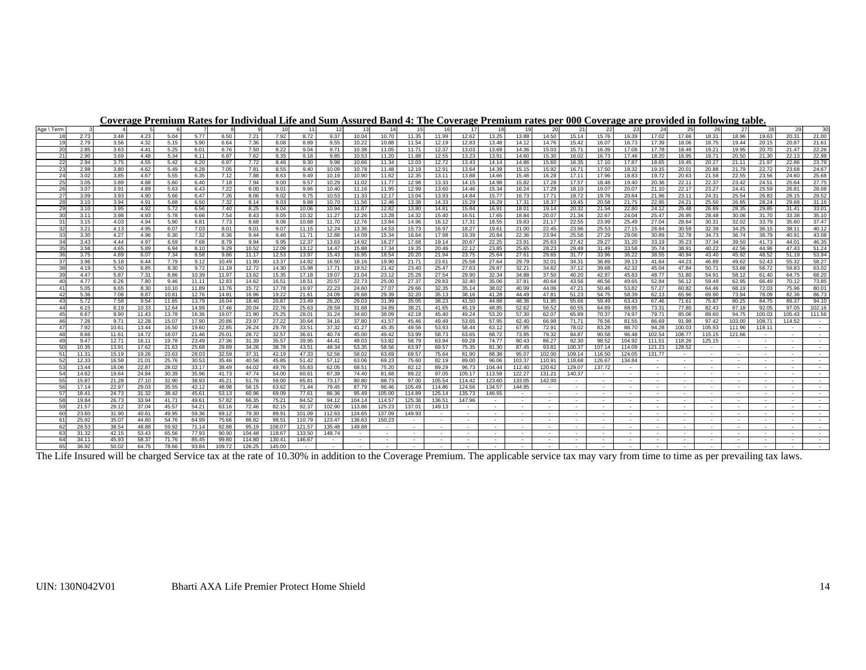| Coverage Premium Rates for Individual Life and Sum Assured Band 4: The Coverage Premium rates per 000 Coverage are provided in following table. |
|-------------------------------------------------------------------------------------------------------------------------------------------------|
|-------------------------------------------------------------------------------------------------------------------------------------------------|

| Age \ Term |               |                |                |                |                |                |                |                |                |                |                |                | 15             |                |                |                | 19             |                | 21              |                 |                  | 24               | 25     | 26     | 27                   | 28     |                          |        |
|------------|---------------|----------------|----------------|----------------|----------------|----------------|----------------|----------------|----------------|----------------|----------------|----------------|----------------|----------------|----------------|----------------|----------------|----------------|-----------------|-----------------|------------------|------------------|--------|--------|----------------------|--------|--------------------------|--------|
|            | 2.73          | 3.48           | 4.23           | 5.04           | 5.77           | 6.50           | 7.21           | 7.92           | 8.72           | 9.37           | 10.04          | 10.70          | 11.35          | 11.99          | 12.62          | 13.25          | 13.88          | 14.50          | 15.14           | 15.76           | 16.39            | 17.02            | 17.66  | 18.31  | 18.96                | 19.63  | 20.31                    | 21.00  |
|            | 2.79          | 3.56           | 4.32           | 5.15           | 5.90           | 6.64           | 7.36           | 8.08           | 8.89           | 9.55           | 10.22          | 10.88          | 11.54          | 12.19          | 12.83          | 13.48          | 14.12          | 14.76          | 15.42           | 16.07           | 16.73            | 17.39            | 18.06  | 18.75  | 19.44                | 20.15  | 20.87                    | 21.61  |
| 20         | 2.85          | 3.63           | 4.41           | 5.25           | 6.01           | 6.76           | 7.50           | 8.22           | 9.04           | 9.71           | 10.38          | 11.05          | 11.71          | 12.37          | 13.03          | 13.69          | 14.36          | 15.03          | 15.71           | 16.39           | 17.08            | 17.78            | 18.49  | 19.21  | 19.95                | 20.70  | 21.47                    | 22.26  |
|            | 2.90          | 3.69           | 4.48           | 5.34           | 6.11           | 6.87           | 7.62           | 8.35           | 9.18           | 9.85           | 10.53          | 11.20          | 11.88          | 12.55          | 13.23          | 13.91          | 14.60          | 15.30          | 16.02           | 16.73           | 17.46            | 18.20            | 18.95  | 19.71  | 20.50                | 21.30  | 22.13                    | 22.98  |
| 22         | 2.94          | 3.75           | 4.55           | 5.42           | 6.20           | 6.97           | 7.72           | 8.46           | 9.30           | 9.98           | 10.66          | 11.34          | 12.03          | 12.72          | 13.43          | 14.14          | 14.86          | 15.60          | 16.35           | 17.10           | 17.87            | 18.65            | 19.45  | 20.27  | 21.11                | 21.97  | 22.86                    | 23.78  |
|            | 2.98          | 3.80           | 4.62           | 5.49           | 6.28           | 7.05           | 7.81           | 8.55           | 9.40           | 10.09          | 10.78          | 11.48          | 12.19          | 12.91          | 13.64          | 14.39          | 15.15          | 15.92          | 16.71           | 17.50           | 18.32            | 19.15            | 20.01  | 20.88  | 21.79                | 22.72  | 23.68                    | 24.67  |
|            | 3.02          | 3.85           | 4.67           | 5.55           | 6.35           | 7.12           | 7.88           | 8.63           | 9.49           | 10.19          | 10.90          | 11.62          | 12.35          | 13.11          | 13.88          | 14.66          | 15.46          | 16.28          | 17.11           | 17.96           | 18.83            | 19.72            | 20.63  | 21.58  | 22.55                | 23.56  | 24.60                    | 25.68  |
|            | 3.05          | 3.89           | 4.88           | 5.60           | 6.40           | 7.18           | 7.94           | 9.00           | 9.57           | 10.29          | 11.02          | 11.77          | 12.98          | 13.33          | 14.15          | 14.98          | 15.82          | 17.28          | 17.57           | 18.48           | 19.40            | 20.36            | 22.11  | 22.37  | 23.42                | 24.51  | 25.64                    | 27.75  |
|            | 3.07          | 3.91           | 4.89           | 5.63           | 6.43           | 7.22           | 8.00           | 9.01           | 9.66           | 10.40          | 11.16          | 11.95          | 12.99          | 13.60          | 14.46          | 15.34          | 16.24          | 17.29          | 18.10           | 19.07           | 20.07            | 21.10            | 22.17  | 23.27  | 24.41                | 25.59  | 26.81                    | 28.08  |
|            | 3.09          | 3.93           | 4.90           | 5.66           | 6.47           | 7.26           | 8.06           | 9.02           | 9.75           | 10.53          | 11.33          | 12.17          | 13.04          | 13.93          | 14.84          | 15.77          | 16.73          | 17.71          | 18.72           | 19.76           | 20.84            | 21.96            | 23.11  | 24.31  | 25.54                | 26.83  | 28.15                    | 29.52  |
|            | 3.10          | 3.94           | 4.91           | 5.68           | 6.50           | 7.32           | 8.14           | 9.03           | 9.88           | 10.70          | 11.56          | 12.46          | 13.38          | 14.33          | 15.29          | 16.29          | 17.31          | 18.37          | 19.45           | 20.58           | 21.75            | 22.95            | 24.21  | 25.50  | 26.85                | 28.24  | 29.68                    | 31.16  |
|            | 3.10          | 3.95           | 4.92           | 5.72           | 6.56           | 7.40           | 8.25           | 9.04           | 10.06          | 10.94          | 11.87          | 12.82          | 13.80          | 14.81          | 15.84          | 16.91          | 18.01          | 19.14          | 20.32           | 21.54           | 22.80            | 24.12            | 25.48  | 26.89  | 28.35                | 29.85  | 31.41                    | 33.01  |
|            | 3.11          | 3.98           | 4.93           | 5.78           | 6.66           | 7.54           | 8.43           | 9.05           | 10.32          | 11.27          | 12.26          | 13.28          | 14.32          | 15.40          | 16.51          | 17.65          | 18.84          | 20.07          | 21.34           | 22.67           | 24.04            | 25.47            | 26.95  | 28.48  | 30.06                | 31.70  | 33.38                    | 35.10  |
|            | 3.15          | 4.03           | 4.94           | 5.90           | 6.81           | 7.73           | 8.68           | 9.06           | 10.68          | 11.70          | 12.76          | 13.84          | 14.96          | 16.12          | 17.31          | 18.55          | 19.83          | 21.17          | 22.55           | 23.99           | 25.49            | 27.04            | 28.64  | 30.31  | 32.02                | 33.79  | 35.60                    | 37.47  |
|            | 3.21          | 4.13           | 4.95           | 6.07           | 7.03           | 8.01           | 9.01           | 9.07           | 11.15          | 12.24          | 13.36          | 14.53          | 15.73          | 16.97          | 18.27          | 19.61          | 21.00          | 22.45          | 23.96           | 25.53           | 27.15            | 28.84            | 30.59  | 32.39  | 34.25                | 36.15  | 38.11                    | 40.12  |
|            | 3.30          | 4.27           | 4.96           | 6.30           | 7.32           | 8.36           | 9.44           | 9.46           | 11.71          | 12.88          | 14.09          | 15.34          | 16.64          | 17.98          | 19.39          | 20.84          | 22.36          | 23.94          | 25.58           | 27.29           | 29.06            | 30.89            | 32.78  | 34.73  | 36.74                | 38.79  | 40.91                    | 43.08  |
| 34         | 3.43          | 4.44           | 4.97           | 6.59           | 7.68           | 8.79           | 9.94           | 9.95           | 12.37          | 13.63          | 14.92          | 16.27          | 17.68          | 19.14          | 20.67          | 22.25          | 23.91          | 25.63          | 27.42           | 29.27           | 31.20            | 33.19            | 35.23  | 37.34  | 39.50                | 41.73  | 44.01                    | 46.35  |
|            | 3.58          | 4.65           | 5.89           | 6.94           | 8.10           | 9.29           | 10.52          | 12.09          | 13.12          | 14.47          | 15.88          | 17.34          | 19.35          | 20.46          | 22.12          | 23.85          | 25.65          | 28.23          | 29.48           | 31.49           | 33.58            | 35.74            | 38.91  | 40.22  | 42.56                | 44.96  | 47.43                    | 51.24  |
|            | 3.75          | 4.89           | 6.07           | 7.34           | 8.58           | 9.86           | 11.17          | 12.53          | 13.97          | 15.43          | 16.95          | 18.54          | 20.20          | 21.94          | 23.75          | 25.64          | 27.61          | 29.65          | 31.77           | 33.96           | 36.22            | 38.55            | 40.94  | 43.40  | 45.92                | 48.52  | 51.19                    | 53.94  |
|            | 3.96          | 5.18           | 6.44           | 7.79           | 9.12           | 10.49          | 11.90          | 13.37          | 14.92          | 16.50          | 18.16          | 19.90          | 21.71          | 23.61          | 25.58          | 27.64          | 29.79          | 32.01          | 34.31           | 36.69           | 39.13            | 41.64            | 44.23  | 46.89  | 49.62                | 52.43  | 55.32                    | 58.27  |
| 38         | 4.19          | 5.50           | 6.85           | 8.30           | 9.72           | 11.19          | 12.72          | 14.30          | 15.98          | 17.71          | 19.52          | 21.42          | 23.40          | 25.47          | 27.63          | 29.87          | 32.21          | 34.62          | 37.12           | 39.68           | 42.32            | 45.04            | 47.84  | 50.71  | 53.68                | 56.72  | 59.83                    | 63.02  |
|            | 4.47          | 5.87           | 7.31           | 8.86           | 10.39          | 11.97          | 13.62          | 15.35          | 17.18          | 19.07          | 21.04          | 23.12          | 25.28          | 27.54          | 29.90          | 32.34          | 34.88          | 37.50          | 40.20           | 42.97           | 45.83            | 48.77            | 51.80  | 54.91  | 58.12                | 61.40  | 64.75                    | 68.20  |
| 40         | 4.77          | 6.26           | 7.80           | 9.46           | 11.11          | 12.83          | 14.62          | 16.51          | 18.51          | 20.57          | 22.73          | 25.00          | 27.37          | 29.83          | 32.40          | 35.06          | 37.81          | 40.64          | 43.56           | 46.56           | 49.65            | 52.84            | 56.12  | 59.49  | 62.95                | 66.49  | 70.12                    | 73.85  |
| 41         | 5.05          | 6.65           | 8.30           | 10.10          | 11.89          | 13.76          | 15.72          | 17.78          | 19.97          | 22.23          | 24.60          | 27.07          | 29.66          | 32.35          | 35.14          | 38.02          | 40.99          | 44.06          | 47.21           | 50.46           | 53.82            | 57.27            | 60.82  | 64.46  | 68.19                | 72.03  | 75.96                    | 80.01  |
| 42         | 5.36          | 7.08           | 8.87           | 10.81          | 12.76          | 14.81          | 16.96          | 19.22          | 21.61          | 24.09          | 26.68          | 29.39          | 32.20          | 35.13          | 38.16          | 41.28          | 44.49          | 47.81          | 51.23           | 54.75           | 58.39            | 62.13            | 65.96  | 69.90  | 73.94                | 78.09  | 82.36                    | 86.73  |
|            | 5.72          | 7.58           | 9.54           | 11.65          | 13.79          | 16.04          | 18.40          | 20.87          | 23.49          | 26.20          | 29.03          | 31.99          | 35.05          | 38.23          | 41.50          | 44.88          | 48.36          | 51.95          | 55.66           | 59.49           | 63.43            | 67.46            | 71.61  | 75.87  | 80.25                | 84.75  | 89.37                    | 94.10  |
| 44         | 6.15          | 8.19           | 10.33          | 12.64          | 14.99          | 17.46          | 20.04          | 22.76          | 25.63          | 28.59          | 31.68          | 34.89          | 38.21          | 41.65          | 45.19          | 48.85          | 52.62          | 56.52          | 60.55           | 64.69           | 68.95            | 73.31            | 77.80  | 82.43  | 87.18                | 92.05  | 97.05                    | 102.16 |
|            | 6.67          | 8.90           | 11.43          | 13.78          | 16.36          | 19.07          | 21.90          | 25.25          | 28.01          | 31.24          | 34.60          | 38.09          | 42.18          | 45.40          | 49.24          | 53.20          | 57.30          | 62.07          | 65.89           | 70.37           | 74.97            | 79.71            | 85.06  | 89.60  | 94.75                | 100.03 | 105.43                   | 111.56 |
| 46         | 7.26          | 9.71           | 12.28          | 15.07          | 17.90          | 20.86          | 23.97          | 27.22          | 30.64          | 34.16          | 37.80          | 41.57          | 45.46          | 49.49          | 53.65          | 57.95          | 62.40          | 66.99          | 71.71           | 76.56           | 81.55            | 86.69            | 91.98  | 97.42  | 103.00               | 108.71 | 114.52                   |        |
|            | 7.92          | 10.61          | 13.44          | 16.50          | 19.60          | 22.85          | 26.24          | 29.78          | 33.51          | 37.32          | 41.27          | 45.35          | 49.56          | 53.93          | 58.44          | 63.12          | 67.95          | 72.91          | 78.02           | 83.28           | 88.70            | 94.28            | 100.03 | 105.93 | 111.96               | 118.11 | $\sim$                   |        |
| 48<br>49   | 8.66          | 11.61          | 14.72          | 18.07          | 21.46          | 25.01          | 28.72          | 32.57<br>35.57 | 36.61          | 40.74          | 45.00          | 49.42          | 53.99          | 58.73          | 63.65          | 68.72          | 73.95          | 79.32          | 84.87           | 90.58           | 96.48            | 102.54           | 108.77 | 115.15 | 121.66               |        | $\sim$                   |        |
|            | 9.47<br>10.35 | 12.71<br>13.91 | 16.11<br>17.62 | 19.78<br>21.63 | 23.49<br>25.68 | 27.36<br>29.89 | 31.39<br>34.26 | 38.78          | 39.95<br>43.51 | 44.41<br>48.34 | 49.03<br>53.35 | 53.82<br>58.56 | 58.79<br>63.97 | 63.94<br>69.57 | 69.28<br>75.35 | 74.77<br>81.30 | 80.43<br>87.45 | 86.27<br>93.81 | 92.30<br>100.37 | 98.52<br>107.14 | 104.92           | 111.51           | 118.26 | 125.15 | $\sim$ $-$<br>$\sim$ |        | $\sim$                   |        |
|            | 11.31         | 15.19          | 19.26          | 23.63          | 28.03          | 32.59          | 37.31          | 42.19          | 47.33          | 52.56          | 58.02          | 63.69          | 69.57          | 75.64          | 81.90          | 88.38          | 95.07          | 102.00         | 109.14          | 116.50          | 114.09<br>124.05 | 121.23<br>131.77 | 128.52 |        | $\sim$               |        |                          |        |
|            | 12.33         | 16.58          | 21.01          | 25.76          | 30.53          | 35.46          | 40.56          | 45.85          | 51.42          | 57.12          | 63.06          | 69.23          | 75.60          | 82.19          | 89.00          | 96.06          | 103.37         | 110.91         | 118.68          | 126.67          | 134.84           | $\sim$           | $\sim$ |        | $\sim$               |        |                          |        |
| 53         | 13.44         | 18.06          | 22.87          | 28.02          | 33.17          | 38.49          | 44.02          | 49.76          | 55.83          | 62.05          | 68.51          | 75.20          | 82.12          | 89.29          | 96.73          | 104.44         | 112.40         | 120.62         | 129.07          | 137.72          | $\sim$           | $\sim$           | $\sim$ | $\sim$ | $\sim$               | $\sim$ | $\sim$                   | $\sim$ |
|            | 14.62         | 19.64          | 24.84          | 30.39          | 35.96          | 41.73          | 47.74          | 54.00          | 60.61          | 67.39          | 74.40          | 81.68          | 89.22          | 97.05          | 105.17         | 113.58         | 122.27         | 131.21         | 140.37          | $\sim$          | $\sim$           | $\sim$           | $\sim$ | $\sim$ | $\sim$               | $\sim$ | $\sim$                   | $\sim$ |
|            | 15.87         | 21.28          | 27.10          | 32.90          | 38.93          | 45.21          | 51.76          | 59.00          | 65.81          | 73.17          | 80.80          | 88.73          | 97.00          | 105.54         | 114.42         | 123.60         | 133.05         | 142.00         | $\sim$          | $\sim$          |                  |                  | $\sim$ |        | $\sim$               |        |                          |        |
|            | 17.14         | 22.97          | 29.03          | 35.55          | 42.12          | 48.98          | 56.15          | 63.62          | 71.44          | 79.45          | 87.79          | 96.46          | 105.49         | 114.86         | 124.56         | 134.57         | 144.85         | $\sim$         | $\sim$          | $\sim$          |                  | $\sim$           | $\sim$ | $\sim$ | $\sim$               | $\sim$ | $\overline{\phantom{a}}$ | $\sim$ |
|            | 18.41         | 24.73          | 31.32          | 38.42          | 45.61          | 53.13          | 60.96          | 69.09          | 77.61          | 86.36          | 95.49          | 105.00         | 114.89         | 125.14         | 135.73         | 146.55         |                | $\sim$         |                 |                 |                  |                  | $\sim$ |        | $\sim$               |        |                          |        |
|            | 19.84         | 26.73          | 33.94          | 41.71          | 49.61          | 57.82          | 66.35          | 75.21          | 84.52          | 94.12          | 104.14         | 114.57         | 125.38         | 136.51         | 147.96         | $\sim$         | $\sim$         | $\sim$         |                 | $\sim$          |                  | $\sim$           | $\sim$ | $\sim$ | $\sim$               | $\sim$ | $\sim$                   |        |
|            | 21.57         | 29.12          | 37.04          | 45.57          | 54.21          | 63.16          | 72.46          | 82.15          | 92.37          | 102.90         | 113.86         | 125.23         | 137.01         | 149.13         |                | $\sim$         |                | $\sim$         |                 |                 |                  |                  |        |        | $\sim$               |        |                          |        |
|            | 23.60         | 31.90          | 40.61          | 49.95          | 59.36          | 69.12          | 79.30          | 89.91          | 101.09         | 112.63         | 124.65         | 137.09         | 149.93         | $\sim$         |                | $\sim$         |                | $\sim$         |                 | $\sim$          |                  | $\sim$           | $\sim$ |        | $\sim$               |        |                          |        |
|            | 25.92         | 35.07          | 44.60          | 54.76          | 64.99          | 75.66          | 86.82          | 98.5'          | 110.79         | 123.47         | 136.63         | 150.23         |                |                |                |                |                |                |                 |                 |                  |                  |        |        | $\sim$               |        |                          |        |
|            | 28.53         | 38.54          | 48.88          | 59.92          | 71.14          | 82.88          | 95.19          | 108.07         | 121.57         | 135.48         | 149.88         | $\sim$         | $\sim$         | $\sim$         |                | $\sim$         |                | $\sim$         |                 | $\sim$          |                  | $\sim$           | $\sim$ |        | $\sim$ 10 $\pm$      |        |                          |        |
|            | 31.32         | 42.15          | 53.43          | 65.56          | 77.93          | 90.90          | 104.48         | 118.67         | 133.50         | 148.74         |                | $\sim$         |                |                |                | $\sim$         |                |                |                 |                 |                  |                  |        |        | $\sim$               |        |                          |        |
|            | 34.11         | 45.93          | 58.37          | 71.76          | 85.45          | 99.80          | 114.80         | 130.41         | 146.67         |                | $\sim$         | $\sim$         | $\sim$         | $\sim$         | $\sim$         | $\sim$         | $\sim$         | $\sim$         | $\sim$          | $\sim$          | $\sim$           | $\sim$           | $\sim$ | $\sim$ | $\sim$               | $\sim$ | $\sim$                   |        |
|            | 36.92         | 50.02          | 64.75          | 78.66          | 93.84          | 109.72         | 126.25         | 145.00         | $\sim$         |                |                |                | $\sim$         | $\sim$         |                |                |                |                |                 | $\sim$          |                  |                  |        |        | $\sim$               | $\sim$ |                          |        |

65 36.92 50.02 64.75 78.66 93.84 109.72 126.25 145.00 - - - - - - - - - - - - - - - - - - - -The Life Insured will be charged Service tax at the rate of 10.30% in addition to the Coverage Premium. The applicable service tax may vary from time to time as per prevailing tax laws.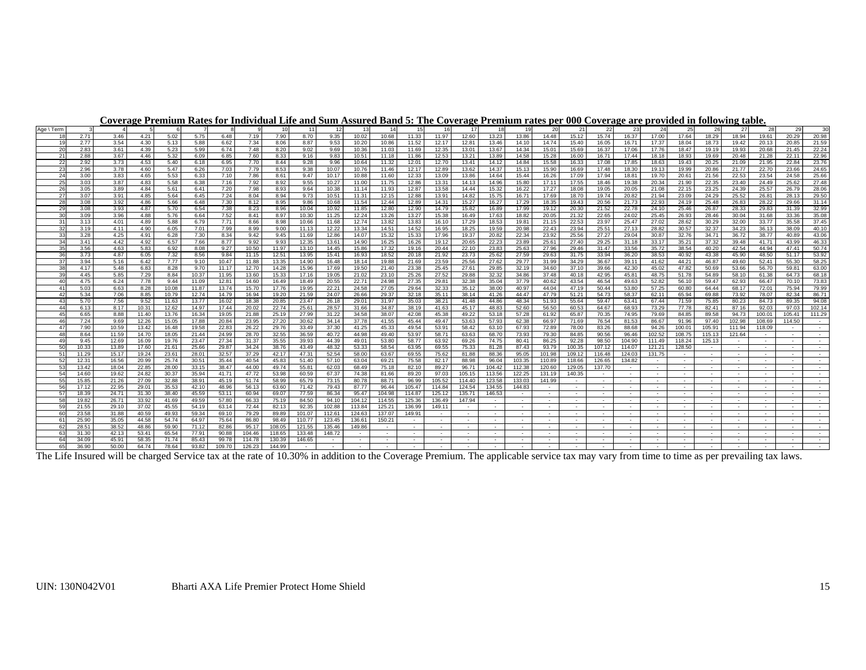| Coverage Premium Rates for Individual Life and Sum Assured Band 5: The Coverage Premium rates per 000 Coverage are provided in following table. |
|-------------------------------------------------------------------------------------------------------------------------------------------------|
|-------------------------------------------------------------------------------------------------------------------------------------------------|

| Age \ Term |              |                |                |                |                |                |                |                |                          |                |                |                | 15             |                |                |                | 19             |                | 21             |                |                 | 24               | 25               | 26                       | 27                   | 28     |                          |        |
|------------|--------------|----------------|----------------|----------------|----------------|----------------|----------------|----------------|--------------------------|----------------|----------------|----------------|----------------|----------------|----------------|----------------|----------------|----------------|----------------|----------------|-----------------|------------------|------------------|--------------------------|----------------------|--------|--------------------------|--------|
|            | 2.71         | 3.46           | 4.21           | 5.02           | 5.75           | 6.48           | 7.19           | 7.90           | 8.70                     | 9.35           | 10.02          | 10.68          | 11.33          | 11.97          | 12.60          | 13.23          | 13.86          | 14.48          | 15.12          | 15.74          | 16.37           | 17.00            | 17.64            | 18.29                    | 18.94                | 19.61  | 20.29                    | 20.98  |
|            | 2.77         | 3.54           | 4.30           | 5.13           | 5.88           | 6.62           | 7.34           | 8.06           | 8.87                     | 9.53           | 10.20          | 10.86          | 11.52          | 12.17          | 12.81          | 13.46          | 14.10          | 14.74          | 15.40          | 16.05          | 16.71           | 17.37            | 18.04            | 18.73                    | 19.42                | 20.13  | 20.85                    | 21.59  |
|            | 2.83         | 3.61           | 4.39           | 5.23           | 5.99           | 6.74           | 7.48           | 8.20           | 9.02                     | 9.69           | 10.36          | 11.03          | 11.69          | 12.35          | 13.01          | 13.67          | 14.34          | 15.01          | 15.69          | 16.37          | 17.06           | 17.76            | 18.47            | 19.19                    | 19.93                | 20.68  | 21.45                    | 22.24  |
|            | 2.88         | 3.67           | 4.46           | 5.32           | 6.09           | 6.85           | 7.60           | 8.33           | 9.16                     | 9.83           | 10.51          | 11.18          | 11.86          | 12.53          | 13.21          | 13.89          | 14.58          | 15.28          | 16.00          | 16.71          | 17.44           | 18.18            | 18.93            | 19.69                    | 20.48                | 21.28  | 22.11                    | 22.96  |
|            | 2.92         | 3.73           | 4.53           | 5.40           | 6.18           | 6.95           | 7.70           | 8.44           | 9.28                     | 9.96           | 10.64          | 11.32          | 12.01          | 12.70          | 13.41          | 14.12          | 14.84          | 15.58          | 16.33          | 17.08          | 17.85           | 18.63            | 19.43            | 20.25                    | 21.09                | 21.95  | 22.84                    | 23.76  |
|            | 2.96         | 3.78           | 4.60           | 5.47           | 6.26           | 7.03           | 7.79           | 8.53           | 9.38                     | 10.07          | 10.76          | 11.46          | 12.17          | 12.89          | 13.62          | 14.37          | 15.13          | 15.90          | 16.69          | 17.48          | 18.30           | 19.13            | 19.99            | 20.86                    | 21.77                | 22.70  | 23.66                    | 24.65  |
|            | 3.00         | 3.83           | 4.65           | 5.53           | 6.33           | 7.10           | 7.86           | 8.61           | 9.47                     | 10.17          | 10.88          | 11.60          | 12.33          | 13.09          | 13.86          | 14.64          | 15.44          | 16.26          | 17.09          | 17.94          | 18.81           | 19.70            | 20.61            | 21.56                    | 22.53                | 23.54  | 24.58                    | 25.66  |
|            | 3.03         | 3.87           | 4.83           | 5.58           | 6.38           | 7.16           | 7.92           | 8.92           | 9.55                     | 10.27          | 11.00          | 11.75          | 12.86          | 13.31          | 14.13          | 14.96          | 15.80          | 17.11          | 17.55          | 18.46          | 19.38           | 20.34            | 21.90            | 22.35                    | 23.40                | 24.49  | 25.62                    | 27.48  |
|            | 3.05         | 3.89           | 4.84           | 5.61           | 6.41           | 7.20           | 7.98           | 8.93           | 9.64                     | 10.38          | 11.14          | 11.93          | 12.87          | 13.58          | 14.44          | 15.32          | 16.22          | 17.27          | 18.08          | 19.05          | 20.05           | 21.08            | 22.15            | 23.25                    | 24.39                | 25.57  | 26.79                    | 28.06  |
|            | 3.07         | 3.91           | 4.85           | 5.64           | 6.45           | 7.24           | 8.04           | 8.94           | 9.73                     | 10.51          | 11.31          | 12.15          | 12.88          | 13.91          | 14.82          | 15.75          | 16.71          | 17.69          | 18.70          | 19.74          | 20.82           | 21.94            | 23.09            | 24.29                    | 25.52                | 26.81  | 28.13                    | 29.50  |
|            | 3.08         | 3.92           | 4.86           | 5.66           | 6.48           | 7.30           | 8.12           | 8.95           | 9.86                     | 10.68          | 11.54          | 12.44          | 12.89          | 14.31          | 15.27          | 16.27          | 17.29          | 18.35          | 19.43          | 20.56          | 21.73           | 22.93            | 24.19            | 25.48                    | 26.83                | 28.22  | 29.66                    | 31.14  |
|            | 3.08         | 3.93           | 4.87           | 5.70           | 6.54           | 7.38           | 8.23           | 8.96           | 10.04                    | 10.92          | 11.85          | 12.80          | 12.90          | 14.79          | 15.82          | 16.89          | 17.99          | 19.12          | 20.30          | 21.52          | 22.78           | 24.10            | 25.46            | 26.87                    | 28.33                | 29.83  | 31.39                    | 32.99  |
|            | 3.09         | 3.96           | 4.88           | 5.76           | 6.64           | 7.52           | 8.41           | 8.97           | 10.30                    | 11.25          | 12.24          | 13.26          | 13.27          | 15.38          | 16.49          | 17.63          | 18.82          | 20.05          | 21.32          | 22.65          | 24.02           | 25.45            | 26.93            | 28.46                    | 30.04                | 31.68  | 33.36                    | 35.08  |
|            | 3.13         | 4.01           | 4.89           | 5.88           | 6.79           | 7.71           | 8.66           | 8.98           | 10.66                    | 11.68          | 12.74          | 13.82          | 13.83          | 16.10          | 17.29          | 18.53          | 19.81          | 21.15          | 22.53          | 23.97          | 25.47           | 27.02            | 28.62            | 30.29                    | 32.00                | 33.77  | 35.58                    | 37.45  |
|            | 3.19         | 4.11           | 4.90           | 6.05           | 7.01           | 7.99           | 8.99           | 9.00           | 11.13                    | 12.22          | 13.34          | 14.51          | 14.52          | 16.95          | 18.25          | 19.59          | 20.98          | 22.43          | 23.94          | 25.51          | 27.13           | 28.82            | 30.57            | 32.37                    | 34.23                | 36.13  | 38.09                    | 40.10  |
|            | 3.28         | 4.25           | 4.91           | 6.28           | 7.30           | 8.34           | 9.42           | 9.45           | 11.69                    | 12.86          | 14.07          | 15.32          | 15.33          | 17.96          | 19.37          | 20.82          | 22.34          | 23.92          | 25.56          | 27.27          | 29.04           | 30.87            | 32.76            | 34.71                    | 36.72                | 38.77  | 40.89                    | 43.06  |
| 34         | 3.41         | 4.42           | 4.92           | 6.57           | 7.66           | 8.77           | 9.92           | 9.93           | 12.35                    | 13.61          | 14.90          | 16.25          | 16.26          | 19.12          | 20.65          | 22.23          | 23.89          | 25.61          | 27.40          | 29.25          | 31.18           | 33.17            | 35.21            | 37.32                    | 39.48                | 41.71  | 43.99                    | 46.33  |
|            | 3.56         | 4.63           | 5.83           | 6.92           | 8.08           | 9.27           | 10.50          | 11.97          | 13.10                    | 14.45          | 15.86          | 17.32          | 19.16          | 20.44          | 22.10          | 23.83          | 25.63          | 27.96          | 29.46          | 31.47          | 33.56           | 35.72            | 38.54            | 40.20                    | 42.54                | 44.94  | 47.41                    | 50.74  |
|            | 3.73         | 4.87           | 6.05           | 7.32           | 8.56           | 9.84           | 11.15          | 12.51          | 13.95                    | 15.41          | 16.93          | 18.52          | 20.18          | 21.92          | 23.73          | 25.62          | 27.59          | 29.63          | 31.75          | 33.94          | 36.20           | 38.53            | 40.92            | 43.38                    | 45.90                | 48.50  | 51.17                    | 53.92  |
|            | 3.94         | 5.16           | 6.42           | 7.77           | 9.10           | 10.47          | 11.88          | 13.35          | 14.90                    | 16.48          | 18.14          | 19.88          | 21.69          | 23.59          | 25.56          | 27.62          | 29.77          | 31.99          | 34.29          | 36.67          | 39.11           | 41.62            | 44.21            | 46.87                    | 49.60                | 52.41  | 55.30                    | 58.25  |
| 38         | 4.17         | 5.48           | 6.83           | 8.28           | 9.70           | 11.17          | 12.70          | 14.28          | 15.96                    | 17.69          | 19.50          | 21.40          | 23.38          | 25.45          | 27.61          | 29.85          | 32.19          | 34.60          | 37.10          | 39.66          | 42.30           | 45.02            | 47.82            | 50.69                    | 53.66                | 56.70  | 59.81                    | 63.00  |
|            | 4.45         | 5.85           | 7.29           | 8.84           | 10.37          | 11.95          | 13.60          | 15.33          | 17.16                    | 19.05          | 21.02          | 23.10          | 25.26          | 27.52          | 29.88          | 32.32          | 34.86          | 37.48          | 40.18          | 42.95          | 45.81           | 48.75            | 51.78            | 54.89                    | 58.10                | 61.38  | 64.73                    | 68.18  |
| 40         | 4.75         | 6.24           | 7.78           | 9.44           | 11.09          | 12.81          | 14.60          | 16.49          | 18.49                    | 20.55          | 22.71          | 24.98          | 27.35          | 29.81          | 32.38          | 35.04          | 37.79          | 40.62          | 43.54          | 46.54          | 49.63           | 52.82            | 56.10            | 59.47                    | 62.93                | 66.47  | 70.10                    | 73.83  |
| 41         | 5.03         | 6.63           | 8.28           | 10.08          | 11.87          | 13.74          | 15.70          | 17.76          | 19.95                    | 22.21          | 24.58          | 27.05          | 29.64          | 32.33          | 35.12          | 38.00          | 40.97          | 44.04          | 47.19          | 50.44          | 53.80           | 57.25            | 60.80            | 64.44                    | 68.17                | 72.01  | 75.94                    | 79.99  |
| 42         | 5.34         | 7.06           | 8.85           | 10.79          | 12.74          | 14.79          | 16.94          | 19.20          | 21.59                    | 24.07          | 26.66          | 29.37          | 32.18          | 35.11          | 38.14          | 41.26          | 44.47          | 47.79          | 51.21          | 54.73          | 58.37           | 62.11            | 65.94            | 69.88                    | 73.92                | 78.07  | 82.34                    | 86.71  |
|            | 5.70         | 7.56           | 9.52           | 11.63          | 13.77          | 16.02          | 18.38          | 20.85          | 23.47                    | 26.18          | 29.01          | 31.97          | 35.03          | 38.21          | 41.48          | 44.86          | 48.34          | 51.93          | 55.64          | 59.47          | 63.41           | 67.44            | 71.59            | 75.85                    | 80.23                | 84.73  | 89.35                    | 94.08  |
| 44         | 6.13         | 8.17           | 10.31          | 12.62          | 14.97          | 17.44          | 20.02          | 22.74          | 25.61                    | 28.57          | 31.66          | 34.87          | 38.19          | 41.63          | 45.17          | 48.83          | 52.60          | 56.50          | 60.53          | 64.67          | 68.93           | 73.29            | 77.78            | 82.41                    | 87.16                | 92.03  | 97.03                    | 102.14 |
| 46         | 6.65         | 8.88           | 11.40          | 13.76          | 16.34          | 19.05          | 21.88          | 25.19          | 27.99                    | 31.22<br>34.14 | 34.58          | 38.07          | 42.08          | 45.38          | 49.22          | 53.18          | 57.28          | 61.92          | 65.87          | 70.35          | 74.95           | 79.69            | 84.85            | 89.58                    | 94.73                | 100.01 | 105.41                   | 111.29 |
|            | 7.24         | 9.69           | 12.26          | 15.05          | 17.88          | 20.84          | 23.95          | 27.20          | 30.62                    |                | 37.78          | 41.55          | 45.44          | 49.47          | 53.63          | 57.93          | 62.38          | 66.97          | 71.69          | 76.54          | 81.53           | 86.67            | 91.96            | 97.40                    | 102.98               | 108.69 | 114.50                   |        |
| 48         | 7.90         | 10.59          | 13.42          | 16.48          | 19.58          | 22.83          | 26.22          | 29.76          | 33.49                    | 37.30          | 41.25          | 45.33          | 49.54          | 53.91          | 58.42          | 63.10          | 67.93          | 72.89          | 78.00          | 83.26          | 88.68           | 94.26            | 100.01           | 105.91                   | 111.94               | 118.09 |                          |        |
| 49         | 8.64<br>9.45 | 11.59<br>12.69 | 14.70<br>16.09 | 18.05<br>19.76 | 21.44<br>23.47 | 24.99<br>27.34 | 28.70<br>31.37 | 32.55<br>35.55 | 36.59<br>39.93           | 40.72<br>44.39 | 44.98<br>49.01 | 49.40<br>53.80 | 53.97<br>58.77 | 58.71<br>63.92 | 63.63<br>69.26 | 68.70<br>74.75 | 73.93<br>80.41 | 79.30<br>86.25 | 84.85<br>92.28 | 90.56<br>98.50 | 96.46<br>104.90 | 102.52<br>111.49 | 108.75<br>118.24 | 115.13<br>125.13         | 121.64<br>$\sim$ $-$ |        |                          |        |
|            | 10.33        | 13.89          | 17.60          | 21.61          | 25.66          | 29.87          | 34.24          | 38.76          | 43.49                    | 48.32          | 53.33          | 58.54          | 63.95          | 69.55          | 75.33          | 81.28          | 87.43          | 93.79          | 100.35         | 107.12         | 114.07          | 121.21           | 128.50           |                          | $\sim$               |        |                          |        |
|            | 11.29        | 15.17          | 19.24          | 23.61          | 28.01          | 32.57          | 37.29          | 42.17          | 47.31                    | 52.54          | 58.00          | 63.67          | 69.55          | 75.62          | 81.88          | 88.36          | 95.05          | 101.98         | 109.12         | 116.48         | 124.03          | 131.75           |                  |                          | $\sim$               |        |                          |        |
|            | 12.31        | 16.56          | 20.99          | 25.74          | 30.51          | 35.44          | 40.54          | 45.83          | 51.40                    | 57.10          | 63.04          | 69.21          | 75.58          | 82.17          | 88.98          | 96.04          | 103.35         | 110.89         | 118.66         | 126.65         | 134.82          | $\sim$           | $\sim$           |                          | $\sim$               |        |                          |        |
| 53         | 13.42        | 18.04          | 22.85          | 28.00          | 33.15          | 38.47          | 44.00          | 49.74          | 55.81                    | 62.03          | 68.49          | 75.18          | 82.10          | 89.27          | 96.71          | 104.42         | 112.38         | 120.60         | 129.05         | 137.70         | $\sim$          | $\sim$           | $\sim$           | $\sim$                   | $\sim$               | $\sim$ |                          | $\sim$ |
|            | 14.60        | 19.62          | 24.82          | 30.37          | 35.94          | 41.71          | 47.72          | 53.98          | 60.59                    | 67.37          | 74.38          | 81.66          | 89.20          | 97.03          | 105.15         | 113.56         | 122.25         | 131.19         | 140.35         | $\sim$         | $\sim$          | $\sim$           | $\sim$           | $\sim$                   | $\sim$               | $\sim$ | $\overline{\phantom{a}}$ | $\sim$ |
|            | 15.85        | 21.26          | 27.09          | 32.88          | 38.91          | 45.19          | 51.74          | 58.99          | 65.79                    | 73.15          | 80.78          | 88.71          | 96.99          | 105.52         | 114.40         | 123.58         | 133.03         | 141.99         |                | $\sim$         |                 |                  | $\sim$           |                          | $\sim$               |        |                          |        |
|            | 17.12        | 22.95          | 29.01          | 35.53          | 42.10          | 48.96          | 56.13          | 63.60          | 71.42                    | 79.43          | 87.77          | 96.44          | 105.47         | 114.84         | 124.54         | 134.55         | 144.83         | $\sim$         | $\sim$         | $\sim$         |                 | $\sim$           | $\sim$           | $\sim$                   | $\sim$               | $\sim$ | $\sim$                   |        |
|            | 18.39        | 24.71          | 31.30          | 38.40          | 45.59          | 53.11          | 60.94          | 69.07          | 77.59                    | 86.34          | 95.47          | 104.98         | 114.87         | 125.12         | 135.71         | 146.53         |                | $\sim$         |                |                |                 |                  | $\sim$           |                          | $\sim$               |        |                          |        |
|            | 19.82        | 26.71          | 33.92          | 41.69          | 49.59          | 57.80          | 66.33          | 75.19          | 84.50                    | 94.10          | 104.12         | 114.55         | 125.36         | 136.49         | 147.94         | $\sim$         | $\sim$         | $\sim$         |                | $\sim$         |                 | $\sim$           | $\sim$           | $\sim$                   | $\sim$               | $\sim$ | $\sim$                   |        |
|            | 21.55        | 29.10          | 37.02          | 45.55          | 54.19          | 63.14          | 72.44          | 82.13          | 92.35                    | 102.88         | 113.84         | 125.21         | 136.99         | 149.11         |                | $\sim$         |                | $\sim$         |                |                |                 |                  |                  |                          | $\sim$               |        |                          |        |
|            | 23.58        | 31.88          | 40.59          | 49.93          | 59.34          | 69.10          | 79.29          | 89.89          | 101.07                   | 112.61         | 124.63         | 137.07         | 149.91         | $\sim$         |                | $\sim$         |                | $\sim$         |                | $\sim$         |                 | $\sim$           | $\sim$           |                          | $\sim$               |        |                          |        |
|            | 25.90        | 35.05          | 44.58          | 54.74          | 64.97          | 75.64          | 86.80          | 98.49          | 110.77                   | 123.45         | 136.61         | 150.21         |                |                |                |                |                |                |                |                |                 |                  |                  |                          | $\sim$               |        |                          |        |
|            | 28.51        | 38.52          | 48.86          | 59.90          | 71.12          | 82.86          | 95.17          | 108.05         | 121.55                   | 135.46         | 149.86         | $\sim$         |                | $\sim$         |                | $\sim$         |                | $\sim$         |                | $\sim$         |                 | $\sim$           | $\sim$           |                          | $\sim$ 10 $\pm$      |        |                          |        |
|            | 31.30        | 42.13          | 53.41          | 65.54          | 77.91          | 90.88          | 104.46         | 118.65         | 133.48                   | 148.72         |                |                |                |                |                | $\sim$         |                |                |                |                |                 |                  |                  |                          | $\sim$               |        |                          |        |
|            | 34.09        | 45.91          | 58.35          | 71.74          | 85.43          | 99.78          | 114.78         | 130.39         | 146.65                   |                | $\sim$         | $\sim$         | $\sim$         | $\sim$         | $\sim$         | $\sim$         | $\sim$         | $\sim$         | $\sim$         | $\sim$         | $\sim$          | $\sim$           | $\sim$           | $\overline{\phantom{a}}$ | $\sim$               | $\sim$ | $\sim$                   |        |
|            | 36.90        | 50.00          | 64.74          | 78.64          | 93.82          | 109.70         | 126.23         | 144.99         | $\overline{\phantom{a}}$ |                |                |                | $\sim$         | $\sim$         |                |                |                |                |                |                |                 |                  |                  |                          |                      |        |                          |        |

65 36.90 50.00 64.74 78.64 93.82 109.70 126.23 144.99 - - - - - - - - - - - - - - - - - - - -The Life Insured will be charged Service tax at the rate of 10.30% in addition to the Coverage Premium. The applicable service tax may vary from time to time as per prevailing tax laws.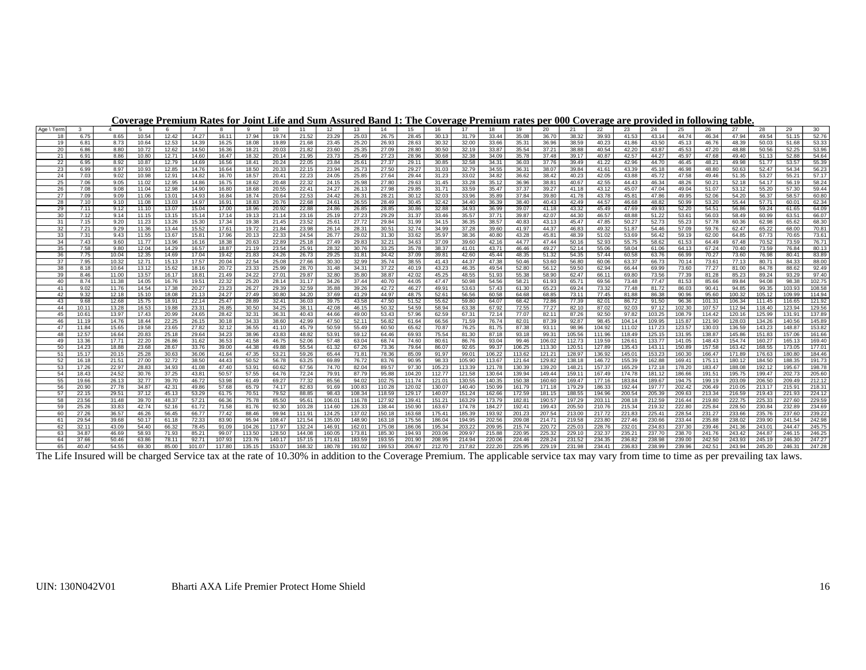| Coverage Premium Rates for Joint Life and Sum Assured Band 1: The Coverage Premium rates per 000 Coverage are provided in following table. |
|--------------------------------------------------------------------------------------------------------------------------------------------|
|--------------------------------------------------------------------------------------------------------------------------------------------|

| Age \ Term |                         |                |                |                |                |                | q              | 10             | 11             | 12             | 13             | 14             | 15             | 16             | 17             | 18             | 19             | 20             | 21             | 22             | 23             | 24              | 25               | 26               | 27               | 28               | 29               | 30               |
|------------|-------------------------|----------------|----------------|----------------|----------------|----------------|----------------|----------------|----------------|----------------|----------------|----------------|----------------|----------------|----------------|----------------|----------------|----------------|----------------|----------------|----------------|-----------------|------------------|------------------|------------------|------------------|------------------|------------------|
| 18         | 6.75                    | 8.65           | 10.54          | 12.42          | 14.27          | 16.11          | 17.94          | 19.74          | 21.52          | 23.29          | 25.03          | 26.75          | 28.45          | 30.13          | 31.79          | 33.44          | 35.08          | 36.70          | 38.32          | 39.93          | 41.53          | 43.14           | 44.74            | 46.34            | 47.94            | 49.54            | 51.15            | 52.76            |
| 19         | 6.81                    | 8.73           | 10.64          | 12.53          | 14.39          | 16.25          | 18.08          | 19.89          | 21.68          | 23.45          | 25.20          | 26.93          | 28.63          | 30.32          | 32.00          | 33.66          | 35.31          | 36.96          | 38.59          | 40.23          | 41.86          | 43.50           | 45.13            | 46.76            | 48.39            | 50.03            | 51.68            | 53.33            |
| 20         | 6.86                    | 8.80           | 10.72          | 12.62          | 14.50          | 16.36          | 18.21          | 20.03          | 21.82          | 23.60          | 25.35          | 27.09          | 28.80          | 30.50          | 32.19          | 33.87          | 35.54          | 37.21          | 38.88          | 40.54          | 42.20          | 43.87           | 45.53            | 47.20            | 48.88            | 50.56            | 52.25            | 53.96            |
| 21         | 6.91                    | 8.86           | 10.80          | 12.71          | 14.60          | 16.47          | 18.32          | 20.14          | 21.95          | 23.73          | 25.49          | 27.23          | 28.96          | 30.68          | 32.38          | 34.09          | 35.78          | 37.48          | 39.17          | 40.87          | 42.57          | 44.27           | 45.97            | 47.68            | 49.40            | 51.13            | 52.88            | 54.64            |
| 22         | 6.95                    | 8.92           | 10.87          | 12.79          | 14.69          | 16.56          | 18.41          | 20.24          | 22.05          | 23.84          | 25.61          | 27.37          | 29.11          | 30.85          | 32.58          | 34.31          | 36.03          | 37.76          | 39.49          | 41.22          | 42.96          | 44.70           | 46.45            | 48.21            | 49.98            | 51.77            | 53.57            | 55.39            |
| 23         | 6.99                    | 8.97           | 10.93          | 12.85          | 14.76          | 16.64          | 18.50          | 20.33          | 22.15          | 23.94          | 25.73          | 27.50          | 29.27          | 31.03          | 32.79          | 34.55          | 36.31          | 38.07          | 39.84          | 41.61          | 43.39          | 45.18           | 46.98            | 48.80            | 50.63            | 52.47            | 54.34            | 56.23            |
| 24         | 7.03                    | 9.02           | 10.98          | 12.91          | 14.82          | 16.70          | 18.57          | 20.41          | 22.23          | 24.05          | 25.85          | 27.64          | 29.44          | 31.23          | 33.02          | 34.82          | 36.62          | 38.42          | 40.23          | 42.05          | 43.88          | 45.72           | 47.58            | 49.46            | 51.35            | 53.27            | 55.21            | 57.17            |
| 25         | 7.06                    | 9.05           | 11.02          | 12.95          | 14.86          | 16.75          | 18.62          | 20.48          | 22.32          | 24.15          | 25.98          | 27.80          | 29.63          | 31.45          | 33.28          | 35.12          | 36.96          | 38.81          | 40.67          | 42.55          | 44.43          | 46.34           | 48.26            | 50.21            | 52.18            | 54.17            | 56.19            | 58.24            |
| 26         | 7.08                    | 9.08           | 11.04          | 12.98          | 14.90          | 16.80          | 18.68          | 20.55          | 22.41          | 24.27          | 26.13          | 27.98          | 29.85          | 31.71          | 33.59          | 35.47          | 37.37          | 39.27          | 41.18          | 43.12          | 45.07          | 47.04           | 49.04            | 51.07            | 53.12            | 55.20            | 57.30            | 59.44            |
| 27         | 7.09                    | 9.09           | 11.06          | 13.01          | 14.93          | 16.84          | 18.74          | 20.64          | 22.53          | 24.42          | 26.3'          | 28.21          | 30.12          | 32.03          | 33.96          | 35.89          | 37.84          | 39.80          | 41.78          | 43.78          | 45.81          | 47.86           | 49.95            | 52.06            | 54.20            | 56.37            | 58.57            | 60.80            |
| 28         | 7.10                    | 9.10           | 11.08          | 13.03          | 14.97          | 16.91          | 18.83          | 20.76          | 22.68          | 24.61          | 26.55          | 28.49          | 30.45          | 32.42          | 34.40          | 36.39          | 38.40          | 40.43          | 42.49          | 44.57          | 46.68          | 48.82           | 50.99            | 53.20            | 55.44            | 57.71            | 60.01            | 62.34            |
| 29         | 7.11                    | 9.12           | 11.10          | 13.07          | 15.04          | 17.00          | 18.96          | 20.92          | 22.88          | 24.86          | 26.85          | 28.85          | 30.86          | 32.88          | 34.93          | 36.99          | 39.07          | 41.18          | 43.32          | 45.49          | 47.69          | 49.93           | 52.20            | 54.51            | 56.86            | 59.24            | 61.65            | 64.09            |
| 30         | 7.12                    | 9.14           | 11.15          | 13.15          | 15.14          | 17.14          | 19.13          | 21.14          | 23.16          | 25.19          | 27.23          | 29.29          | 31.37          | 33.46          | 35.57          | 37.71          | 39.87          | 42.07          | 44.30          | 46.57          | 48.88          | 51.22           | 53.61            | 56.03            | 58.49            | 60.99            | 63.51            | 66.07            |
| 31         | 7.15                    | 9.20           | 11.23          | 13.26          | 15.30          | 17.34          | 19.38          | 21.45          | 23.52          | 25.61          | 27.72          | 29.84          | 31.99          | 34.15          | 36.35          | 38.57          | 40.83          | 43.13          | 45.47          | 47.85          | 50.27          | 52.73           | 55.23            | 57.78            | 60.36            | 62.98            | 65.62            | 68.30            |
| 32         | 7.21                    | 9.29           | 11.36          | 13.44          | 15.52          | 17.61          | 19.72          | 21.84          | 23.98          | 26.14          | 28.31          | 30.51          | 32.74          | 34.99          | 37.28          | 39.60          | 41.97          | 44.37          | 46.83          | 49.32          | 51.87          | 54.46           | 57.09            | 59.76            | 62.47            | 65.22            | 68.00            | 70.81            |
| 33         | 7.31                    | 9.43           | 11.55          | 13.67          | 15.81          | 17.96          | 20.13          | 22.33          | 24.54          | 26.77          | 29.02          | 31.30          | 33.62          | 35.97          | 38.36          | 40.80          | 43.28          | 45.81          | 48.39          | 51.02          | 53.69          | 56.42           | 59.19            | 62.00            | 64.85            | 67.73            | 70.65            | 73.61            |
| 34         | 7.43                    | 9.60           | 11.77          | 13.96          | 16.16          | 18.38          | 20.63          | 22.89          | 25.18          | 27.49          | 29.83          | 32.21          | 34.63          | 37.09          | 39.60          | 42.16          | 44.77          | 47.44          | 50.16          | 52.93          | 55.75          | 58.62           | 61.53            | 64.49            | 67.48            | 70.52            | 73.59            | 76.71            |
| 35         | 7.58                    | 9.80           | 12.04          | 14.29          | 16.57          | 18.87          | 21.19          | 23.54          | 25.91          | 28.32          | 30.76          | 33.25          | 35.78          | 38.37          | 41.01          | 43.71          | 46.46          | 49.27          | 52.14          | 55.06          | 58.04          | 61.06           | 64.13            | 67.24            | 70.40            | 73.59            | 76.84            | 80.13            |
| 36         | 7.75                    | 10.04          | 12.35          | 14.69          | 17.04          | 19.42          | 21.83          | 24.26          | 26.73          | 29.25          | 31.8'          | 34.42          | 37.09          | 39.81          | 42.60          | 45.44          | 48.35          | 51.32          | 54.35          | 57.44          | 60.58          | 63.76           | 66.99            | 70.27            | 73.60            | 76.98            | 80.41            | 83.89            |
| 37         | 7.95                    | 10.32          | 12.71          | 15.13          | 17.57          | 20.04          | 22.54          | 25.08          | 27.66          | 30.30          | 32.99          | 35.74          | 38.55          | 41.43          | 44.37          | 47.38          | 50.46          | 53.60          | 56.80          | 60.06          | 63.37          | 66.73           | 70.14            | 73.61            | 77.13            | 80.71            | 84.33            | 88.00            |
| 38         | 8.18                    | 10.64          | 13.12          | 15.62          | 18.16          | 20.72          | 23.33          | 25.99          | 28.70          | 31.48          | 34.31          | 37.22          | 40.19          | 43.23          | 46.35          | 49.54          | 52.80          | 56.12          | 59.50          | 62.94          | 66.44          | 69.99           | 73.60            | 77.27            | 81.00            | 84.78            | 88.62            | 92.49            |
| 39         | 8.46                    | 11.00          | 13.57          | 16.17          | 18.81          | 21.49          | 24.22          | 27.01          | 29.87          | 32.80          | 35.80          | 38.87          | 42.02          | 45.25          | 48.55          | 51.93          | 55.38          | 58.90          | 62.47          | 66.11          | 69.80          | 73.56           | 77.39            | 81.28            | 85.23            | 89.24            | 93.29            | 97.40            |
| 40<br>41   | 8.74                    | 11.38          | 14.05          | 16.76          | 19.51          | 22.32          | 25.20          | 28.14          | 31.17          | 34.26          | 37.44          | 40.70          | 44.05          | 47.47          | 50.98          | 54.56          | 58.21          | 61.93          | 65.71          | 69.56          | 73.48          | 77.47           | 81.53            | 85.66            | 89.84            | 94.08            | 98.38            | 102.75           |
| 42         | 9.02<br>9.32            | 11.76<br>12.18 | 14.54          | 17.38<br>18.08 | 20.27<br>21.13 | 23.23<br>24.27 | 26.27<br>27.49 | 29.39<br>30.80 | 32.59<br>34.20 | 35.88<br>37.69 | 39.26          | 42.72<br>44.97 | 46.27<br>48.75 | 49.91<br>52.61 | 53.63<br>56.56 | 57.43<br>60.58 | 61.30<br>64.68 | 65.23<br>68.85 | 69.24<br>73.1  | 73.32<br>77.45 | 77.48<br>81.88 | 81.72<br>86.38  | 86.03            | 90.41<br>95.60   | 94.85<br>100.32  | 99.35<br>105.12  | 103.93           | 108.58<br>114.94 |
| 43         |                         |                | 15.10          |                |                | 25.47          | 28.89          |                |                |                | 41.29<br>43.58 |                | 51.52          | 55.62          |                |                |                |                |                |                |                |                 | 90.96            |                  |                  |                  | 109.99           | 121.92           |
| 44         | 9.68                    | 12.68          | 15.75          | 18.91          | 22.14          |                |                | 32.41          | 36.03          | 39.75          |                | 47.50          |                |                | 59.80<br>63.38 | 64.07          | 68.42<br>72.55 | 72.86          | 77.39          | 82.01          | 86.72          | 91.50           | 96.36            | 101.31           | 106.34           | 111.45           | 116.65           | 129.56           |
| 45         | 10.11<br>$10.6^{\circ}$ | 13.28<br>13.97 | 16.53<br>17.43 | 19.88<br>20.99 | 23.31<br>24.65 | 26.85<br>28.42 | 30.50<br>32.31 | 34.25<br>36.31 | 38.11<br>40.43 | 42.08<br>44.66 | 46.15<br>49.00 | 50.32<br>53.43 | 54.59<br>57.96 | 58.94<br>62.59 | 67.3'          | 67.92<br>72.14 | 77.07          | 77.27<br>82.11 | 82.10<br>87.26 | 87.02<br>92.50 | 92.03<br>97.82 | 97.12<br>103.25 | 102.30<br>108.79 | 107.57<br>114.42 | 112.94<br>120.16 | 118.40<br>125.99 | 123.94<br>131.91 | 137.89           |
| 46         | 11.19                   | 14.76          | 18.44          | 22.25          | 26.15          | 30.18          | 34.33          | 38.60          | 42.99          | 47.50          | 52.1'          | 56.82          | 61.64          | 66.56          | 71.59          | 76.74          | 82.01          | 87.39          | 92.87          | 98.45          | 104.14         | 109.95          | 115.87           | 121.90           | 128.03           | 134.26           | 140.56           | 145.89           |
| 47         | 11.84                   | 15.65          | 19.58          | 23.65          | 27.82          | 32.12          | 36.55          | 41.10          | 45.79          | 50.59          | 55.49          | 60.50          | 65.62          | 70.87          | 76.25          | 81.75          | 87.38          | 93.11          | 98.96          | 104.92         | 111.02         | 117.23          | 123.57           | 130.03           | 136.59           | 143.23           | 148.87           | 153.82           |
| 48         | 12.57                   | 16.64          | 20.83          | 25.18          | 29.64          | 34.23          | 38.96          | 43.83          | 48.82          | 53.91          | 59.12          | 64.46          | 69.93          | 75.54          | 81.30          | 87.18          | 93.18          | 99.31          | 105.56         | 111.96         | 118.49         | 125.15          | 131.95           | 138.87           | 145.86           | 151.83           | 157.06           | 161.66           |
| 49         | 13.36                   | 17.71          | 22.20          | 26.86          | 31.62          | 36.53          | 41.58          | 46.75          | 52.06          | 57.48          | 63.04          | 68.74          | 74.60          | 80.61          | 86.76          | 93.04          | 99.46          | 106.02         | 112.73         | 119.59         | 126.61         | 133.77          | 141.05           | 148.43           | 154.74           | 160.27           | 165.13           | 169.40           |
| 50         | 14.23                   | 18.88          | 23.68          | 28.67          | 33.76          | 39.00          | 44.38          | 49.88          | 55.54          | 61.32          | 67.26          | 73.36          | 79.64          | 86.07          | 92.65          | 99.37          | 106.25         | 113.30         | 120.51         | 127.89         | 135.43         | 143.11          | 150.89           | 157.58           | 163.42           | 168.55           | 173.05           | 177.01           |
| 51         | 15.17                   | 20.15          | 25.28          | 30.63          | 36.06          | 41.64          | 47.35          | 53.21          | 59.26          | 65.44          | 71.81          | 78.36          | 85.09          | 91.97          | 99.0'          | 106.22         | 113.62         | 121.21         | 128.97         | 136.92         | 145.01         | 153.23          | 160.30           | 166.47           | 171.89           | 176.63           | 180.80           | 184.46           |
| 52         | 16.18                   | 21.51          | 27.00          | 32.72          | 38.50          | 44.43          | 50.52          | 56.78          | 63.25          | 69.89          | 76.72          | 83.76          | 90.95          | 98.33          | 105.90         | 113.67         | 121.64         | 129.82         | 138.18         | 146.72         | 155.39         | 162.88          | 169.41           | 175.11           | 180.12           | 184.50           | 188.35           | 191.73           |
| 53         | 17.26                   | 22.97          | 28.83          | 34.93          | 41.08          | 47.40          | 53.91          | 60.62          | 67.56          | 74.70          | 82.04          | 89.57          | 97.30          | 105.23         | 113.39         | 121.78         | 130.39         | 139.20         | 148.21         | 157.37         | 165.29         | 172.18          | 178.20           | 183.47           | 188.08           | 192.12           | 195.67           | 198.78           |
| 54         | 18.43                   | 24.52          | 30.76          | 37.25          | 43.81          | 50.57          | 57.55          | 64.76          | 72.24          | 79.91          | 87.79          | 95.88          | 104.20         | 112.77         | 121.58         | 130.64         | 139.94         | 149.44         | 159.11         | 167.49         | 174.78         | 181.12          | 186.66           | 191.51           | 195.75           | 199.47           | 202.73           | 205.60           |
| 55         | 19.66                   | 26.13          | 32.77          | 39.70          | 46.72          | 53.98          | 61.49          | 69.27          | 77.32          | 85.56          | 94.02          | 102.75         | 111.74         | 121.01         | 130.55         | 140.35         | 150.38         | 160.60         | 169.47         | 177.16         | 183.84         | 189.67          | 194.75           | 199.19           | 203.09           | 206.50           | 209.49           | 212.12           |
| 56         | 20.90                   | 27.78          | 34.87          | 42.31          | 49.86          | 57.68          | 65.79          | 74.17          | 82.83          | 91.69          | 100.83         | 110.28         | 120.02         | 130.07         | 140.40         | 150.99         | 161.79         | 171.18         | 179.29         | 186.33         | 192.44         | 197.77          | 202.42           | 206.49           | 210.05           | 213.17           | 215.9'           | 218.31           |
| 57         | 22.15                   | 29.51          | 37.12          | 45.13          | 53.29          | 61.75          | 70.51          | 79.52          | 88.85          | 98.43          | 108.34         | 118.59         | 129.17         | 140.07         | 151.24         | 162.66         | 172.59         | 181.15         | 188.55         | 194.96         | 200.54         | 205.39          | 209.63           | 213.34           | 216.59           | 219.43           | 221.93           | 224.12           |
| 58         | 23.56                   | 31.48          | 39.70          | 48.37          | 57.21          | 66.36          | 75.78          | 85.50          | 95.61          | 106.01         | 116.78         | 127.92         | 139.41         | 151.21         | 163.29         | 173.79         | 182.8'         | 190.57         | 197.29         | 203.1          | 208.18         | 212.59          | 216.44           | 219.80           | 222.75           | 225.33           | 227,60           | 229.59           |
| 59         | 25.26                   | 33.83          | 42.74          | 52.16          | 61.72          | 71.58          | 81.76          | 92.30          | 103.28         | 114.60         | 126.33         | 138.44         | 150.90         | 163.67         | 174.78         | 184.27         | 192.41         | 199.43         | 205.50         | 210.76         | 215.34         | 219.32          | 222.80           | 225.84           | 228.50           | 230.84           | 232.89           | 234.69           |
| 60         | 27.26                   | 36.57          | 46.26          | 56.45          | 66.77          | 77.42          | 88.46          | 99.94          | 111.91         | 124.25         | 137.02         | 150.18         | 163.68         | 175.41         | 185.39         | 193.92         | 201.23         | 207.54         | 213.00         | 217.72         | 221.83         | 225.4           | 228.54           | 231.27           | 233.66           | 235.76           | 237.60           | 239.22           |
| 61         | 29.54                   | 39.68          | 50.17          | 61.18          | 72.33          | 83.90          | 95.94          | 108.47         | 121.54         | 135.00         | 148.90         | 163.18         | 175.56         | 186.04         | 194.95         | 202.56         | 209.08         | 214.71         | 219.58         | 223.80         | 227.46         | 230.6           | 233.44           | 235.88           | 238.02           | 239.90           | 241.54           | 242.98           |
| 62         | 32.1                    | 43.09          | 54.40          | 66.32          | 78.45          | 91.09          | 104.26         | 117.97         | 132.24         | 146.91         | 162.0          | 175.08         | 186.06         | 195.34         | 203.22         | 209.95         | 215.74         | 220.72         | 225.03         | 228.76         | 232.0          | 234.83          | 237.30           | 239.46           | 241.36           | 243.0            | 244.47           | 245.75           |
| 63         | 34.87                   | 46.69          | 58.93          | 71.93          | 85.21          | 99.07          | 113.50         | 128.50         | 144.08         | 160.05         | 173.8          | 185.30         | 194.93         | 203.06         | 209.97         | 215.88         | 220.95         | 225.32         | 229.10         | 232.37         | 235.2          | 237.70          | 238.70           | 241.76           | 243.42           | 244.87           | 246.15           | 246.25           |
| 64         | 37.66                   | 50.46          | 63.86          | 78.11          | 92.71          | 107.93         | 123.76         | 140.17         | 157.15         | 171.6'         | 183.59         | 193.55         | 201.90         | 208.95         | 214.94         | 220.06         | 224.46         | 228.24         | 231.52         | 234.35         | 236.82         | 238.98          | 239.00           | 242.50           | 243.93           | 245.19           | 246.30           | 247.27           |
| 65         | 40.47                   | 54.55          | 69.30          | 85.00          | 101.07         | 117.80         | 135.15         | 153.07         | 168.32         | 180.78         | 191.02         | 199.53         | 206.67         | 212.70         | 217.82         | 222.20         | 225.95         | 229.19         | 231.98         | 234.41         | 236.83         | 238.99          | 239.96           | 242.51           | 243.94           | 245.20           | 246.31           | 247.28           |

<u>661 40.471 54.55 69.301 85.001 101.071 117.801 135.151 153.071 168.321 180.781 191.021 199.531 206.671 217.821 227.201 227.201 228.951 229.191 231.981 234.411 236.831 238.991 239.961 242.511 243.941 245.201 246.31 247.28<br></u>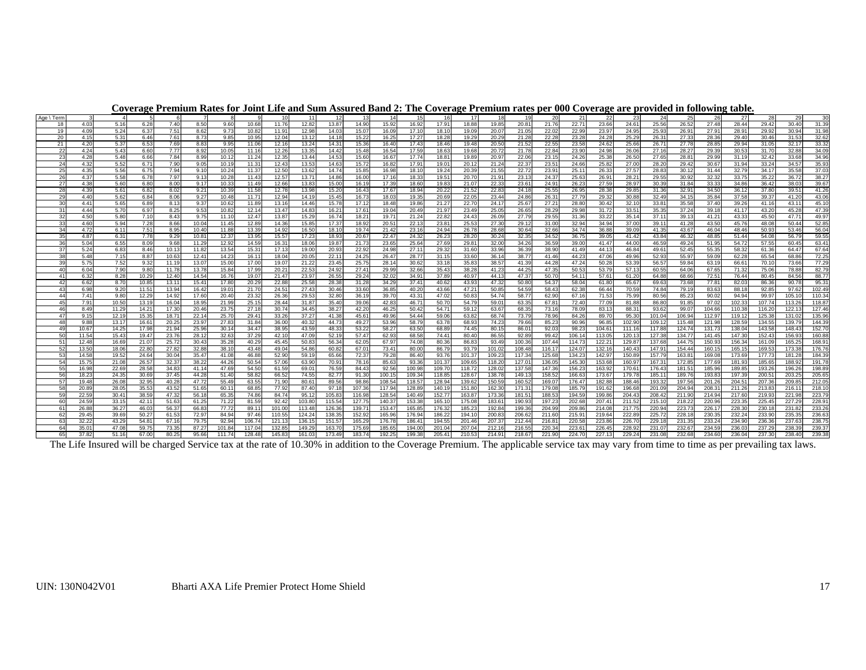| Age \ Term |       |       |       |       |                |        |        |        | 11     | 12     |        | 14             |        |                | 17     |        |        | 20     | 21     | 22     | 23     |        |        | 26     | 27     |        | 29     | 30     |
|------------|-------|-------|-------|-------|----------------|--------|--------|--------|--------|--------|--------|----------------|--------|----------------|--------|--------|--------|--------|--------|--------|--------|--------|--------|--------|--------|--------|--------|--------|
| 18         | 4.03  | 5.16  | 6.28  | 7.40  | 8.50           | 9.60   | 10.68  | 11.76  | 12.82  | 13.87  | 14.90  | 15.92          | 16.92  | 17.91          | 18.88  | 19.85  | 20.81  | 21.76  | 22.71  | 23.66  | 24.61  | 25.56  | 26.52  | 27.48  | 28.44  | 29.42  | 30.40  | 31.39  |
| 19         | 4.09  | 5.24  | 6.37  | 7.51  | 8.62           | 9.73   | 10.8   | 11.91  | 12.98  | 14.03  | 15.07  | 16.09          | 17.10  | 18.10          | 19.09  | 20.0   | 21.05  | 22.02  | 22.99  | 23.97  | 24.95  | 25.93  | 26.9   | 27.91  | 28.91  | 29.92  | 30.94  | 31.98  |
| 20         | 4.15  | 5.31  | 6.46  | 7.61  | 8.73           | 9.85   | 10.9   | 12.04  | 13.12  | 14.18  | 15.22  | 16.25          | 17.27  | 18.28          | 19.29  | 20.29  | 21.28  | 22.28  | 23.28  | 24.2   | 25.29  | 26.31  | 27.33  | 28.3   | 29.40  | 30.46  | 31.5   | 32.62  |
| 21         | 4.20  | 5.37  | 6.53  | 7.69  | 8.83           | 9.95   | 11.06  | 12.16  | 13.24  | 14.31  | 15.36  | 16.40          | 17.43  | 18.46          | 19.48  | 20.50  | 21.52  | 22.55  | 23.58  | 24.6   | 25.66  | 26.71  | 27.78  | 28.85  | 29.94  | 31.0   | 32.1   | 33.32  |
| 22         | 4.24  | 5.43  | 6.60  | 7.77  | 8.92           | 10.05  | 11.16  | 12.26  | 13.35  | 14.42  | 15.48  | 16.54          | 17.59  | 18.63          | 19.68  | 20.72  | 21.78  | 22.84  | 23.90  | 24.98  | 26.06  | 27.16  | 28.27  | 29.3   | 30.53  | 31.70  | 32.8   | 34.09  |
| 23         | 4.28  | 5.48  | 6.66  | 7.84  | 8.99           | 10.12  | 11.24  | 12.35  | 13.44  | 14.53  | 15.60  | 16.67          | 17.74  | $18.8^{\circ}$ | 19.89  | 20.9   | 22.06  | 23.15  | 24.26  | 25.3   | 26.50  | 27.65  | 28.8   | 29.99  | 31.19  | 32.42  | 33.6   | 34.96  |
| 24         | 4.32  | 5.52  | 6.71  | 7.90  | 9.05           | 10.19  | 11.3'  | 12.43  | 13.53  | 14.63  | 15.72  | 16.82          | 17.91  | $19.0^{\circ}$ | 20.12  | 21.24  | 22.37  | 23.51  | 24.66  | 25.82  | 27.00  | 28.20  | 29.42  | 30.67  | 31.94  | 33.24  | 34.5   | 35.93  |
| 25         | 4.35  | 5.56  | 6.75  | 7.94  | 9.10           | 10.24  | 11.37  | 12.50  | 13.62  | 14.74  | 15.85  | 16.98          | 18.10  | 19.24          | 20.39  | 21.55  | 22.72  | 23.91  | 25.11  | 26.33  | 27.57  | 28.83  | 30.12  | 31.44  | 32.79  | 34.17  | 35.58  | 37.03  |
| 26         | 4.37  | 5.58  | 6.78  | 7.97  | 9.13           | 10.28  | 11.43  | 12.57  | 13.71  | 14.86  | 16.00  | 17.16          | 18.33  | 19.5'          | 20.70  | 21.91  | 23.13  | 24.37  | 25.63  | 26.9   | 28.21  | 29.55  | 30.92  | 32.32  | 33.75  | 35.22  | 36.72  | 38.27  |
| 27         | 4.38  | 5.60  | 6.80  | 8.00  | 9.17           | 10.33  | 11.49  | 12.66  | 13.83  | 15.00  | 16.19  | 17.39          | 18.60  | 19.83          | 21.07  | 22.33  | 23.61  | 24.91  | 26.23  | 27.5   | 28.97  | 30.39  | 31.84  | 33.3   | 34.86  | 36.42  | 38.0   | 39.67  |
| 28         | 4.39  | 5.61  | 6.82  | 8.02  | 9.21           | 10.39  | 11.58  | 12.78  | 13.98  | 15.20  | 16.43  | 17.67          | 18.94  | 20.22          | 21.52  | 22.83  | 24.18  | 25.55  | 26.95  | 28.3   | 29.85  | 31.36  | 32.9   | 34.50  | 36.12  | 37.80  | 39.51  | 41.26  |
| 29         | 4.40  | 5.62  | 6.84  | 8.06  | 9.27           | 10.48  | 11.7   | 12.94  | 14.19  | 15.45  | 16.73  | 18.03          | 19.35  | 20.69          | 22.05  | 23.44  | 24.86  | 26.31  | 27.79  | 29.3   | 30.88  | 32.49  | 34.15  | 35.84  | 37.58  | 39.37  | 41.2   | 43.06  |
| 30         | 4.41  | 5.65  | 6.89  | 8.13  | 9.37           | 10.62  | 11.89  | 13.16  | 14.46  | 15.78  | 17.12  | 18.48          | 19.86  | 21.27          | 22.70  | 24.17  | 25.67  | 27.21  | 28.80  | 30.42  | 32.10  | 33.81  | 35.58  | 37.40  | 39.26  | 41.16  | 43.11  | 45.10  |
| 31         | 4.44  | 5.70  | 6.97  | 8.25  | 9.53           | 10.82  | 12.14  | 13.47  | 14.83  | 16.21  | 17.61  | 19.04          | 20.49  | 21.97          | 23.49  | 25.05  | 26.65  | 28.29  | 29.98  | 31.72  | 33.51  | 35.35  | 37.24  | 39.18  | 41.17  | 43.20  | 45.2   | 47.39  |
| 32         | 4.50  | 5.80  | 7.10  | 8.43  | 9.75           | 11.10  | 12.47  | 13.87  | 15.29  | 16.74  | 18.21  | 19.71          | 21.24  | 22.82          | 24.43  | 26.09  | 27.79  | 29.55  | 31.36  | 33.2   | 35.14  | 37.11  | 39.13  | 41.21  | 43.33  | 45.50  | 47.7   | 49.97  |
| 33         | 4.60  | 5.94  | 7.28  | 8.66  | 10.04          | 11.45  | 12.89  | 14.36  | 15.85  | 17.37  | 18.92  | $20.5^{\circ}$ | 22.13  | 23.8'          | 25.53  | 27.30  | 29.12  | 31.00  | 32.94  | 34.9   | 37.00  | 39.11  | 41.28  | 43.50  | 45.76  | 48.08  | 50.44  | 52.85  |
| 34         | 4.72  | 6.11  | 7.51  | 8.95  | 10.40          | 11.88  | 13.39  | 14.92  | 16.50  | 18.10  | 19.74  | 21.42          | 23.1   | 24.94          | 26.78  | 28.68  | 30.64  | 32.66  | 34.74  | 36.8   | 39.09  | 41.35  | 43.67  | 46.04  | 48.46  | 50.9   | 53.46  | 56.04  |
| 35         | 4.87  | 6.31  | 7.78  | 9.29  | $10.8^{\circ}$ | 12.37  | 13.95  | 15.57  | 17.23  | 18.93  | 20.67  | 22.47          | 24.32  | 26.23          | 28.20  | 30.24  | 32.35  | 34.52  | 36.75  | 39.05  | 41.42  | 43.84  | 46.32  | 48.85  | 51.44  | 54.08  | 56.79  | 59.55  |
| 36         | 5.04  | 6.55  | 8.09  | 9.68  | 11.29          | 12.92  | 14.59  | 16.31  | 18.06  | 19.87  | 21.73  | 23.65          | 25.64  | 27.69          | 29.81  | 32.00  | 34.26  | 36.59  | 39.00  | 41.4   | 44.00  | 46.59  | 49.24  | 51.95  | 54.72  | 57.55  | 60.45  | 63.41  |
| 37         | 5.24  | 6.83  | 8.46  | 10.13 | 11.82          | 13.54  | 15.3'  | 17.13  | 19.00  | 20.93  | 22.92  | 24.98          | 27.1   | 29.32          | 31.60  | 33.96  | 36.39  | 38.90  | 41.49  | 44.1   | 46.84  | 49.61  | 52.45  | 55.35  | 58.32  | 61.36  | 64.4   | 67.64  |
| 38         | 5.48  | 7.15  | 8.87  | 10.63 | 12.41          | 14.23  | 16.11  | 18.04  | 20.05  | 22.11  | 24.25  | 26.47          | 28.7   | 31.15          | 33.60  | 36.1   | 38.77  | 41.46  | 44.23  | 47.0   | 49.96  | 52.93  | 55.97  | 59.09  | 62.28  | 65.54  | 68.8   | 72.25  |
| 39         | 5.75  | 7.52  | 9.32  | 11.19 | 13.07          | 15.00  | 17.00  | 19.07  | 21.22  | 23.45  | 25.75  | 28.14          | 30.62  | 33.18          | 35.83  | 38.5   | 41.39  | 44.28  | 47.24  | 50.28  | 53.39  | 56.57  | 59.84  | 63.19  | 66.61  | 70.10  | 73.6   | 77.29  |
| 40         | 6.04  | 7.90  | 9.80  | 11.78 | 13.78          | 15.84  | 17.99  | 20.21  | 22.53  | 24.92  | 27.41  | 29.99          | 32.66  | 35.43          | 38.28  | 41.2   | 44.25  | 47.35  | 50.53  | 53.79  | 57.13  | 60.55  | 64.06  | 67.65  | 71.32  | 75.06  | 78.8   | 82.79  |
| 41         | 6.32  | 8.28  | 10.29 | 12.40 | 14.54          | 16.76  | 19.0   | 21.47  | 23.97  | 26.55  | 29.24  | 32.02          | 34.91  | 37.89          | 40.97  | 44.13  | 47.37  | 50.70  | 54.11  | 57.6   | 61.20  | 64.88  | 68.66  | 72.51  | 76.44  | 80.45  | 84.5   | 88.77  |
| 42         | 6.62  | 8.70  | 10.85 | 13.11 | 15.41          | 17.80  | 20.29  | 22.88  | 25.58  | 28.38  | 31.28  | 34.29          | 37.41  | 40.62          | 43.93  | 47.32  | 50.80  | 54.37  | 58.04  | 61.8   | 65.67  | 69.63  | 73.68  | 77.81  | 82.03  | 86.36  | 90.78  | 95.31  |
| 43         | 6.98  | 9.20  | 11.51 | 13.94 | 16.42          | 19.01  | 21.70  | 24.51  | 27.43  | 30.46  | 33.60  | 36.85          | 40.20  | 43.66          | 47.21  | 50.85  | 54.59  | 58.43  | 62.38  | 66.4   | 70.59  | 74.84  | 79.19  | 83.63  | 88.18  | 92.85  | 97.6   | 102.49 |
| 44         | 7.41  | 9.80  | 12.29 | 14.92 | 17.60          | 20.40  | 23.32  | 26.36  | 29.53  | 32.80  | 36.19  | 39.70          | 43.31  | 47.02          | 50.83  | 54.74  | 58.77  | 62.90  | 67.16  | 71.5   | 75.99  | 80.56  | 85.23  | 90.02  | 94.94  | 99.97  | 105.1  | 110.34 |
| 45         | 7.91  | 10.50 | 13.19 | 16.04 | 18.95          | 21.99  | 25.15  | 28.44  | 31.87  | 35.40  | 39.06  | 42.83          | 46.71  | 50.70          | 54.79  | 59.0   | 63.35  | 67.81  | 72.40  | 77.09  | 81.88  | 86.80  | 91.85  | 97.02  | 102.33 | 107.74 | 113.2  | 118.87 |
| 46         | 8.49  | 11.29 | 14.21 | 17.30 | 20.46          | 23.75  | 27.18  | 30.74  | 34.45  | 38.27  | 42.20  | 46.25          | 50.42  | 54.71          | 59.12  | 63.6   | 68.35  | 73.16  | 78.09  | 83.1   | 88.31  | 93.62  | 99.07  | 104.66 | 110.38 | 116.2  | 122.1  | 127.46 |
| 47         | 9.15  | 12.19 | 15.35 | 18.71 | 22.14          | 25.70  | 29.4'  | 33.26  | 37.27  | 41.38  | 45.61  | 49.96          | 54.44  | 59.06          | 63.82  | 68.74  | 73.79  | 78.96  | 84.26  | 89.7   | 95.30  | 101.04 | 106.94 | 112.97 | 119.12 | 125.38 | 131.0  | 135.96 |
| 48         | 9.88  | 13.17 | 16.61 | 20.25 | 23.97          | 27.83  | 31.84  | 36.00  | 40.32  | 44.73  | 49.27  | 53.96          | 58.79  | 63.78          | 68.93  | 74.23  | 79.66  | 85.23  | 90.96  | 96.8   | 102.90 | 109.12 | 115.48 | 121.98 | 128.59 | 134.55 | 139.7  | 144.39 |
| 49         | 10.67 | 14.25 | 17.98 | 21.94 | 25.96          | 30.14  | 34.47  | 38.95  | 43.59  | 48.33  | 53.22  | 58.27          | 63.50  | 68.89          | 74.45  | 80.15  | 86.01  | 92.03  | 98.23  | 104.6  | 111.16 | 117.88 | 124.74 | 131.7  | 138.04 | 143.58 | 148.4  | 152.70 |
| 50         | 11.54 | 15.43 | 19.47 | 23.76 | 28.12          | 32.63  | 37.29  | 42.10  | 47.09  | 52.19  | 57.47  | 62.93          | 68.58  | 74.4           | 80.40  | 86.55  | 92.89  | 99.42  | 106.14 | 113.0  | 120.13 | 127.38 | 134.77 | 141.45 | 147.30 | 152.43 | 156.9  | 160.88 |
| 51         | 12.48 | 16.69 | 21.07 | 25.72 | 30.43          | 35.28  | 40.29  | 45.45  | 50.83  | 56.34  | 62.05  | 67.97          | 74.08  | 80.36          | 86.83  | 93.49  | 100.36 | 107.44 | 114.73 | 122.2  | 129.87 | 137.68 | 144.75 | 150.93 | 156.34 | 161.0  | 165.2  | 168.9  |
| -52        | 13.50 | 18.06 | 22.80 | 27.82 | 32.88          | 38.10  | 43.48  | 49.04  | 54.86  | 60.82  | 67.01  | 73.41          | 80.00  | 86.79          | 93.79  | 101.02 | 108.48 | 116.17 | 124.07 | 132.1  | 140.43 | 147.91 | 154.44 | 160.15 | 165.15 | 169.5  | 173.3  | 176.76 |
| 53         | 14.58 | 19.52 | 24.64 | 30.04 | 35.47          | 41.08  | 46.88  | 52.90  | 59.19  | 65.66  | 72.37  | 79.28          | 86.40  | 93.76          | 101.37 | 109.2  | 117.34 | 125.68 | 134.23 | 142.9  | 150.89 | 157.79 | 163.8  | 169.0  | 173.69 | 177.7  | 181.2  | 184.39 |
| 54         | 15.75 | 21.08 | 26.5  | 32.37 | 38.22          | 44.26  | 50.54  | 57.06  | 63.90  | 70.91  | 78.16  | 85.63          | 93.36  | 101.3          | 109.65 | 118.2  | 127.0' | 136.05 | 145.30 | 153.6  | 160.97 | 167.3' | 172.85 | 177.6  | 181.93 | 185.6  | 188.9  | 191.78 |
| 55         | 16.98 | 22.69 | 28.58 | 34.83 | 41.14          | 47.69  | 54.50  | 61.59  | 69.0   | 76.59  | 84.43  | 92.56          | 100.9  | 109.7          | 118.72 | 128.0  | 137.58 | 147.36 | 156.23 | 163.9  | 170.61 | 176.4  | 181.5  | 185.96 | 189.85 | 193.2  | 196.2  | 198.89 |
| 56         | 18.23 | 24.35 | 30.69 | 37.45 | 44.28          | 51.40  | 58.82  | 66.52  | 74.55  | 82.77  | 91.30  | 100.1          | 109.3  | 118.85         | 128.67 | 138.7  | 149.1  | 158.52 | 166.63 | 173.6  | 179.78 | 185.11 | 189.76 | 193.8  | 197.39 | 200.5  | 203.2  | 205.65 |
| 57         | 19.48 | 26.08 | 32.95 | 40.28 | 47.72          | 55.49  | 63.55  | 71.90  | 80.61  | 89.56  | 98.86  | 108.54         | 118.5  | 128.94         | 139.62 | 150.59 | 160.52 | 169.07 | 176.47 | 182.8  | 188.46 | 193.32 | 197.56 | 201.26 | 204.51 | 207.3  | 209.8  | 212.05 |
| 58         | 20.89 | 28.05 | 35.53 | 43.52 | 51.65          | 60.11  | 68.85  | 77.92  | 87.40  | 97.18  | 107.36 | 117.94         | 128.89 | 140.19         | 151.80 | 162.30 | 171.31 | 179.08 | 185.79 | 191.6  | 196.68 | 201.09 | 204.94 | 208.31 | 211.26 | 213.8  | 216.11 | 218.10 |
| 59         | 22.59 | 30.41 | 38.59 | 47.32 | 56.18          | 65.35  | 74.86  | 84.74  | 95.12  | 105.83 | 116.98 | 128.54         | 140.49 | 152.77         | 163.87 | 173.36 | 181.51 | 188.53 | 194.59 | 199.8  | 204.43 | 208.42 | 211.90 | 214.94 | 217.60 | 219.9  | 221.98 | 223.79 |
| 60         | 24.59 | 33.15 | 42.11 | 51.63 | 61.25          | 71.22  | 81.59  | 92.42  | 103.80 | 115.54 | 127.75 | 140.37         | 153.38 | 165.10         | 175.08 | 183.61 | 190.93 | 197.23 | 202.68 | 207.41 | 211.52 | 215.10 | 218.22 | 220.96 | 223.35 | 225.4  | 227.29 | 228.91 |
| 61         | 26.88 | 36.27 | 46.03 | 56.37 | 66.83          | 77.72  | 89.1   | 101.00 | 113.48 | 126.36 | 139.71 | 153.47         | 165.8  | 176.32         | 185.23 | 192.8  | 199.36 | 204.99 | 209.86 | 214.0  | 217.75 | 220.9  | 223.73 | 226.1  | 228.30 | 230.1  | 231.82 | 233.26 |
| 62         | 29.45 | 39.69 | 50.27 | 61.53 | 72.97          | 84.94  | 97.46  | 110.55 | 124.24 | 138.35 | 152.92 | 165.96         | 176.9  | 186.22         | 194.10 | 200.83 | 206.62 | 211.60 | 215.91 | 219.64 | 222.89 | 225.72 | 228.18 | 230.3  | 232.24 | 233.90 | 235.35 | 236.63 |
| 63         | 32.22 | 43.29 | 54.81 | 67.16 | 79.75          | 92.94  | 106.7  | 121.13 | 136.15 | 151.5  | 165.29 | 176.78         | 186.41 | 194.55         | 201.46 | 207.3  | 212.44 | 216.81 | 220.58 | 223.8  | 226.70 | 229.1  | 231.35 | 233.2  | 234.90 | 236.3  | 237.6  | 238.75 |
| 64         | 35.01 | 47.08 | 59.75 | 73.35 | 87.27          | 101.84 | 117.04 | 132.85 | 149.29 | 163.70 | 175.69 | 185.65         | 194.00 | 201.04         | 207.04 | 212.16 | 216.55 | 220.34 | 223.61 | 226.4  | 228.92 | 231.0  | 232.67 | 234.5  | 236.03 | 237.29 | 238.3  | 239.37 |
|            | 37.82 | 51.16 | 67.00 | 80.25 | 95.66          | 111.74 | 128.48 | 145.83 | 161.03 | 173.49 | 183.74 | 192.25         | 199.38 | 205.41         | 210.53 | 214.91 | 218.67 | 221.90 | 224.70 | 227.13 | 229.24 | 231.08 | 232.68 | 234.60 | 236.04 | 237.30 | 238.40 | 239.38 |

#### **Coverage Premium Rates for Joint Life and Sum Assured Band 2: The Coverage Premium rates per 000 Coverage are provided in following table.**

The Life Insured will be charged Service tax at the rate of 10.30% in addition to the Coverage Premium. The applicable service tax may vary from time to time as per prevailing tax laws.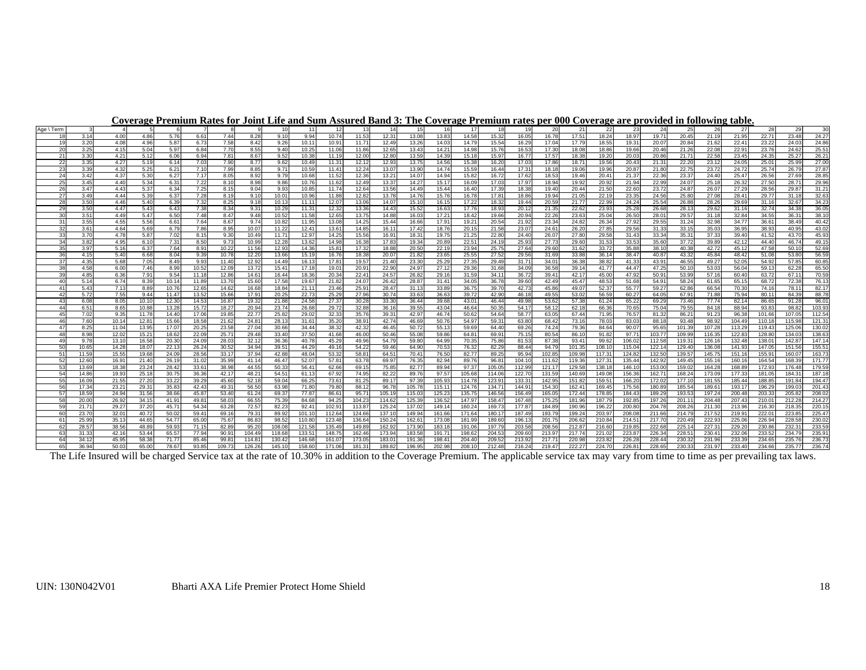| <u>Coverage Premium Rates for Joint Life and Sum Assured Band 3: The Coverage Premium rates per 000 Coverage are provided in following table.</u> |
|---------------------------------------------------------------------------------------------------------------------------------------------------|
|---------------------------------------------------------------------------------------------------------------------------------------------------|

| Age \ Term |              |                   |                |               |               |                |                | 10             |                | 12             |                | 14             |                |                |                |                |                |                | 21              | 22             | 23              | 24               | 25               | 26              | 27               | 28               |                 | 30              |
|------------|--------------|-------------------|----------------|---------------|---------------|----------------|----------------|----------------|----------------|----------------|----------------|----------------|----------------|----------------|----------------|----------------|----------------|----------------|-----------------|----------------|-----------------|------------------|------------------|-----------------|------------------|------------------|-----------------|-----------------|
| 18         | 3.14         | 4.00              | 4.86           | 5.76          | $6.6^{\circ}$ | 7.44           | 8.28           | 9.10           | 9.94           | 10.74          | 11.53          | 12.31          | 13.08          | 13.83          | 14.58          | 15.32          | 16.05          | 16.78          | 17.51           | 18.24          | 18.97           | 19.71            | 20.45            | 21.19           | 21.95            | 22.71            | 23.48           | 24.27           |
| 19         | 3.20         | 4.08              | 4.96           | 5.87          | 6.73          | 7.58           | 8.42           | 9.26           | 10.1           | 10.91          | 11.71          | 12.49          | 13.26          | 14.0           | 14.79          | 15.54          | 16.29          | 17.04          | 17.79           | 18.55          | 19.31           | 20.07            | 20.84            | 21.62           | 22.41            | 23.22            | 24.0            | 24.86           |
| 20         | 3.25         | 4.15              | 5.04           | 5.97          | 6.84          | 7.70           | 8.55           | 9.40           | 10.25          | 11.06          | 11.86          | 12.65          | 13.43          | 14.21          | 14.98          | 15.76          | 16.53          | 17.3           | 18.08           | 18.86          | 19.66           | 20.46            | 21.26            | 22.08           | 22.91            | 23.76            | 24.6            | 25.51           |
| 21         | 3.30         | 4.21              | 5.12           | 6.06          | 6.94          | 7.81           | 8.67           | 9.52           | 10.38          | 11.19          | 12.00          | 12.80          | 13.59          | 14.39          | 15.18          | 15.97          | 16.77          | 17.57          | 18.38           | 19.20          | 20.03           | 20.86            | 21.71            | 22.58           | 23.45            | 24.35            | 25.27           | 26.21           |
| 22         | 3.35         | 4.27              | 5.19           | 6.14          | 7.03          | 7.90           | 8.77           | 9.62           | 10.49          | 11.31          | 12.12          | 12.93          | 13.75          | 14.56          | 15.38          | 16.20          | 17.03          | 17.86          | 18.71           | 19.56          | 20.43           | 21.3'            | 22.20            | 23.12           | 24.05            | 25.01            | 25.99           | 27.00           |
| 23         | 3.39         | 4.32              | 5.25           | 6.21          | 7.10          | 7.99           | 8.85           | 9.71           | 10.59          | 11.41          | 12.24          | 13.07          | 13.90          | 14.74          | 15.59          | 16.44          | 17.31          | 18.1           | 19.06           | 19.96          | 20.87           | 21.8             | 22.75            | 23.72           | 24.72            | 25.74            | 26.7            | 27.87           |
| 24         | 3.42         | 4.37              | 5.3C           | 6.27          | 7.17          | 8.05           | 8.92           | 9.79           | 10.68          | 11.52          | 12.36          | 13.21          | 14.07          | 14.94          | 15.82          | 16.72          | 17.62          | $18.5^{\circ}$ | 19.46           | $20.4^{\circ}$ | 21.37           | 22.36            | 23.37            | 24.40           | 25.47            | 26.56            | 27.69           | 28.85           |
| 25         | 3.45         | 4.40              | 5.34           | 6.31          | 7.22          | 8.10           | 8.98           | 9.86           | 10.76          | 11.62          | 12.49          | 13.37          | 14.27          | 15.17<br>15.44 | 16.09          | 17.03<br>17.39 | 17.97          | 18.9           | 19.92           | 20.9           | 21.94           | 22.99            | 24.07            | 25.18           | 26.32<br>27.29   | 27.50<br>28.56   | 28.7<br>29.87   | 29.96           |
| 26<br>27   | 3.47<br>3.49 | 4.43<br>4.44      | 5.37           | 6.34          | 7.25          | 8.15<br>8.19   | 9.04           | 9.93<br>10.01  | 10.85<br>10.96 | 11.74          | 12.64          | 13.56          | 14.49<br>14.76 | 15.76          | 16.40          | 17.81          | 18.38          | 19.40<br>19.94 | 20.44           | 21.50          | 22.60           | 23.72            | 24.87            | 26.07<br>27.08  | 28.41            |                  | 31.18           | 31.21<br>32.63  |
| 28         | 3.50         | 4.46              | 5.39<br>5.40   | 6.37<br>6.39  | 7.28<br>7.32  | 8.25           | 9.10<br>9.18   | 10.13          | 11.11          | 11.88<br>12.07 | 12.82<br>13.06 | 13.78<br>14.07 | 15.10          | 16.15          | 16.78<br>17.22 | 18.32          | 18.86<br>19.44 | 20.59          | 21.05<br>21.77  | 22.19<br>22.99 | 23.35<br>24.24  | 24.56<br>25.54   | 25.80<br>26.88   | 28.26           | 29.69            | 29.77<br>31.16   | 32.67           | 34.23           |
| 29         | 3.50         | 4.47              | 5.43           | 6.43          | 7.38          | 8.34           | 9.31           | 10.29          | 11.31          | 12.32          | 13.36          | 14.43          | 15.52          | 16.63          | 17.76          | 18.93          | 20.12          | 21.35          | 22.62           | 23.93          | 25.28           | 26.68            | 28.13            | 29.62           | 31.16            | 32.74            | 34.38           | 36.05           |
| 30         | 3.51         | 4.49              | 5.47           | 6.50          | 7.48          | 8.47           | 9.48           | 10.52          | 11.58          | 12.65          | 13.75          | 14.88          | 16.03          | 17.21          | 18.42          | 19.66          | 20.94          | 22.26          | 23.63           | 25.04          | 26.50           | 28.01            | 29.57            | 31.18           | 32.84            | 34.55            | 36.3            | 38.10           |
| 31         | 3.55         | 4.55              | 5.56           | 6.61          | 7.64          | 8.67           | 9.74           | 10.82          | 11.95          | 13.08          | 14.25          | 15.44          | 16.66          | 17.91          | 19.21          | 20.54          | 21.92          | 23.34          | 24.82           | 26.34          | 27.92           | 29.55            | 31.24            | 32.98           | 34.77            | 36.61            | 38.49           | 40.42           |
| 32         | 3.61         | 4.64              | 5.69           | 6.79          | 7.86          | 8.95           | 10.07          | 11.22          | 12.41          | 13.61          | 14.85          | 16.11          | 17.42          | 18.76          | 20.15          | 21.58          | 23.07          | 24.61          | 26.20           | 27.85          | 29.56           | 31.33            | 33.15            | 35.03           | 36.95            | 38.93            | 40.9            | 43.02           |
| 33         | 3.70         | 4.78              | 5.87           | 7.02          | 8.15          | 9.30           | 10.49          | 11.71          | 12.97          | 14.25          | 15.56          | 16.91          | 18.3'          | 19.75          | 21.25          | 22.80          | 24.40          | 26.0           | 27.80           | 29.58          | 31.43           | 33.34            | 35.31            | 37.33           | 39.40            | 41.52            | 43.7            | 45.93           |
| 34         | 3.82         | 4.95              | 6.10           | 7.31          | 8.50          | 9.73           | 10.99          | 12.28          | 13.62          | 14.98          | 16.38          | 17.83          | 19.34          | 20.89          | 22.51          | 24.19          | 25.93          | 27.73          | 29.60           | 31.53          | 33.53           | 35.60            | 37.72            | 39.89           | 42.12            | 44.40            | 46.74           | 49.15           |
| 35         | 3.97         | 5.16              | 6.37           | 7.64          | $8.9^{\circ}$ | 10.22          | 11.56          | 12.93          | 14.36          | 15.81          | 17.32          | 18.88          | 20.50          | 22.19          | 23.94          | 25.75          | 27.64          | 29.6           | 31.62           | 33.72          | 35.88           | 38.1             | 40.38            | 42.72           | 45.12            | 47.58            | 50.10           | 52.69           |
| 36         | 4.15         | 5.40              | 6.68           | 8.04          | 9.39          | 10.78          | 12.20          | 13.66          | 15.19          | 16.76          | 18.38          | 20.07          | 21.82          | 23.65          | 25.55          | 27.52          | 29.56          | 31.6           | 33.88           | 36.14          | 38.47           | 40.87            | 43.32            | 45.84           | 48.42            | 51.08            | 53.80           | 56.59           |
| 37         | 4.35         | 5.68              | 7.05           | 8.49          | 9.93          | 11.40          | 12.92          | 14.49          | 16.1           | 17.81          | 19.57          | 21.40          | 23.30          | 25.29          | 27.35          | 29.49          | 31.7'          | 34.0           | 36.38           | 38.8           | 41.33           | 43.9             | 46.5             | 49.2            | 52.05            | 54.92            | 57.8            | 60.85           |
| 38         | 4.58         | 6.00              | 7.46           | 8.99          | 10.52         | 12.09          | 13.72          | 15.41          | 17.18          | 19.01          | 20.9           | 22.90          | 24.97          | 27.12          | 29.36          | 31.68          | 34.09          | 36.58          | 39.14           | 41.77          | 44.47           | 47.2             | 50.1             | 53.03           | 56.04            | 59.13            | 62.28           | 65.50           |
| 39         | 4.85         | 6.36              | 7.91           | 9.54          | 11.18         | 12.86          | 14.61          | 16.44          | 18.36          | 20.34          | 22.41          | 24.57          | 26.82          | 29.16          | 31.59          | 34.1'          | 36.72          | 39.41          | 42.17           | 45.00          | 47.92           | 50.9             | 53.99            | 57.16           | 60.40            | 63.72            | 67.1            | 70.59           |
| 40         | 5.14         | 6.74              | 8.39           | 10.14         | 11.89         | 13.70          | 15.60          | 17.58          | 19.67          | 21.82          | 24.07          | 26.42          | 28.87          | 31.41          | 34.05          | 36.78          | 39.60          | 42.49          | 45.47           | 48.53          | 51.68           | 54.91            | 58.24            | 61.65           | 65.15            | 68.72            | 72.38           | 76.13           |
| 41         | 5.43         | 7.13              | 8.89           | 10.76         | 12.65         | 14.62          | 16.68          | 18.84          | 21.11          | 23.46          | 25.91          | 28.47          | 31.13          | 33.89          | 36.75          | 39.70          | 42.73          | 45.86          | 49.07           | 52.37          | 55.77           | 59.27            | 62.86            | 66.54           | 70.30            | 74.16            | 78.1            | 82.17           |
| 42         | 5.72         | 7.55              | 9.44           | 11.47         | 13.52         | 15.66          | 17.91          | 20.25          | 22.73          | 25.29          | 27.96          | 30.74          | 33.63          | 36.63          | 39.72          | 42.90          | 46.18          | 49.55          | 53.02           | 56.59          | 60.27           | 64.05            | 67.91            | 71.88           | 75.94            | 80.11            | 84.39           | 88.78           |
| 43         | 6.08         | 8.05              | 10.10          | 12.30         | 14.53         | 16.87          | 19.32          | 21.88          | 24.58          | 27.37          | 30.28          | 33.30          | 36.44          | 39.68          | 43.01          | 46.44          | 49.98          | 53.62          | 57.38           | 61.24          | 65.22           | 69.29            | 73.46            | 77.74           | 82.14            | 86.65            | 91.28           | 96.01           |
| 44         | 6.51         | 8.65              | 10.88          | 13.28         | 15.72         | 18.27          | 20.94          | 23.74          | 26.68          | 29.72          | 32.88          | 36.16          | 39.55          | 43.04          | 46.64          | 50.35          | 54.17          | 58.12          | 62.18           | 66.36          | 70.65           | 75.04            | 79.55            | 84.18           | 88.94            | 93.83            | 98.82           | 103.93          |
| 45         | 7.02         | 9.35              | 11.78          | 14.40         | 17.06         | 19.85          | 22.77          | 25.82          | 29.02          | 32.33          | 35.76          | 39.31          | 42.97          | 46.74          | 50.62          | 54.64          | 58.77          | 63.05          | 67.44           | 71.95          | 76.57           | 81.32            | 86.21            | 91.23           | 96.38            | 101.66           | 107.0           | 112.54          |
| 46         | 7.60         | 10.14             | 12.81          | 15.66         | 18.58         | 21.62          | 24.81          | 28.13          | 31.61          | 35.20          | 38.9           | 42.74          | 46.69          | 50.76          | 54.97          | 59.3'          | 63.80          | 68.42          | 73.16           | 78.03          | 83.03           | 88.18            | 93.48            | 98.92           | 104.49           | 110.18           | 115.98          | 121.31          |
| 47         | 8.25         | 11.04             | 13.95          | 17.07         | 20.2          | 23.58          | 27.04          | 30.66          | 34.44          | 38.32          | 42.32          | 46.45          | 50.72          | 55.13          | 59.69          | 64.40          | 69.26          | 74.24          | 79.36           | 84.64          | 90.07           | 95.65            | 101.39           | 107.2           | 113.29           | 119.43           | 125.06          | 130.02          |
| 48<br>49   | 8.98         | 12.02             | 15.21<br>16.58 | 18.62         | 22.09<br>24.0 | 25.7'          | 29.48<br>32.12 | 33.40          | 37.50          | 41.68<br>45.29 | 46.00          | 50.46<br>54.79 | 55.08          | 59.86<br>64.99 | 64.81          | 69.9'<br>75.86 | 75.15          | 80.54<br>87.38 | 86.10           | 91.82<br>99.62 | 97.71<br>106.02 | 103.77<br>112.58 | 109.99           | 116.3           | 122.83<br>132.48 | 128.80<br>138.01 | 134.0<br>142.87 | 138.6<br>147.14 |
| 50         | 9.78<br>10.6 | 13.10<br>14.28    | 18.07          | 20.30<br>22.1 | 26.2          | 28.03<br>30.52 | 34.94          | 36.36<br>39.51 | 40.78<br>44.29 | 49.16          | 49.96<br>54.22 | 59.46          | 59.80<br>64.90 | 70.53          | 70.35<br>76.32 | 82.29          | 81.53<br>88.44 | 94.79          | 93.41<br>101.35 | 108.10         | 115.04          | 122.1            | 119.31<br>129.40 | 126.16<br>136.0 | 141.93           | 147.0            | 151.56          | 155.5           |
| 51         | 11.59        | 15.55             | 19.68          | 24.09         | 28.56         | 33.17          | 37.94          | 42.88          | 48.04          | 53.32          | $58.8^{\circ}$ | 64.51          | 70.4           | 76.50          | 82.77          | 89.25          | 95.94          | 102.85         | 109.98          | 117.31         | 124.82          | 132.50           | 139.57           | 145.75          | 151.16           | 155.91           | 160.07          | 163.73          |
| 52         | 12.60        | 16.9 <sup>°</sup> | 21.40          | 26.19         | 31.02         | 35.99          | 41.14          | 46.47          | 52.07          | 57.81          | 63.78          | 69.97          | 76.35          | 82.94          | 89.76          | 96.8'          | 104.10         | 111.62         | 119.3           | 127.3'         | 135.44          | 142.92           | 149.45           | 155.16          | 160.16           | 164.54           | 168.39          | 171.7           |
| 53         | 13.69        | 18.38             | 23.24          | 28.42         | 33.6'         | 38.98          | 44.55          | 50.33          | 56.41          | 62.66          | 69.15          | 75.85          | 82.77          | 89.94          | 97.37          | 105.05         | 112.99         | 121.1          | 129.5           | 138.18         | 146.10          | 153.00           | 159.02           | 164.2           | 168.89           | 172.93           | 176.48          | 179.59          |
| 54         | 14.86        | 19.93             | 25.18          | 30.75         | 36.3          | 42.17          | 48.21          | 54.51          | 61.1           | 67.92          | 74.95          | 82.22          | 89.76          | 97.57          | 105.68         | 114.06         | 122.7          | 131.59         | 140.6           | 149.0          | 156.36          | 162.71           | 168.24           | 173.0           | 177.33           | 181.05           | 184.3           | 187.1           |
| 55         | 16.0         | 21.55             | 27.20          | 33.22         | 39.2          | 45.60          | 52.18          | 59.04          | 66.25          | 73.61          | 81.25          | 89.17          | 97.39          | 105.93         | 114.78         | 123.9          | 133.3'         | 142.95         | 151.82          | 159.5          | 166.20          | 172.02           | 177.10           | 181.55          | 185.44           | 188.85           | 191.84          | 194.4           |
| 56         | 17.34        | 23.21             | 29.3'          | 35.83         | 42.43         | 49.3           | 56.50          | 63.98          | 71.80          | 79.80          | 88.12          | 96.78          | 105.78         | 115.11         | 124.76         | 134.7'         | 144.91         | 154.30         | 162.4           | 169.45         | 175.56          | 180.89           | 185.54           | 189.6           | 193.17           | 196.2            | 199.0           | 201.4           |
| 57         | 18.59        | 24.94             | 31.56          | 38.66         | 45.8          | 53.40          | 61.24          | 69.37          | 77.87          | 86.61          | 95.71          | 105.19         | 115.0          | 125.23         | 135.75         | 146.56         | 156.49         | 165.0          | 172.44          | 178.85         | 184.43          | 189.2            | 193.53           | 197.2           | 200.48           | 203.33           | 205.8           | 208.0           |
| 58         | 20.00        | 26.92             | 34.15          | 41.91         | 49.8          | 58.0           | 66.55          | 75.39          | 84.68          | 94.25          | 104.23         | 114.62         | 125.39         | 136.52         | 147.97         | 158.47         | 167.48         | 175.2          | 181.96          | 187.79         | 192.85          | 197.26           | 201.1            | 204.48          | 207.43           | 210.0            | 212.28          | 214.27          |
| 59         | 21.7'        | 29.27             | 37.20          | 45.71         | 54.34         | 63.2           | 72.57          | 82.23          | 92.41          | 102.91         | 113.87         | 125.24         | 137.0          | 149.14         | 160.24         | 169.7          | 177.87         | 184.89         | 190.96          | 196.2          | 200.80          | 204.78           | 208.26           | 211.3           | 213.96           | 216.3            | 218.3           | 220.1           |
| 60         | 23.70        | 32.0              | 40.72          | 50.02         | 59.4          | 69.1           | 79.31          | 89.92          | 101.10         | 112.64         | 124.66         | 137.10         | 149.9          | 161.66         | 171.6          | 180.1          | 187.4          | 193.7          | 199.2           | 203.9          | 208.0           | 211.66           | 214.7            | 217.5           | 219.9            | 222.0            | 223.8           | 225.4           |
| 61         | 25.99        | 35.13             | 44.65          | 54.77         | 65.0          | 75.67          | 86.83          | 98.52          | 110.80         | 123.48         | 136.64         | 150.24         | 162.6          | 173.08         | 181.99         | 189.60         | 196.1          | 201.7          | 206.62          | 210.84         | 214.51          | 217.7            | 220.49           | 222.9           | 225.06           | 226.94           | 228.5           | 230.0           |
| 62         | 28.57        | 38.56             | 48.89          | 59.93         | 71.1          | 82.8           | 95.20          | 108.08         | 121.58         | 135.49         | 149.89         | 162.92         | 173.9          | 183.18         | 191.06         | 197.7          | 203.5          | 208.5          | 212.8           | 216.60         | 219.85          | 222.68           | 225.14           | 227.3           | 229.20           | 230.8            | 232.3           | 233.5           |
| 63         | 31.33        | 42.16             | 53.44          | 65.57         | 77.9          | 90.9           | 104.4          | 118.68         | 133.5          | 148.75         | 162.46         | 173.94         | 183.5          | 191.71         | 198.62         | 204.5          | 209.6          | 213.97         | 217.74          | 221.0          | 223.87          | 226.3            | 228.51           | 230.4           | 232.06           | 233.5            | 234.7           | 235.9           |
| 64         | 34.12        | 45.95             | 58.38          | 71.77         | 85.4          | 99.8           | 114.8          | 130.42         | 146.6          | 161.07         | 173.0          | 183.01         | 191.3          | 198.41         | 204.40         | 209.5          | 213.9          | 217.7          | 220.9           | 223.8          | 226.28          | 228.4            | 230.32           | 231.9           | 233.39           | 234.6            | 235.7           | 236.7           |
|            | 36.94        | 50.03             | 65.00          | 78.67         | 93.8          | 109.7          | 126.26         | 145.10         | 158.60         | 171.06         | 181.3          | 189.82         | 196.9          | 202.98         | 208.10         | 212.48         | 216.24         | 219.4          | 222.2           | 224.70         | 226.8           | 228.6            | 230.33           | 231.9           | 233.40           | 234.66           | 235.7           | 236,74          |

<u>66</u> 36.94 50.03 66.00 78.67 93.85 109.73 126.26 146.10 168.60 171.06 181.31 189.82 196.95 20.98 208.10 212.48 216.24 219.47 222.27 224.70 226.81 228.65 230.33 231.97 233.40 234.66 236.77 236.74 236.77 236.74 236.74 236.7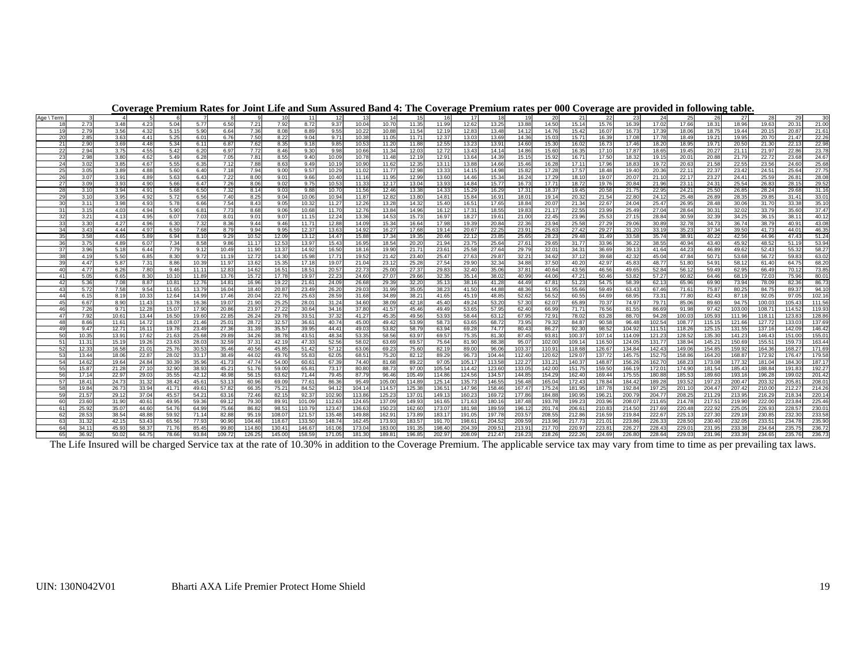| Age \ Term |       |       |       |       |               |        |        |        | 11               | 12     |        | 14     | 15     | 16     |        |        | 19 <sub>l</sub> |        | 21     | 22     | 23     | 24     | 25     | 26                | 27     | 28     | 29     | 30     |
|------------|-------|-------|-------|-------|---------------|--------|--------|--------|------------------|--------|--------|--------|--------|--------|--------|--------|-----------------|--------|--------|--------|--------|--------|--------|-------------------|--------|--------|--------|--------|
|            | 2.73  | 3.48  | 4.23  | 5.04  | 5.77          | 6.50   | 7.21   | 7.92   | 8.72             | 9.37   | 10.04  | 10.70  | 11.35  | 11.99  | 12.62  | 13.25  | 13.88           | 14.50  | 15.14  | 15.76  | 16.39  | 17.02  | 17.66  | 18.31             | 18.96  | 19.63  | 20.3'  | 21.00  |
| 19         | 2.79  | 3.56  | 4.32  | 5.15  | 5.90          | 6.64   | 7.36   | 8.08   | 8.89             | 9.55   | 10.22  | 10.88  | 11.54  | 12.19  | 12.83  | 13.48  | 14.12           | 14.76  | 15.42  | 16.07  | 16.73  | 17.39  | 18.06  | 18.75             | 19.44  | 20.15  | 20.87  | 21.61  |
| 20         | 2.85  | 3.63  | 4.41  | 5.25  | $6.0^{\circ}$ | 6.76   | 7.50   | 8.22   | 9.04             | 9.71   | 10.38  | 11.05  | 11.71  | 12.37  | 13.03  | 13.69  | 14.36           | 15.03  | 15.71  | 16.39  | 17.08  | 17.78  | 18.49  | $19.2^{\circ}$    | 19.95  | 20.70  | 21.47  | 22.26  |
| 21         | 2.90  | 3.69  | 4.48  | 5.34  | 6.1'          | 6.87   | 7.62   | 8.35   | 9.18             | 9.85   | 10.5   | 11.20  | 11.88  | 12.55  | 13.2   | 13.91  | 14.60           | 15.3   | 16.02  | 16.73  | 17.46  | 18.20  | 18.95  | 19.7'             | 20.50  | 21.30  | 22.13  | 22.98  |
| 22         | 2.94  | 3.75  | 4.55  | 5.42  | 6.20          | 6.97   | 7.72   | 8.46   | 9.3 <sub>0</sub> | 9.98   | 10.66  | 11.34  | 12.03  | 12.72  | 13.4   | 14.14  | 14.86           | 15.6   | 16.35  | 17.10  | 17.87  | 18.65  | 19.45  | 20.2              | 21.11  | 21.97  | 22.86  | 23.78  |
| 23         | 2.98  | 3.80  | 4.62  | 5.49  | 6.28          | 7.05   | 7.81   | 8.55   | 9.40             | 10.09  | 10.78  | 11.48  | 12.19  | 12.91  | 13.64  | 14.39  | 15.15           | 15.92  | 16.71  | 17.50  | 18.32  | 19.15  | 20.01  | 20.88             | 21.79  | 22.72  | 23.68  | 24.67  |
| 24         | 3.02  | 3.85  | 4.67  | 5.55  | 6.35          | 7.12   | 7.88   | 8.63   | 9.49             | 10.19  | 10.90  | 11.62  | 12.35  | 13.11  | 13.88  | 14.66  | 15.46           | 16.28  | 17.11  | 17.96  | 18.83  | 19.72  | 20.63  | 21.58             | 22.55  | 23.56  | 24.6   | 25.68  |
| 25         | 3.05  | 3.89  | 4.88  | 5.60  | 6.40          | 7.18   | 7.94   | 9.00   | 9.57             | 10.29  | 11.02  | 11.77  | 12.98  | 13.33  | 14.15  | 14.98  | 15.82           | 17.28  | 17.57  | 18.48  | 19.40  | 20.36  | 22.11  | 22.37             | 23.42  | 24.51  | 25.64  | 27.75  |
| 26         | 3.07  | 3.91  | 4.89  | 5.63  | 6.43          | 7.22   | 8.00   | 9.01   | 9.66             | 10.40  | 11.16  | 11.95  | 12.99  | 13.60  | 14.46  | 15.34  | 16.24           | 17.29  | 18.10  | 19.07  | 20.07  | 21.10  | 22.17  | 23.27             | 24.41  | 25.59  | 26.8   | 28.08  |
| 27         | 3.09  | 3.93  | 4.90  | 5.66  | 6.47          | 7.26   | 8.06   | 9.02   | 9.75             | 10.53  | 11.33  | 12.17  | 13.04  | 13.93  | 14.84  | 15.77  | 16.73           | 17.71  | 18.72  | 19.76  | 20.84  | 21.96  | 23.11  | 24.31             | 25.54  | 26.83  | 28.15  | 29.52  |
| 28         | 3.10  | 3.94  | 4.91  | 5.68  | 6.50          | 7.32   | 8.14   | 9.03   | 9.88             | 10.70  | 11.56  | 12.46  | 13.38  | 14.33  | 15.29  | 16.29  | 17.31           | 18.37  | 19.45  | 20.58  | 21.75  | 22.95  | 24.21  | 25.50             | 26.85  | 28.24  | 29.68  | 31.16  |
| 29         | 3.10  | 3.95  | 4.92  | 5.72  | 6.56          | 7.40   | 8.25   | 9.04   | 10.06            | 10.94  | 11.87  | 12.82  | 13.80  | 14.81  | 15.84  | 16.91  | 18.01           | 19.14  | 20.32  | 21.54  | 22.80  | 24.12  | 25.48  | 26.89             | 28.35  | 29.85  | 31.41  | 33.01  |
| 30         | 3.11  | 3.98  | 4.93  | 5.78  | 6.66          | 7.54   | 8.43   | 9.05   | 10.32            | 11.27  | 12.26  | 13.28  | 14.32  | 15.40  | 16.51  | 17.65  | 18.84           | 20.07  | 21.34  | 22.67  | 24.04  | 25.47  | 26.95  | 28.48             | 30.06  | 31.70  | 33.38  | 35.10  |
| 31         | 3.15  | 4.03  | 4.94  | 5.90  | 6.8           | 7.73   | 8.68   | 9.06   | 10.68            | 11.70  | 12.76  | 13.84  | 14.96  | 16.12  | 17.31  | 18.55  | 19.83           | 21.17  | 22.55  | 23.99  | 25.49  | 27.04  | 28.64  | 30.3 <sup>2</sup> | 32.02  | 33.79  | 35.60  | 37.47  |
| 32         | 3.21  | 4.13  | 4.95  | 6.07  | 7.03          | 8.01   | 9.01   | 9.07   | 11.15            | 12.24  | 13.36  | 14.53  | 15.73  | 16.97  | 18.27  | 19.61  | 21.00           | 22.45  | 23.96  | 25.53  | 27.15  | 28.84  | 30.59  | 32.39             | 34.25  | 36.15  | 38.1   | 40.12  |
|            | 3.30  | 4.27  | 4.96  | 6.30  | 7.32          | 8.36   | 9.44   | 9.46   | 11.71            | 12.88  | 14.09  | 15.34  | 16.64  | 17.98  | 19.39  | 20.84  | 22.36           | 23.94  | 25.58  | 27.29  | 29.06  | 30.89  | 32.78  | 34.73             | 36.74  | 38.79  | 40.9   | 43.08  |
| 34         | 3.43  | 4.44  | 4.97  | 6.59  | 7.68          | 8.79   | 9.94   | 9.95   | 12.37            | 13.63  | 14.92  | 16.27  | 17.68  | 19.14  | 20.67  | 22.25  | 23.91           | 25.63  | 27.42  | 29.2   | 31.20  | 33.19  | 35.23  | 37.34             | 39.50  | 41.73  | 44.01  | 46.35  |
| 35         | 3.58  | 4.65  | 5.89  | 6.94  | 8.10          | 9.29   | 10.52  | 12.09  | 13.12            | 14.47  | 15.88  | 17.34  | 19.35  | 20.46  | 22.12  | 23.85  | 25.65           | 28.23  | 29.48  | 31.49  | 33.58  | 35.74  | 38.91  | 40.22             | 42.56  | 44.96  | 47.43  | 51.24  |
| 36         | 3.75  | 4.89  | 6.07  | 7.34  | 8.58          | 9.86   | 11.17  | 12.53  | 13.97            | 15.43  | 16.95  | 18.54  | 20.20  | 21.94  | 23.75  | 25.64  | 27.61           | 29.65  | 31.77  | 33.96  | 36.22  | 38.55  | 40.94  | 43.40             | 45.92  | 48.52  | 51.19  | 53.94  |
| 37         | 3.96  | 5.18  | 6.44  | 7.79  | 9.12          | 10.49  | 11.90  | 13.37  | 14.92            | 16.50  | 18.16  | 19.90  | 21.71  | 23.61  | 25.58  | 27.64  | 29.79           | 32.01  | 34.31  | 36.69  | 39.13  | 41.64  | 44.23  | 46.89             | 49.62  | 52.43  | 55.32  | 58.27  |
| 38         | 4.19  | 5.50  | 6.85  | 8.30  | 9.72          | 11.19  | 12.72  | 14.30  | 15.98            | 17.71  | 19.52  | 21.42  | 23.40  | 25.47  | 27.6   | 29.87  | 32.2            | 34.62  | 37.12  | 39.68  | 42.32  | 45.04  | 47.84  | 50.7              | 53.68  | 56.72  | 59.83  | 63.02  |
| 39         | 4.47  | 5.87  | 7.31  | 8.86  | 10.39         | 11.97  | 13.62  | 15.35  | 17.18            | 19.07  | 21.04  | 23.12  | 25.28  | 27.54  | 29.90  | 32.34  | 34.88           | 37.50  | 40.20  | 42.97  | 45.83  | 48.77  | 51.80  | 54.9              | 58.12  | 61.40  | 64.7   | 68.20  |
| 40         | 4.77  | 6.26  | 7.80  | 9.46  | 11.1          | 12.83  | 14.62  | 16.51  | 18.51            | 20.57  | 22.73  | 25.00  | 27.37  | 29.8   | 32.4   | 35.06  | 37.8            | 40.64  | 43.56  | 46.56  | 49.65  | 52.84  | 56.12  | 59.49             | 62.95  | 66.49  | 70.12  | 73.85  |
| 41         | 5.05  | 6.65  | 8.30  | 10.10 | 11.89         | 13.76  | 15.72  | 17.78  | 19.97            | 22.23  | 24.60  | 27.07  | 29.66  | 32.35  | 35.14  | 38.02  | 40.99           | 44.06  | 47.21  | 50.46  | 53.82  | 57.27  | 60.82  | 64.46             | 68.19  | 72.03  | 75.96  | 80.01  |
| 42         | 5.36  | 7.08  | 8.87  | 10.81 | 12.76         | 14.81  | 16.96  | 19.22  | 21.61            | 24.09  | 26.68  | 29.39  | 32.20  | 35.13  | 38.1   | 41.28  | 44.49           | 47.81  | 51.23  | 54.75  | 58.39  | 62.13  | 65.96  | 69.90             | 73.94  | 78.09  | 82.36  | 86.73  |
| 4:         | 5.72  | 7.58  | 9.54  | 11.65 | 13.79         | 16.04  | 18.40  | 20.87  | 23.49            | 26.20  | 29.03  | 31.99  | 35.05  | 38.2   | 41.50  | 44.88  | 48.36           | 51.95  | 55.66  | 59.49  | 63.43  | 67.46  | 71.61  | 75.87             | 80.25  | 84.75  | 89.3   | 94.10  |
| 44         | 6.15  | 8.19  | 10.33 | 12.64 | 14.99         | 17.46  | 20.04  | 22.76  | 25.63            | 28.59  | 31.68  | 34.89  | 38.21  | 41.65  | 45.1   | 48.85  | 52.62           | 56.5   | 60.55  | 64.6   | 68.95  | 73.31  | 77.80  | 82.43             | 87.18  | 92.05  | 97.0   | 102.1  |
| 45         | 6.67  | 8.90  | 11.43 | 13.78 | 16.36         | 19.07  | 21.90  | 25.25  | 28.01            | 31.24  | 34.60  | 38.09  | 42.18  | 45.40  | 49.24  | 53.20  | 57.30           | 62.0   | 65.89  | 70.3   | 74.97  | 79.71  | 85.06  | 89.60             | 94.75  | 100.03 | 105.43 | 111.56 |
| 46         | 7.26  | 9.71  | 12.28 | 15.07 | 17.90         | 20.86  | 23.97  | 27.22  | 30.64            | 34.16  | 37.80  | 41.57  | 45.46  | 49.49  | 53.65  | 57.95  | 62.40           | 66.99  | 71.71  | 76.56  | 81.55  | 86.69  | 91.98  | 97.42             | 103.00 | 108.7  | 114.52 | 119.93 |
| 47         | 7.92  | 10.61 | 13.44 | 16.50 | 19.60         | 22.85  | 26.24  | 29.78  | 33.51            | 37.32  | 41.27  | 45.35  | 49.56  | 53.93  | 58.44  | 63.12  | 67.95           | 72.91  | 78.02  | 83.2   | 88.70  | 94.28  | 100.03 | 105.93            | 111.96 | 118.1  | 123.83 | 128.86 |
| 48         | 8.66  | 11.61 | 14.72 | 18.07 | 21.46         | 25.01  | 28.72  | 32.57  | 36.61            | 40.74  | 45.00  | 49.42  | 53.99  | 58.73  | 63.65  | 68.72  | 73.95           | 79.32  | 84.87  | 90.58  | 96.48  | 102.54 | 108.77 | 115.15            | 121.66 | 127.72 | 133.03 | 137.69 |
| 49         | 9.47  | 12.71 | 16.11 | 19.78 | 23.49         | 27.36  | 31.39  | 35.57  | 39.95            | 44.41  | 49.03  | 53.82  | 58.79  | 63.94  | 69.28  | 74.77  | 80.43           | 86.27  | 92.30  | 98.52  | 104.92 | 111.51 | 118.26 | 125.15            | 131.55 | 137.16 | 142.09 | 146.42 |
| 50         | 10.35 | 13.91 | 17.62 | 21.63 | 25.68         | 29.89  | 34.26  | 38.78  | 43.51            | 48.34  | 53.35  | 58.56  | 63.97  | 69.57  | 75.35  | 81.30  | 87.45           | 93.81  | 100.37 | 107.1  | 114.09 | 121.23 | 128.52 | 135.30            | 141.23 | 146.43 | 151.00 | 155.01 |
| 51         | 11.31 | 15.19 | 19.26 | 23.63 | 28.03         | 32.59  | 37.31  | 42.19  | 47.33            | 52.56  | 58.02  | 63.69  | 69.57  | 75.64  | 81.90  | 88.38  | 95.07           | 102.00 | 109.14 | 116,50 | 124.05 | 131.77 | 138.94 | 145.21            | 150.69 | 155.51 | 159.73 | 163.44 |
| 52         | 12.33 | 16.58 | 21.01 | 25.76 | 30.53         | 35.46  | 40.56  | 45.85  | 51.42            | 57.12  | 63.06  | 69.23  | 75.60  | 82.19  | 89.00  | 96.06  | 103.37          | 110.91 | 118.68 | 126.67 | 134.84 | 142.43 | 149.06 | 154.85            | 159.92 | 164.36 | 168.27 | 171.69 |
| 53         | 13.44 | 18.06 | 22.87 | 28.02 | 33.17         | 38.49  | 44.02  | 49.76  | 55.83            | 62.05  | 68.51  | 75.20  | 82.12  | 89.29  | 96.73  | 104.44 | 112.40          | 120.62 | 129.07 | 137.72 | 145.75 | 152.75 | 158.86 | 164.20            | 168.87 | 172.92 | 176.47 | 179.5  |
| 54         | 14.62 | 19.64 | 24.84 | 30.39 | 35.96         | 41.73  | 47.74  | 54.00  | 60.61            | 67.39  | 74.40  | 81.68  | 89.22  | 97.05  | 105.1  | 113.58 | 122.27          | 131.21 | 140.37 | 148.8  | 156.26 | 162.70 | 168.23 | 173.08            | 177.32 | 181.04 | 184.3  | 187.17 |
| 55         | 15.87 | 21.28 | 27.10 | 32.90 | 38.93         | 45.21  | 51.76  | 59.00  | 65.81            | 73.17  | 80.80  | 88.73  | 97.00  | 105.54 | 114.4  | 123.60 | 133.05          | 142.00 | 151.75 | 159.50 | 166.19 | 172.01 | 174.90 | 181.54            | 185.43 | 188.84 | 191.83 | 192.27 |
|            | 17.14 | 22.97 | 29.03 | 35.55 | 42.12         | 48.98  | 56.15  | 63.62  | 71.44            | 79.45  | 87.79  | 96.46  | 105.49 | 114.86 | 124.5  | 134.57 | 144.85          | 154.2  | 162.40 | 169.44 | 175.55 | 180.8  | 185.53 | 189.60            | 193.16 | 196.28 | 199.0  | 201.42 |
| 57         | 18.41 | 24.73 | 31.32 | 38.42 | 45.6          | 53.13  | 60.96  | 69.09  | 77.61            | 86.36  | 95.49  | 105.00 | 114.89 | 125.14 | 135.7  | 146.55 | 156.48          | 165.0  | 172.43 | 178.8  | 184.42 | 189.28 | 193.52 | 197.23            | 200.4  | 203.32 | 205.8  | 208.0  |
| 58         | 19.84 | 26.73 | 33.94 | 41.71 | 49.6          | 57.82  | 66.35  | 75.21  | 84.52            | 94.12  | 104.14 | 114.57 | 125.38 | 136.5  | 147.9  | 158.46 | 167.47          | 175.2  | 181.95 | 187.78 | 192.84 | 197.25 | 201.10 | 204.47            | 207.42 | 210.00 | 212.2  | 214.2  |
| 59         | 21.57 | 29.12 | 37.04 | 45.57 | 54.2          | 63.16  | 72.46  | 82.15  | 92.37            | 102.90 | 113,86 | 125.23 | 137.01 | 149.1  | 160.2  | 169.72 | 177.86          | 184.8  | 190.95 | 196.21 | 200.79 | 204.77 | 208.25 | 211.29            | 213.95 | 216.29 | 218.3  | 220.1  |
| 60         | 23.60 | 31.90 | 40.61 | 49.95 | 59.36         | 69.12  | 79.30  | 89.91  | 101.09           | 112.63 | 124.65 | 137.09 | 149.93 | 161.65 | 171.63 | 180.16 | 187.48          | 193.78 | 199.23 | 203.96 | 208.07 | 211.65 | 214.78 | 217.5'            | 219,90 | 222.00 | 223.8  | 225.4  |
| 61         | 25.92 | 35.07 | 44.60 | 54.76 | 64.99         | 75.66  | 86.82  | 98.51  | 110.79           | 123.47 | 136.6  | 150.23 | 162.60 | 173.07 | 181.98 | 189.59 | 196.12          | 201.74 | 206.61 | 210.8  | 214.50 | 217.69 | 220.48 | 222.92            | 225.05 | 226.93 | 228.5  | 230.0  |
| 62         | 28.53 | 38.54 | 48.88 | 59.92 | 71.14         | 82.88  | 95.19  | 108.0  | 121.57           | 135.48 | 149.88 | 162.91 | 173.89 | 183.17 | 191.05 | 197.78 | 203.57          | 208,55 | 212.86 | 216.59 | 219.84 | 222.67 | 225.13 | 227,30            | 229.19 | 230.85 | 232.30 | 233.58 |
| 63         | 31.32 | 42.15 | 53.43 | 65.56 | 77.93         | 90.90  | 104.48 | 118.6  | 133.50           | 148.74 | 162.45 | 173.93 | 183.57 | 191.7  | 198.6  | 204.52 | 209.5           | 213.9  | 217.73 | 221.0  | 223.86 | 226.3  | 228.50 | 230.40            | 232.05 | 233.5  | 234.7  | 235.90 |
| 64         | 34.11 | 45.93 | 58.37 | 71.76 | 85.45         | 99.80  | 114,80 | 130.41 | 146.67           | 161.06 | 173.04 | 183.00 | 191.35 | 198.40 | 204.3  | 209.51 | 213.9           | 217.70 | 220.97 | 223.8  | 226.27 | 228.43 | 229.01 | 231.95            | 233.38 | 234.64 | 235.75 | 236.72 |
|            | 36.92 | 50.02 | 64.75 | 78.66 | 93.84         | 109.72 | 126.25 | 145.00 | 158.59           | 171.05 | 181.30 | 189.81 | 196.85 | 202.97 | 208.09 | 212.47 | 216.23          | 218.26 | 222.26 | 224.69 | 226.80 | 228.64 | 229.03 | 231.96            | 233.3  | 234.65 | 235.76 | 236,73 |

#### **Coverage Premium Rates for Joint Life and Sum Assured Band 4: The Coverage Premium rates per 000 Coverage are provided in following table.**

<u>66 36.92 60.02 64.75 78.66 33.84 109.72 126.25 146.00 168.59 171.05 181.30 189.81 196.85 202.97 208.09 214.47 216.23 218.26 222.26 224.69 226.80 226.80 228.64 229.03 231.96 233.39 234.65 236.76 236.75 236.76 236.77 216.2</u>